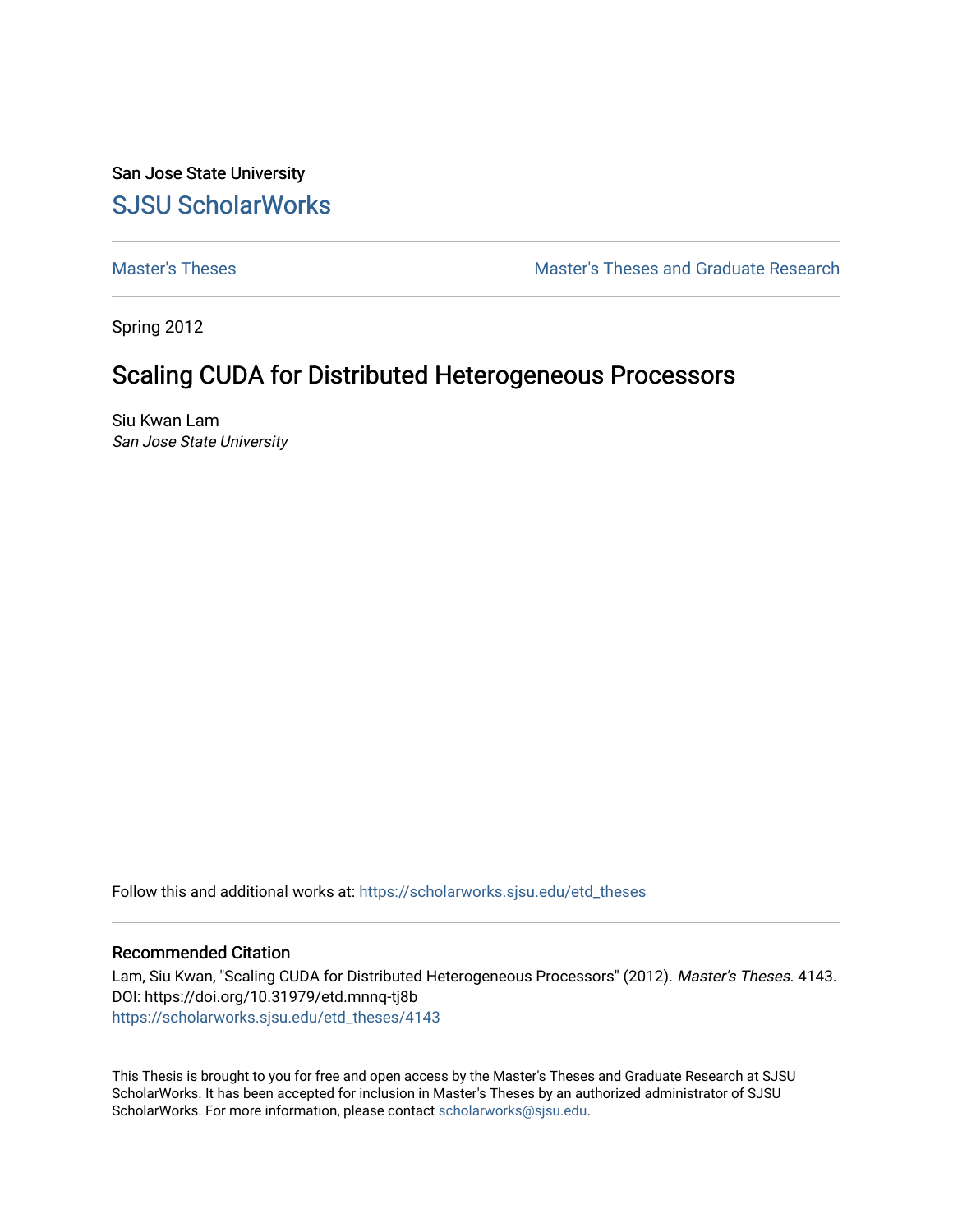San Jose State University [SJSU ScholarWorks](https://scholarworks.sjsu.edu/) 

[Master's Theses](https://scholarworks.sjsu.edu/etd_theses) [Master's Theses and Graduate Research](https://scholarworks.sjsu.edu/etd) 

Spring 2012

# Scaling CUDA for Distributed Heterogeneous Processors

Siu Kwan Lam San Jose State University

Follow this and additional works at: [https://scholarworks.sjsu.edu/etd\\_theses](https://scholarworks.sjsu.edu/etd_theses?utm_source=scholarworks.sjsu.edu%2Fetd_theses%2F4143&utm_medium=PDF&utm_campaign=PDFCoverPages)

### Recommended Citation

Lam, Siu Kwan, "Scaling CUDA for Distributed Heterogeneous Processors" (2012). Master's Theses. 4143. DOI: https://doi.org/10.31979/etd.mnnq-tj8b [https://scholarworks.sjsu.edu/etd\\_theses/4143](https://scholarworks.sjsu.edu/etd_theses/4143?utm_source=scholarworks.sjsu.edu%2Fetd_theses%2F4143&utm_medium=PDF&utm_campaign=PDFCoverPages)

This Thesis is brought to you for free and open access by the Master's Theses and Graduate Research at SJSU ScholarWorks. It has been accepted for inclusion in Master's Theses by an authorized administrator of SJSU ScholarWorks. For more information, please contact [scholarworks@sjsu.edu](mailto:scholarworks@sjsu.edu).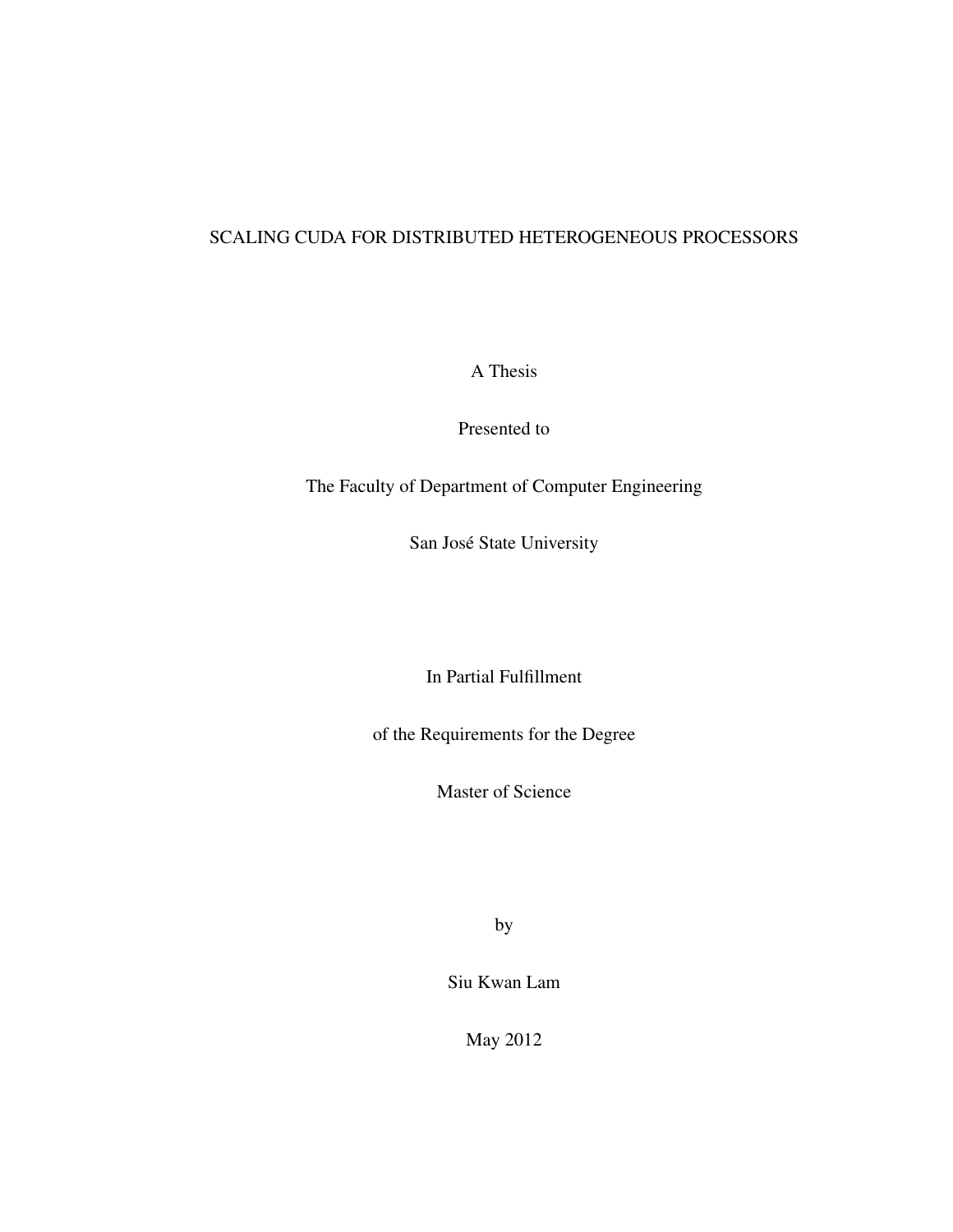# SCALING CUDA FOR DISTRIBUTED HETEROGENEOUS PROCESSORS

A Thesis

Presented to

The Faculty of Department of Computer Engineering

San José State University

In Partial Fulfillment

of the Requirements for the Degree

Master of Science

by

Siu Kwan Lam

May 2012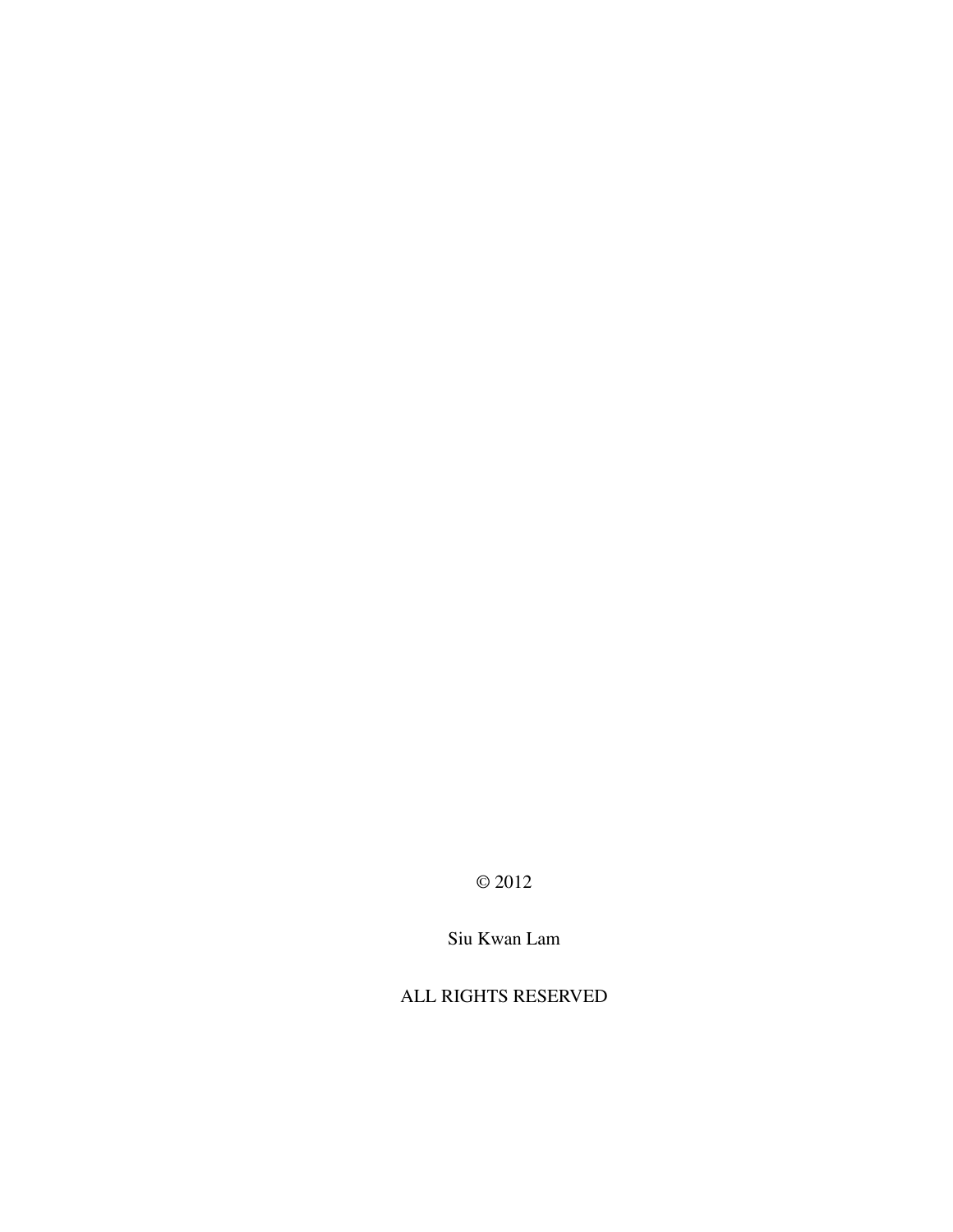© 2012

Siu Kwan Lam

ALL RIGHTS RESERVED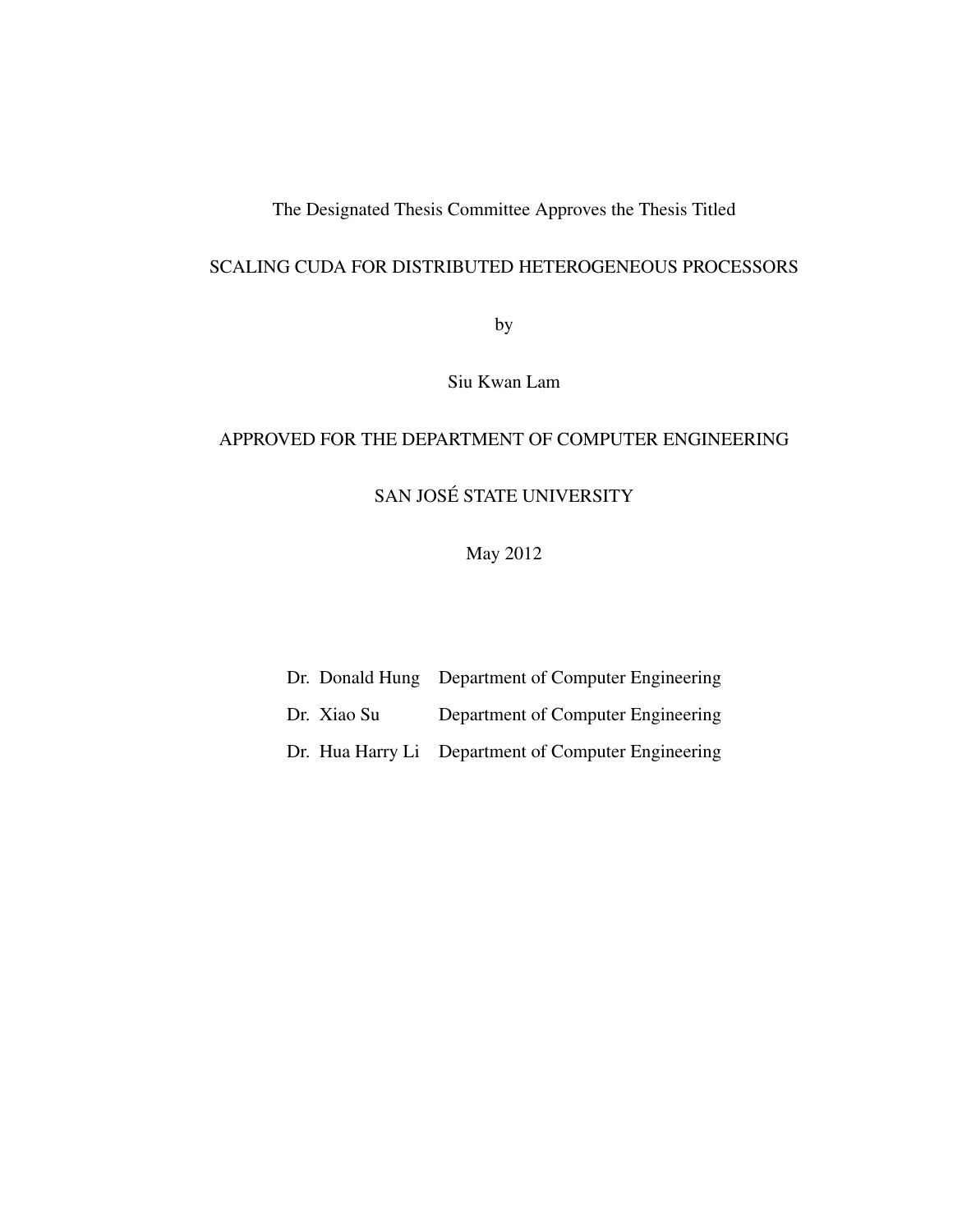# The Designated Thesis Committee Approves the Thesis Titled

# SCALING CUDA FOR DISTRIBUTED HETEROGENEOUS PROCESSORS

by

Siu Kwan Lam

# APPROVED FOR THE DEPARTMENT OF COMPUTER ENGINEERING

# SAN JOSÉ STATE UNIVERSITY

# May 2012

Dr. Donald Hung Department of Computer Engineering Dr. Xiao Su Department of Computer Engineering

Dr. Hua Harry Li Department of Computer Engineering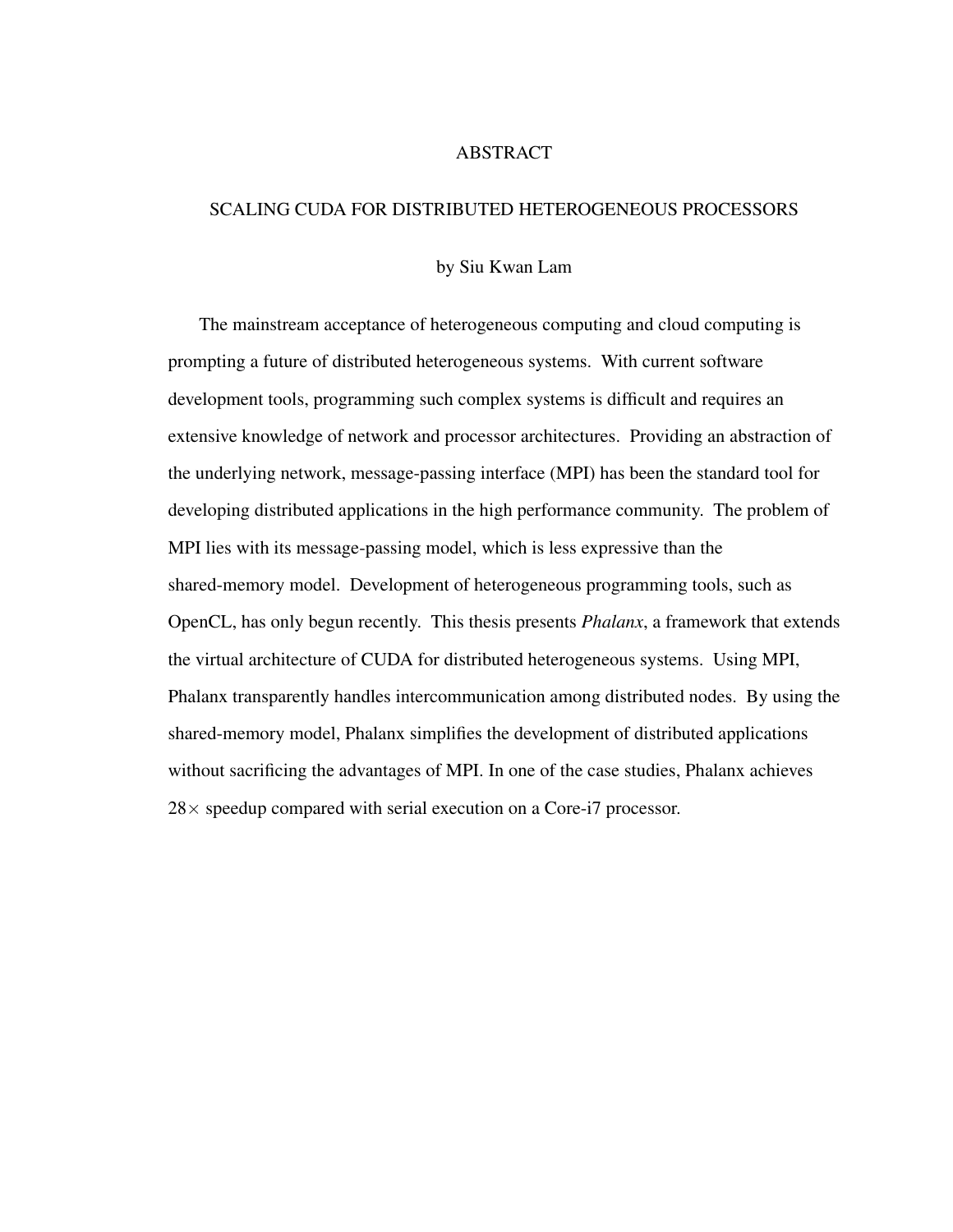#### ABSTRACT

#### SCALING CUDA FOR DISTRIBUTED HETEROGENEOUS PROCESSORS

#### by Siu Kwan Lam

The mainstream acceptance of heterogeneous computing and cloud computing is prompting a future of distributed heterogeneous systems. With current software development tools, programming such complex systems is difficult and requires an extensive knowledge of network and processor architectures. Providing an abstraction of the underlying network, message-passing interface (MPI) has been the standard tool for developing distributed applications in the high performance community. The problem of MPI lies with its message-passing model, which is less expressive than the shared-memory model. Development of heterogeneous programming tools, such as OpenCL, has only begun recently. This thesis presents *Phalanx*, a framework that extends the virtual architecture of CUDA for distributed heterogeneous systems. Using MPI, Phalanx transparently handles intercommunication among distributed nodes. By using the shared-memory model, Phalanx simplifies the development of distributed applications without sacrificing the advantages of MPI. In one of the case studies, Phalanx achieves  $28\times$  speedup compared with serial execution on a Core-i7 processor.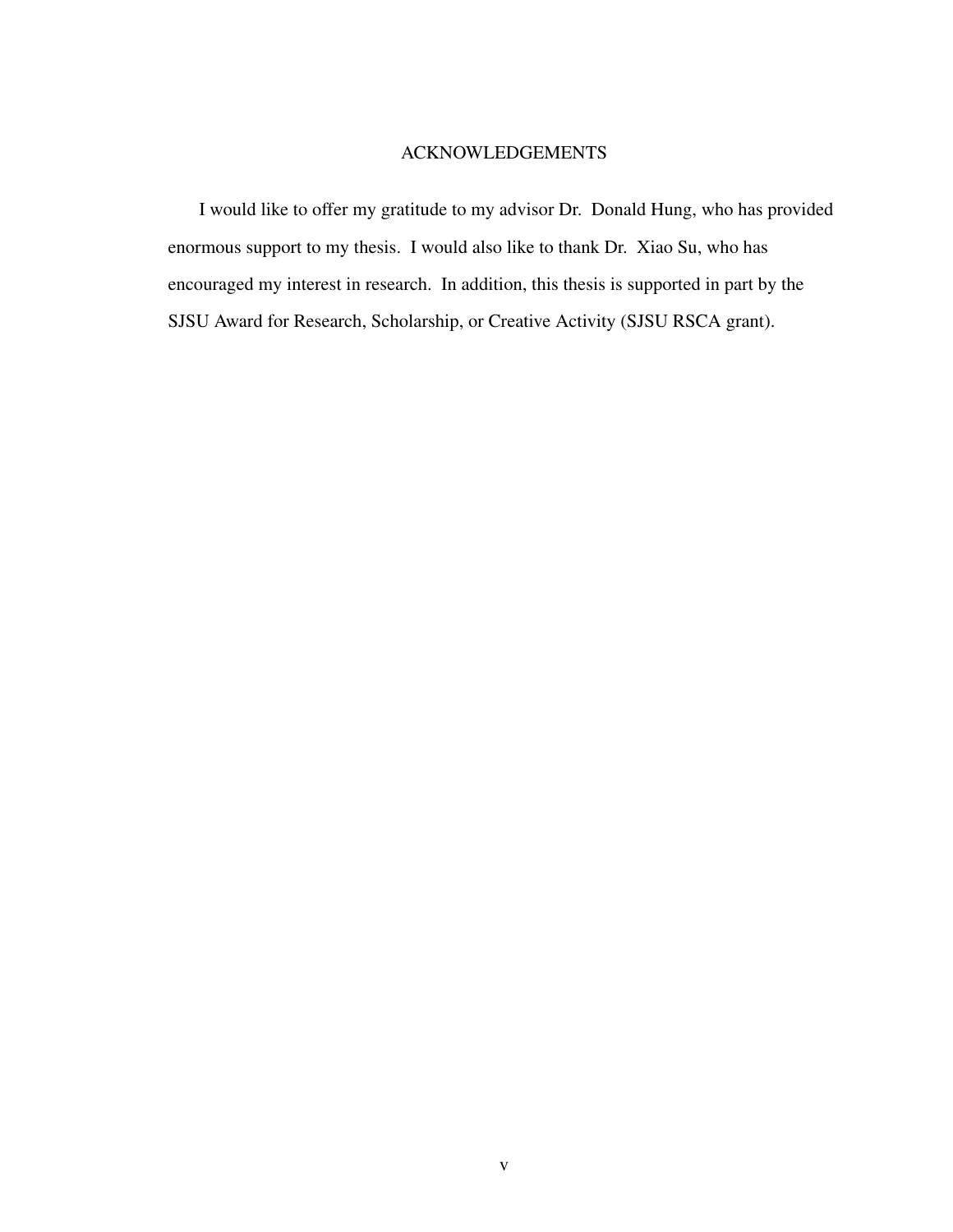# ACKNOWLEDGEMENTS

I would like to offer my gratitude to my advisor Dr. Donald Hung, who has provided enormous support to my thesis. I would also like to thank Dr. Xiao Su, who has encouraged my interest in research. In addition, this thesis is supported in part by the SJSU Award for Research, Scholarship, or Creative Activity (SJSU RSCA grant).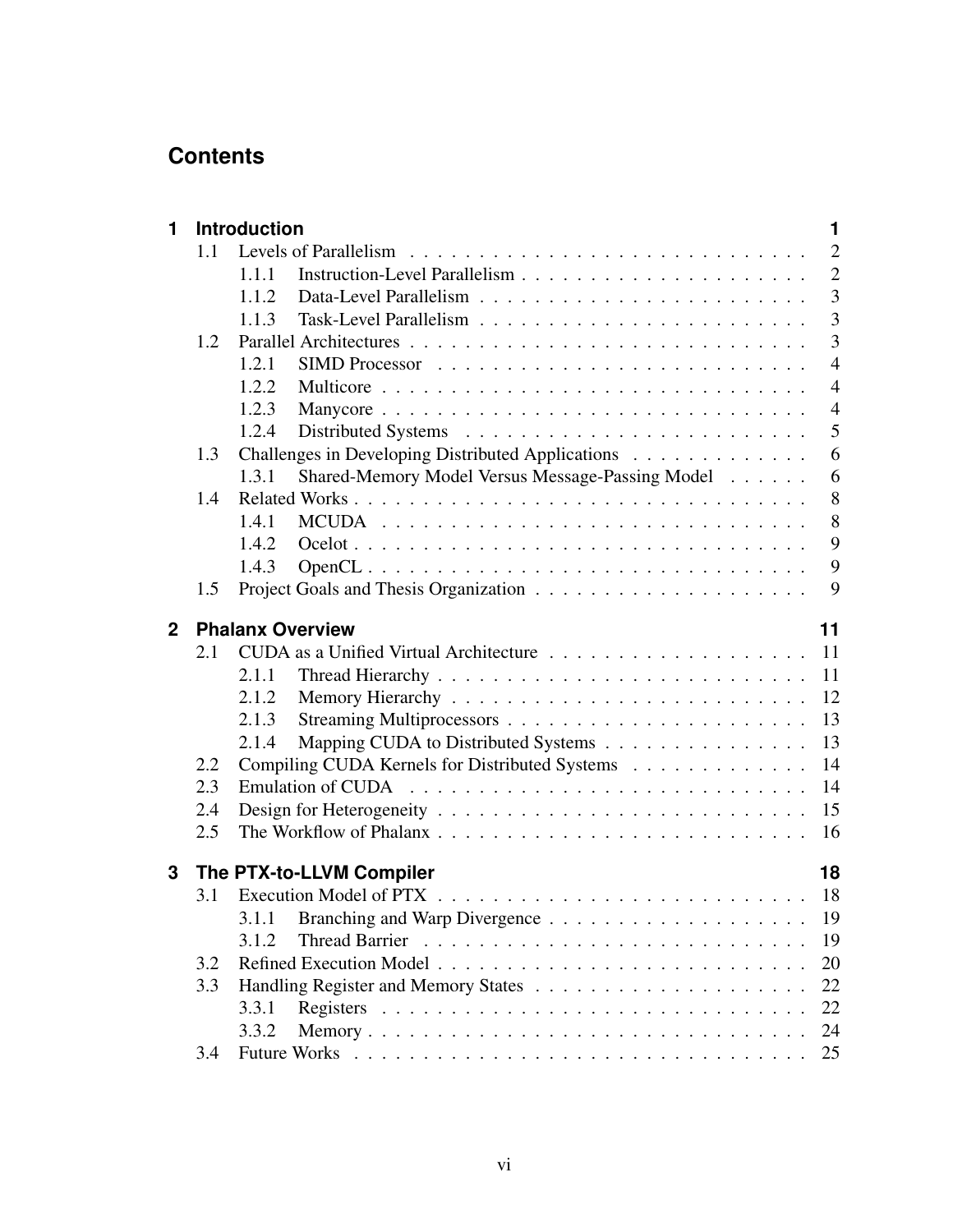# **Contents**

| 1           |     | <b>Introduction</b>                                       | 1              |
|-------------|-----|-----------------------------------------------------------|----------------|
|             | 1.1 |                                                           | $\overline{2}$ |
|             |     | 1.1.1                                                     | $\overline{2}$ |
|             |     | 1.1.2                                                     | $\overline{3}$ |
|             |     | 1.1.3                                                     | 3              |
|             | 1.2 |                                                           | $\overline{3}$ |
|             |     | 1.2.1                                                     | $\overline{4}$ |
|             |     | 1.2.2                                                     | $\overline{4}$ |
|             |     | 1.2.3                                                     | $\overline{4}$ |
|             |     | 1.2.4                                                     | 5              |
|             | 1.3 | Challenges in Developing Distributed Applications         | 6              |
|             |     | Shared-Memory Model Versus Message-Passing Model<br>1.3.1 | 6              |
|             | 1.4 |                                                           | 8              |
|             |     | 1.4.1                                                     | 8              |
|             |     | 1.4.2                                                     | 9              |
|             |     | 1.4.3                                                     | 9              |
|             | 1.5 |                                                           | 9              |
| $\mathbf 2$ |     | <b>Phalanx Overview</b>                                   | 11             |
|             | 2.1 |                                                           | 11             |
|             |     | 2.1.1                                                     | 11             |
|             |     | 2.1.2                                                     | 12             |
|             |     | 2.1.3                                                     | 13             |
|             |     | Mapping CUDA to Distributed Systems<br>2.1.4              | 13             |
|             | 2.2 | Compiling CUDA Kernels for Distributed Systems            | 14             |
|             | 2.3 |                                                           | 14             |
|             | 2.4 |                                                           | 15             |
|             | 2.5 |                                                           | 16             |
| 3           |     | The PTX-to-LLVM Compiler                                  | 18             |
|             | 3.1 |                                                           | 18             |
|             |     |                                                           | 19             |
|             |     | 3.1.1                                                     |                |
|             |     | <b>Thread Barrier</b><br>3.1.2                            | 19             |
|             | 3.2 |                                                           | 20             |
|             | 3.3 |                                                           | 22             |
|             |     | 3.3.1                                                     | 22             |
|             |     | 3.3.2                                                     | 24             |
|             | 3.4 |                                                           | 25             |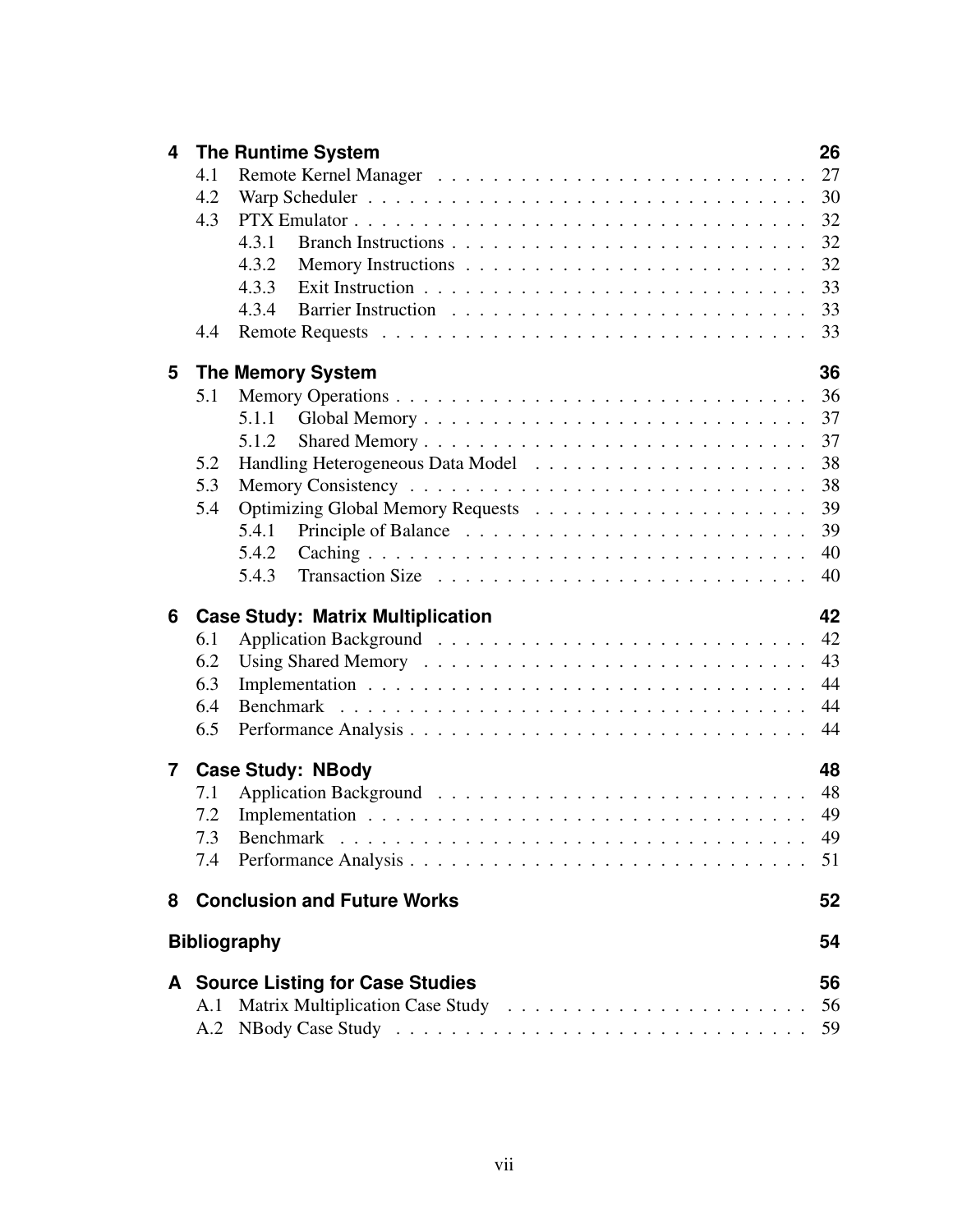| $\overline{\mathbf{4}}$ |     | <b>The Runtime System</b>                                                                                                   | 26 |
|-------------------------|-----|-----------------------------------------------------------------------------------------------------------------------------|----|
|                         | 4.1 |                                                                                                                             |    |
|                         | 4.2 |                                                                                                                             |    |
|                         | 4.3 |                                                                                                                             | 32 |
|                         |     | 4.3.1                                                                                                                       | 32 |
|                         |     | 4.3.2                                                                                                                       | 32 |
|                         |     | 4.3.3                                                                                                                       | 33 |
|                         |     | 4.3.4                                                                                                                       | 33 |
|                         | 4.4 |                                                                                                                             | 33 |
| 5                       |     | <b>The Memory System</b>                                                                                                    | 36 |
|                         | 5.1 |                                                                                                                             | 36 |
|                         |     | 5.1.1                                                                                                                       | 37 |
|                         |     | 5.1.2                                                                                                                       |    |
|                         | 5.2 |                                                                                                                             | 38 |
|                         | 5.3 |                                                                                                                             | 38 |
|                         | 5.4 |                                                                                                                             | 39 |
|                         |     | 5.4.1                                                                                                                       | 39 |
|                         |     | 5.4.2                                                                                                                       | 40 |
|                         |     | 5.4.3                                                                                                                       | 40 |
| 6                       |     | <b>Case Study: Matrix Multiplication</b>                                                                                    | 42 |
|                         | 6.1 |                                                                                                                             | 42 |
|                         | 6.2 |                                                                                                                             | 43 |
|                         | 6.3 |                                                                                                                             | 44 |
|                         | 6.4 |                                                                                                                             | 44 |
|                         | 6.5 |                                                                                                                             | 44 |
| $\overline{7}$          |     | <b>Case Study: NBody</b>                                                                                                    | 48 |
|                         | 7.1 |                                                                                                                             | 48 |
|                         | 7.2 |                                                                                                                             |    |
|                         | 73  | Benchmark<br>in de la carte de la carte de la carte de la carte de la carte de la carte de la carte de la carte de la carte | 49 |
|                         |     |                                                                                                                             |    |
| 8                       |     | <b>Conclusion and Future Works</b>                                                                                          | 52 |
|                         |     | <b>Bibliography</b>                                                                                                         | 54 |
|                         |     |                                                                                                                             |    |
|                         |     | A Source Listing for Case Studies                                                                                           | 56 |
|                         | A.1 |                                                                                                                             | 56 |
|                         |     |                                                                                                                             |    |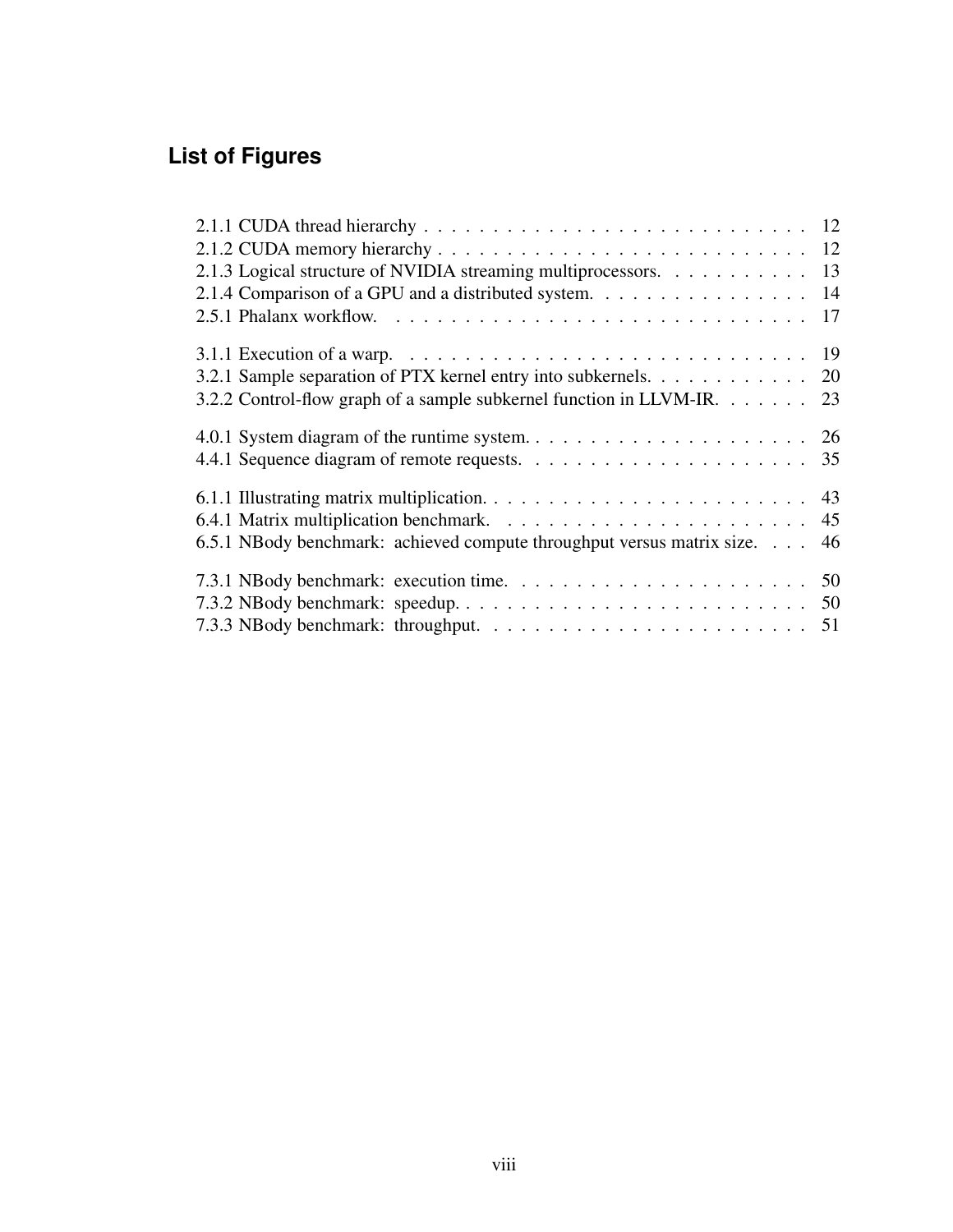# **List of Figures**

| 2.1.3 Logical structure of NVIDIA streaming multiprocessors. 13                                                     |  |
|---------------------------------------------------------------------------------------------------------------------|--|
| 2.1.4 Comparison of a GPU and a distributed system. 14                                                              |  |
|                                                                                                                     |  |
| 3.1.1 Execution of a warp. $\ldots \ldots \ldots \ldots \ldots \ldots \ldots \ldots \ldots \ldots \ldots \ldots$ 19 |  |
| 3.2.1 Sample separation of PTX kernel entry into subkernels. 20                                                     |  |
| 3.2.2 Control-flow graph of a sample subkernel function in LLVM-IR. 23                                              |  |
|                                                                                                                     |  |
|                                                                                                                     |  |
|                                                                                                                     |  |
|                                                                                                                     |  |
| 6.5.1 NBody benchmark: achieved compute throughput versus matrix size. 46                                           |  |
|                                                                                                                     |  |
|                                                                                                                     |  |
|                                                                                                                     |  |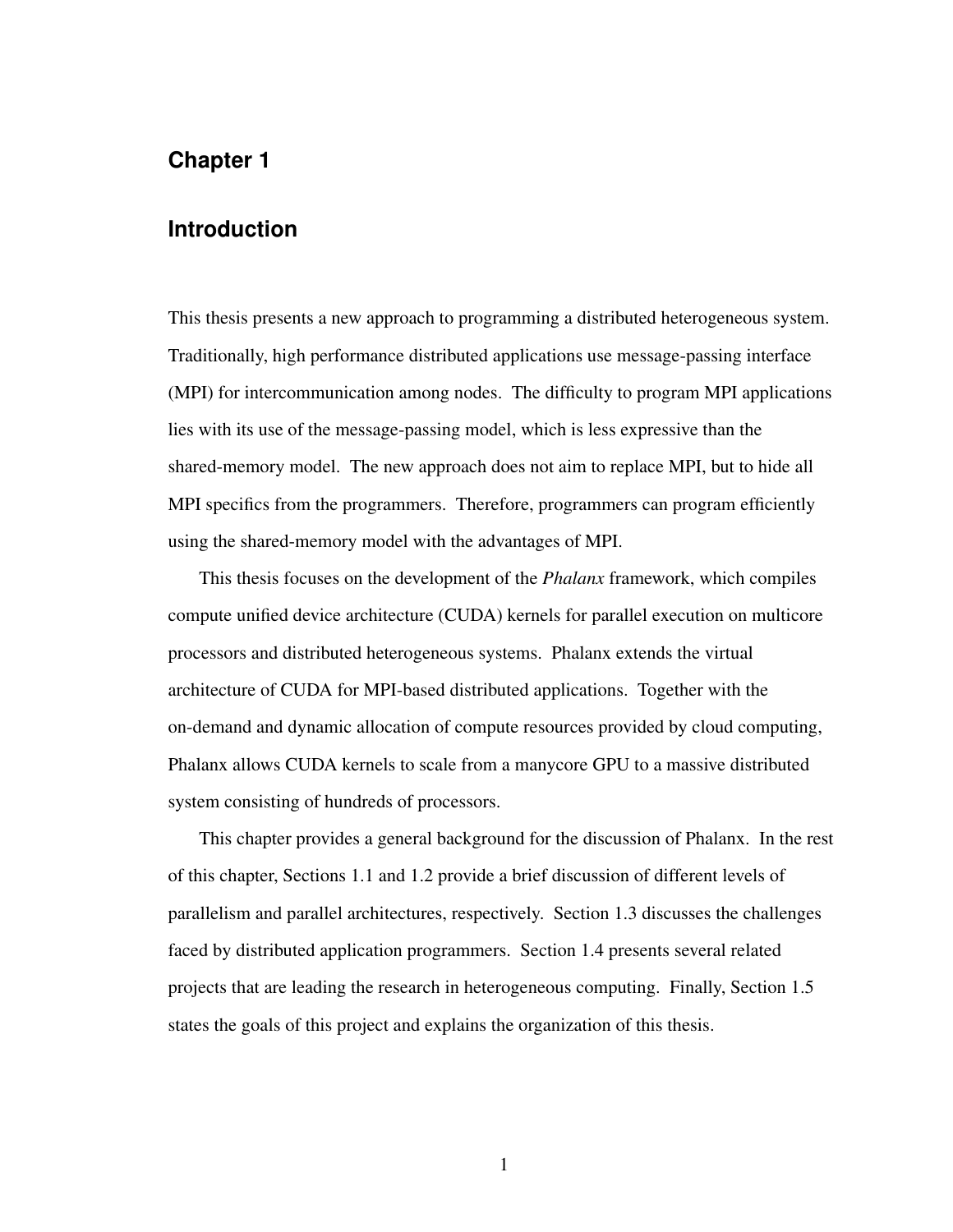# <span id="page-9-0"></span>**Chapter 1**

# **Introduction**

This thesis presents a new approach to programming a distributed heterogeneous system. Traditionally, high performance distributed applications use message-passing interface (MPI) for intercommunication among nodes. The difficulty to program MPI applications lies with its use of the message-passing model, which is less expressive than the shared-memory model. The new approach does not aim to replace MPI, but to hide all MPI specifics from the programmers. Therefore, programmers can program efficiently using the shared-memory model with the advantages of MPI.

This thesis focuses on the development of the *Phalanx* framework, which compiles compute unified device architecture (CUDA) kernels for parallel execution on multicore processors and distributed heterogeneous systems. Phalanx extends the virtual architecture of CUDA for MPI-based distributed applications. Together with the on-demand and dynamic allocation of compute resources provided by cloud computing, Phalanx allows CUDA kernels to scale from a manycore GPU to a massive distributed system consisting of hundreds of processors.

<span id="page-9-1"></span>This chapter provides a general background for the discussion of Phalanx. In the rest of this chapter, Sections [1.1](#page-9-1) and [1.2](#page-11-1) provide a brief discussion of different levels of parallelism and parallel architectures, respectively. Section [1.3](#page-14-0) discusses the challenges faced by distributed application programmers. Section [1.4](#page-16-0) presents several related projects that are leading the research in heterogeneous computing. Finally, Section [1.5](#page-17-1) states the goals of this project and explains the organization of this thesis.

1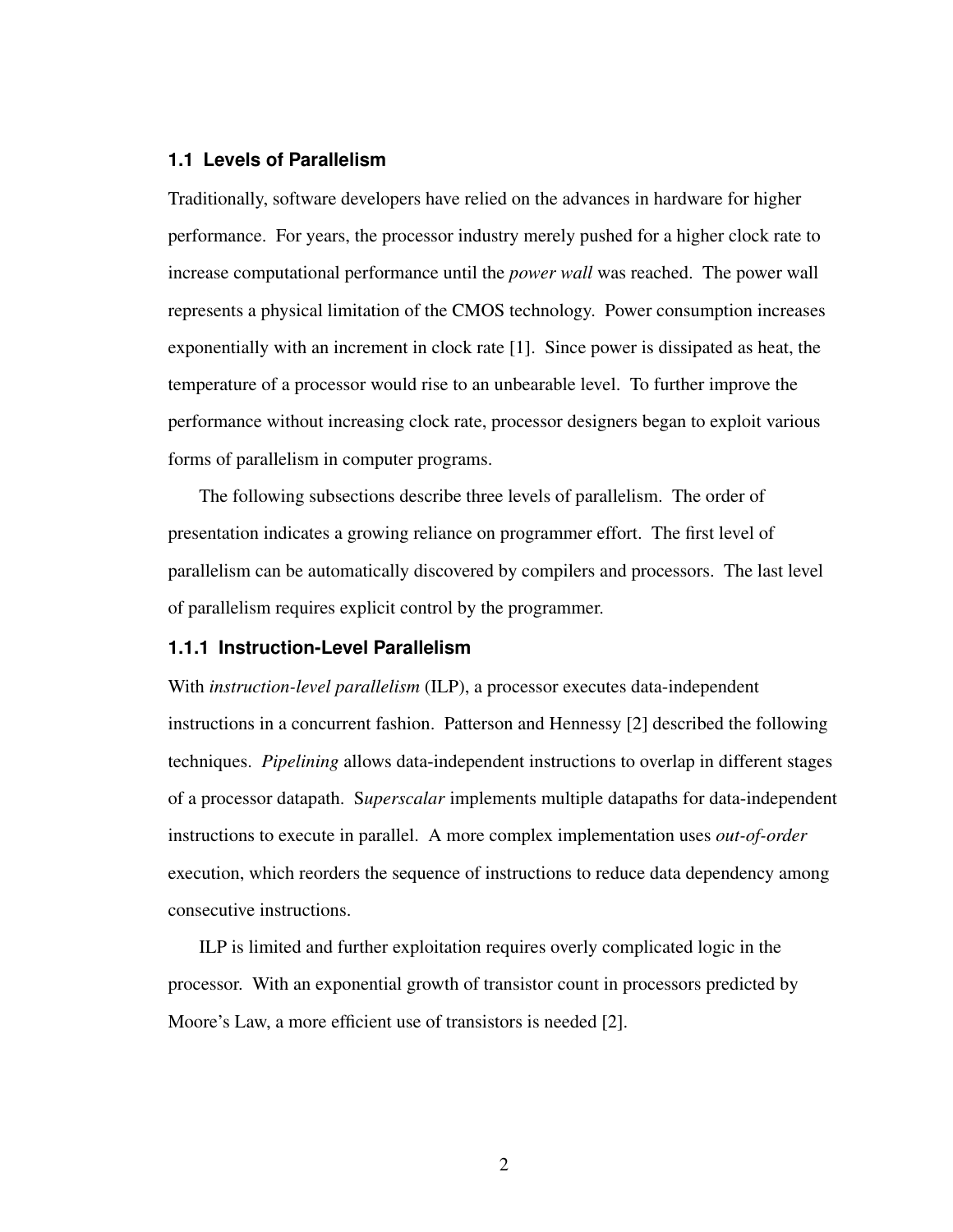# **1.1 Levels of Parallelism**

Traditionally, software developers have relied on the advances in hardware for higher performance. For years, the processor industry merely pushed for a higher clock rate to increase computational performance until the *power wall* was reached. The power wall represents a physical limitation of the CMOS technology. Power consumption increases exponentially with an increment in clock rate [\[1\]](#page-62-1). Since power is dissipated as heat, the temperature of a processor would rise to an unbearable level. To further improve the performance without increasing clock rate, processor designers began to exploit various forms of parallelism in computer programs.

The following subsections describe three levels of parallelism. The order of presentation indicates a growing reliance on programmer effort. The first level of parallelism can be automatically discovered by compilers and processors. The last level of parallelism requires explicit control by the programmer.

# <span id="page-10-0"></span>**1.1.1 Instruction-Level Parallelism**

With *instruction-level parallelism* (ILP), a processor executes data-independent instructions in a concurrent fashion. Patterson and Hennessy [\[2\]](#page-62-2) described the following techniques. *Pipelining* allows data-independent instructions to overlap in different stages of a processor datapath. S*uperscalar* implements multiple datapaths for data-independent instructions to execute in parallel. A more complex implementation uses *out-of-order* execution, which reorders the sequence of instructions to reduce data dependency among consecutive instructions.

<span id="page-10-1"></span>ILP is limited and further exploitation requires overly complicated logic in the processor. With an exponential growth of transistor count in processors predicted by Moore's Law, a more efficient use of transistors is needed [\[2\]](#page-62-2).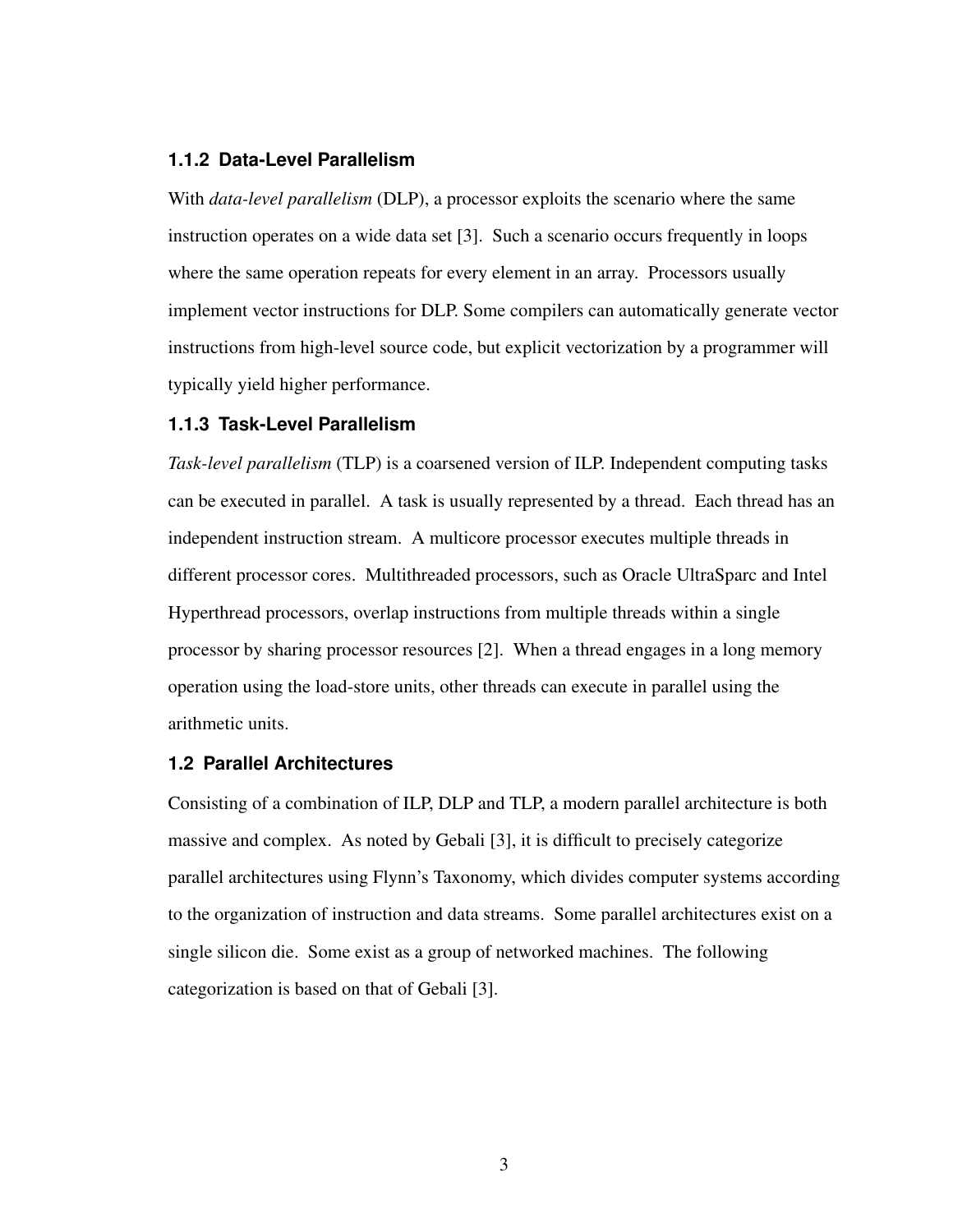# **1.1.2 Data-Level Parallelism**

With *data-level parallelism* (DLP), a processor exploits the scenario where the same instruction operates on a wide data set [\[3\]](#page-62-3). Such a scenario occurs frequently in loops where the same operation repeats for every element in an array. Processors usually implement vector instructions for DLP. Some compilers can automatically generate vector instructions from high-level source code, but explicit vectorization by a programmer will typically yield higher performance.

#### <span id="page-11-0"></span>**1.1.3 Task-Level Parallelism**

*Task-level parallelism* (TLP) is a coarsened version of ILP. Independent computing tasks can be executed in parallel. A task is usually represented by a thread. Each thread has an independent instruction stream. A multicore processor executes multiple threads in different processor cores. Multithreaded processors, such as Oracle UltraSparc and Intel Hyperthread processors, overlap instructions from multiple threads within a single processor by sharing processor resources [\[2\]](#page-62-2). When a thread engages in a long memory operation using the load-store units, other threads can execute in parallel using the arithmetic units.

# <span id="page-11-1"></span>**1.2 Parallel Architectures**

<span id="page-11-2"></span>Consisting of a combination of ILP, DLP and TLP, a modern parallel architecture is both massive and complex. As noted by Gebali [\[3\]](#page-62-3), it is difficult to precisely categorize parallel architectures using Flynn's Taxonomy, which divides computer systems according to the organization of instruction and data streams. Some parallel architectures exist on a single silicon die. Some exist as a group of networked machines. The following categorization is based on that of Gebali [\[3\]](#page-62-3).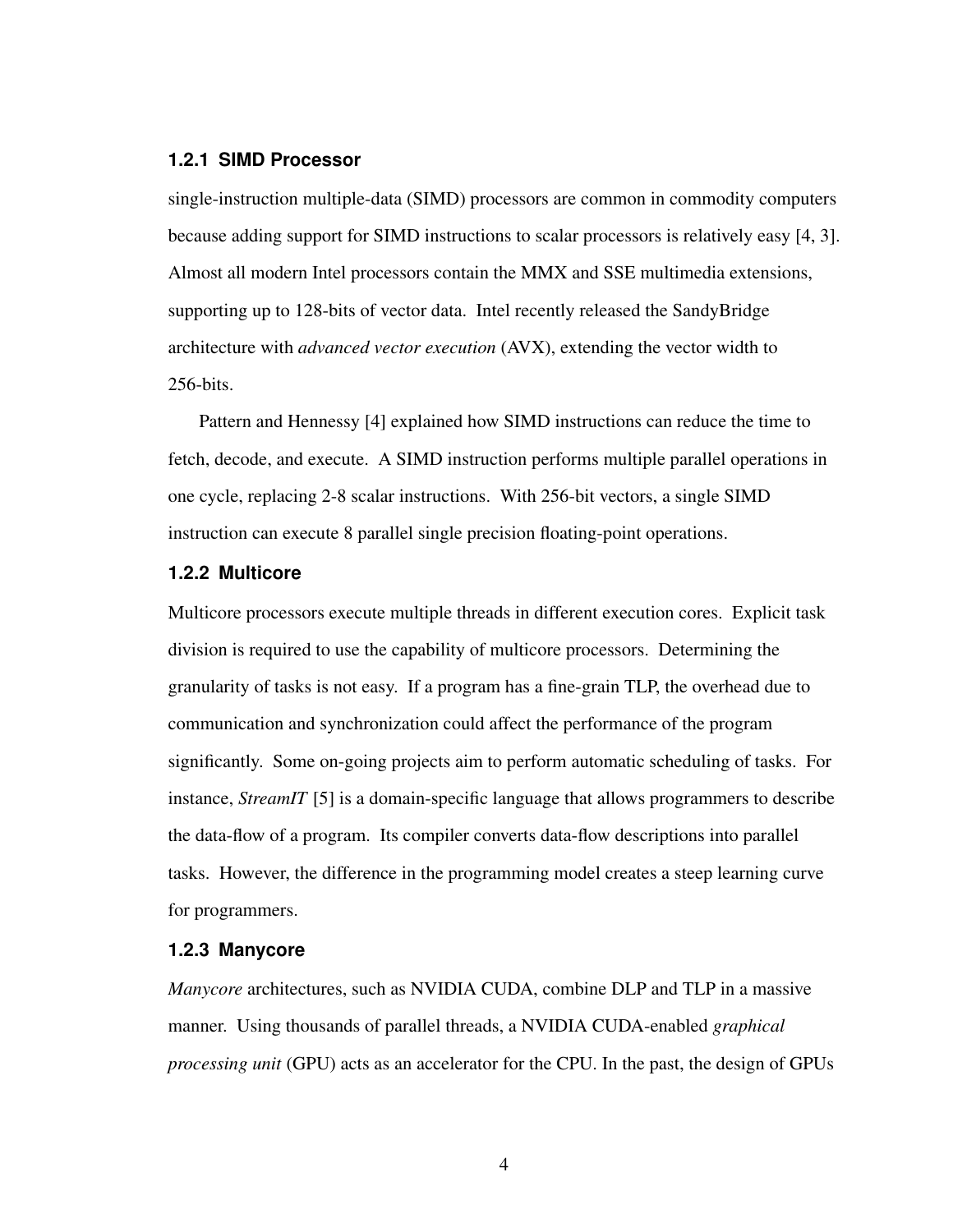#### **1.2.1 SIMD Processor**

single-instruction multiple-data (SIMD) processors are common in commodity computers because adding support for SIMD instructions to scalar processors is relatively easy [\[4,](#page-62-4) [3\]](#page-62-3). Almost all modern Intel processors contain the MMX and SSE multimedia extensions, supporting up to 128-bits of vector data. Intel recently released the SandyBridge architecture with *advanced vector execution* (AVX), extending the vector width to 256-bits.

Pattern and Hennessy [\[4\]](#page-62-4) explained how SIMD instructions can reduce the time to fetch, decode, and execute. A SIMD instruction performs multiple parallel operations in one cycle, replacing 2-8 scalar instructions. With 256-bit vectors, a single SIMD instruction can execute 8 parallel single precision floating-point operations.

# <span id="page-12-0"></span>**1.2.2 Multicore**

Multicore processors execute multiple threads in different execution cores. Explicit task division is required to use the capability of multicore processors. Determining the granularity of tasks is not easy. If a program has a fine-grain TLP, the overhead due to communication and synchronization could affect the performance of the program significantly. Some on-going projects aim to perform automatic scheduling of tasks. For instance, *StreamIT* [\[5\]](#page-62-5) is a domain-specific language that allows programmers to describe the data-flow of a program. Its compiler converts data-flow descriptions into parallel tasks. However, the difference in the programming model creates a steep learning curve for programmers.

#### <span id="page-12-1"></span>**1.2.3 Manycore**

*Manycore* architectures, such as NVIDIA CUDA, combine DLP and TLP in a massive manner. Using thousands of parallel threads, a NVIDIA CUDA-enabled *graphical processing unit* (GPU) acts as an accelerator for the CPU. In the past, the design of GPUs

4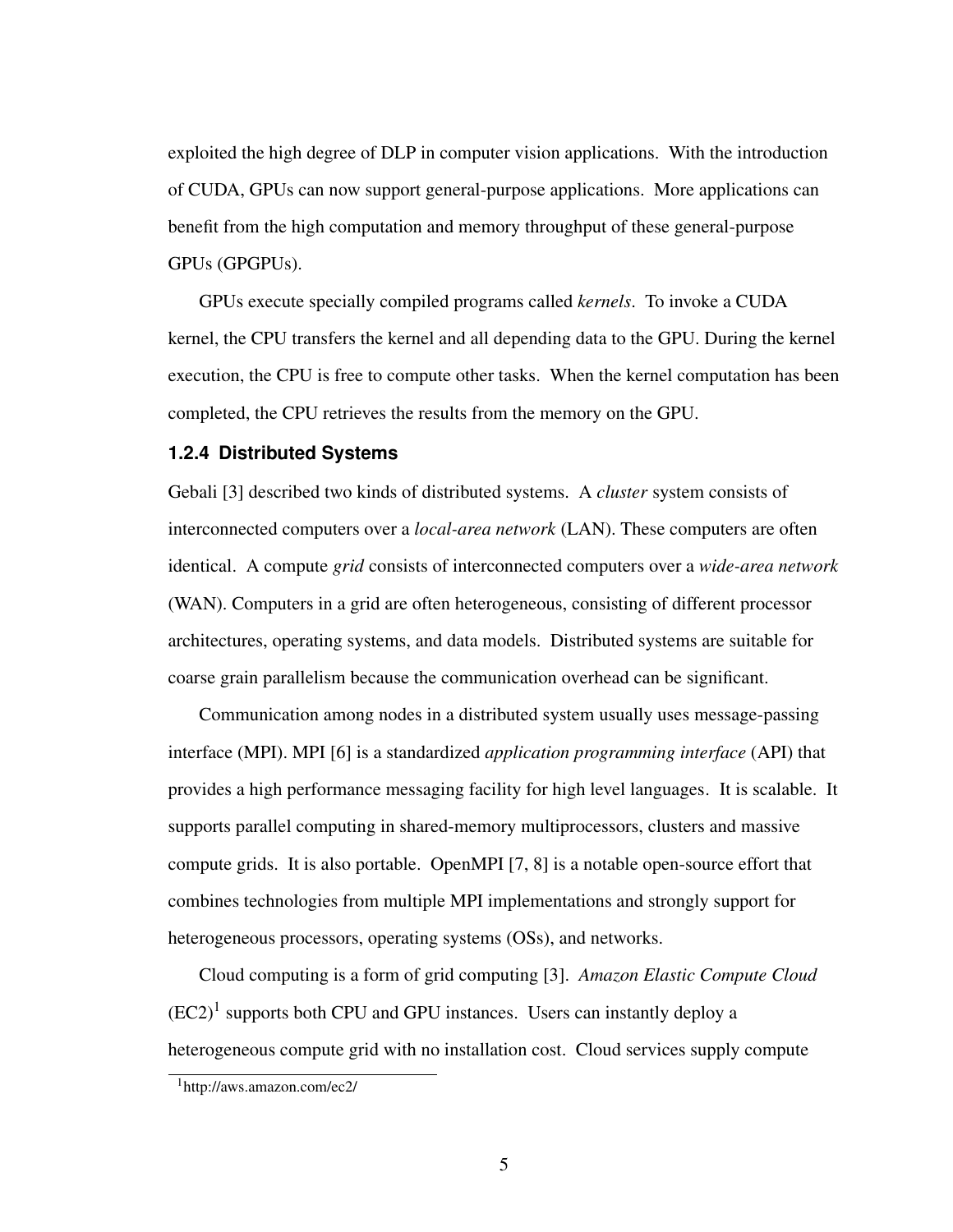exploited the high degree of DLP in computer vision applications. With the introduction of CUDA, GPUs can now support general-purpose applications. More applications can benefit from the high computation and memory throughput of these general-purpose GPUs (GPGPUs).

GPUs execute specially compiled programs called *kernels*. To invoke a CUDA kernel, the CPU transfers the kernel and all depending data to the GPU. During the kernel execution, the CPU is free to compute other tasks. When the kernel computation has been completed, the CPU retrieves the results from the memory on the GPU.

#### <span id="page-13-0"></span>**1.2.4 Distributed Systems**

Gebali [\[3\]](#page-62-3) described two kinds of distributed systems. A *cluster* system consists of interconnected computers over a *local-area network* (LAN). These computers are often identical. A compute *grid* consists of interconnected computers over a *wide-area network* (WAN). Computers in a grid are often heterogeneous, consisting of different processor architectures, operating systems, and data models. Distributed systems are suitable for coarse grain parallelism because the communication overhead can be significant.

Communication among nodes in a distributed system usually uses message-passing interface (MPI). MPI [\[6\]](#page-62-6) is a standardized *application programming interface* (API) that provides a high performance messaging facility for high level languages. It is scalable. It supports parallel computing in shared-memory multiprocessors, clusters and massive compute grids. It is also portable. OpenMPI [\[7,](#page-62-7) [8\]](#page-62-8) is a notable open-source effort that combines technologies from multiple MPI implementations and strongly support for heterogeneous processors, operating systems (OSs), and networks.

Cloud computing is a form of grid computing [\[3\]](#page-62-3). *Amazon Elastic Compute Cloud*  $(EC2)^1$  $(EC2)^1$  supports both CPU and GPU instances. Users can instantly deploy a heterogeneous compute grid with no installation cost. Cloud services supply compute

<span id="page-13-1"></span><sup>1</sup>http://aws.amazon.com/ec2/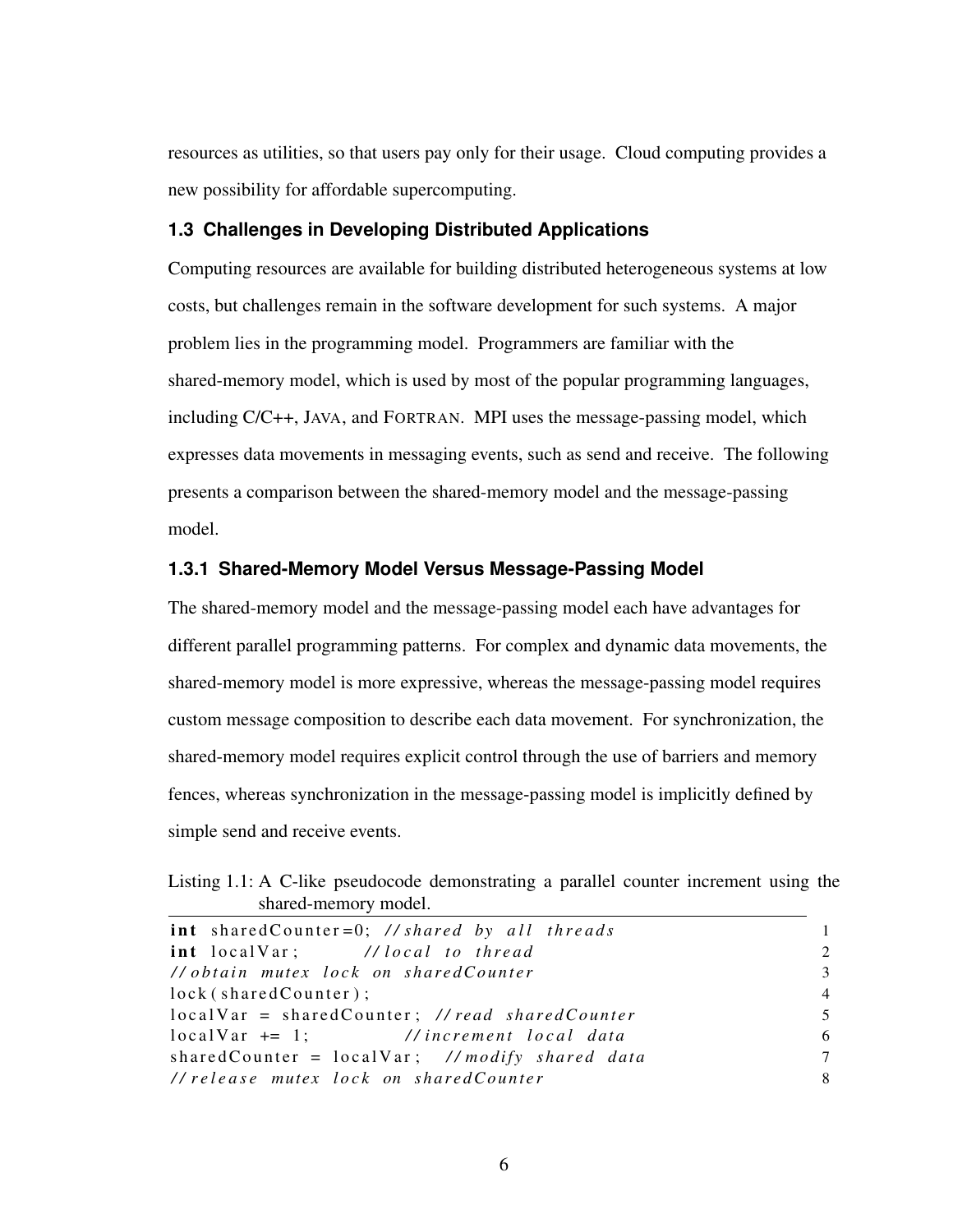resources as utilities, so that users pay only for their usage. Cloud computing provides a new possibility for affordable supercomputing.

# <span id="page-14-0"></span>**1.3 Challenges in Developing Distributed Applications**

Computing resources are available for building distributed heterogeneous systems at low costs, but challenges remain in the software development for such systems. A major problem lies in the programming model. Programmers are familiar with the shared-memory model, which is used by most of the popular programming languages, including C/C++, JAVA, and FORTRAN. MPI uses the message-passing model, which expresses data movements in messaging events, such as send and receive. The following presents a comparison between the shared-memory model and the message-passing model.

# <span id="page-14-1"></span>**1.3.1 Shared-Memory Model Versus Message-Passing Model**

The shared-memory model and the message-passing model each have advantages for different parallel programming patterns. For complex and dynamic data movements, the shared-memory model is more expressive, whereas the message-passing model requires custom message composition to describe each data movement. For synchronization, the shared-memory model requires explicit control through the use of barriers and memory fences, whereas synchronization in the message-passing model is implicitly defined by simple send and receive events.

<span id="page-14-2"></span>Listing 1.1: A C-like pseudocode demonstrating a parallel counter increment using the shared-memory model.

| $int$ shared Counter = 0; // shared by all threads |                |
|----------------------------------------------------|----------------|
| int local Var; //local to thread                   | $2^{1}$        |
| // obtain mutex lock on shared Counter             | 3              |
| lock(sharedCounter);                               | $\overline{4}$ |
| $localVar = sharedCounter;$ //read sharedCounter   | 5              |
| $localVar += 1;$ //increment $local data$          | 6              |
| shared Counter = $localVar$ ; //modify shared data | $\tau$         |
| //release mutex lock on sharedCounter              | 8              |
|                                                    |                |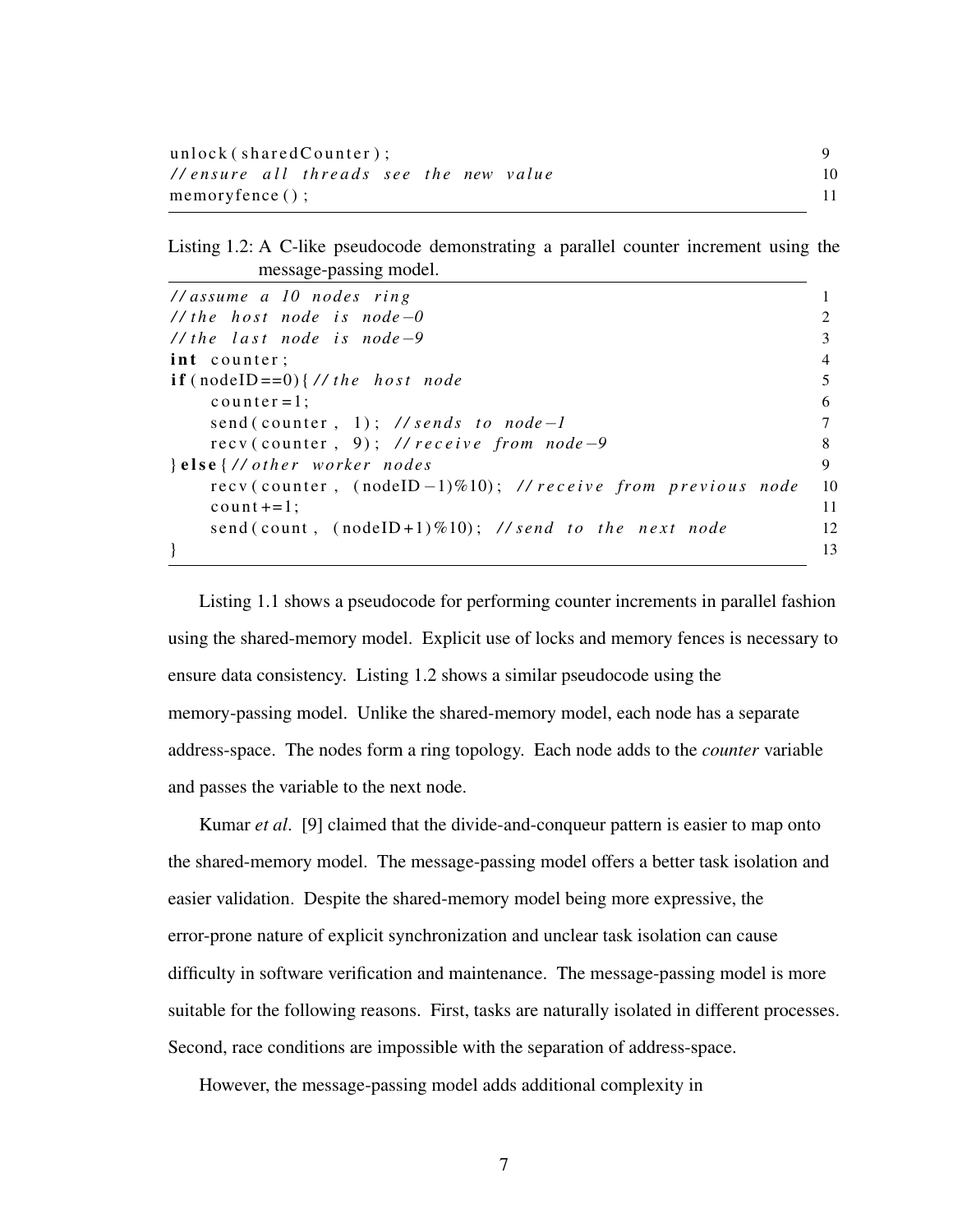| unlock(sharedCounter);                 |  |
|----------------------------------------|--|
| //ensure all threads see the new value |  |
| $memoryfence()$ ;                      |  |

<span id="page-15-0"></span>Listing 1.2: A C-like pseudocode demonstrating a parallel counter increment using the message-passing model.

| $\frac{1}{\text{I}}$ assume a 10 nodes ring                   |                |
|---------------------------------------------------------------|----------------|
| // the host node is node $-0$                                 |                |
| // the last node is node $-9$                                 | 3              |
| int counter;                                                  | $\overline{4}$ |
| $\textbf{if} \text{ (nodeID==0)} \} // \text{ the host node}$ | 5              |
| $counter = 1$ ;                                               | 6              |
| send (counter, 1); // sends to node-1                         |                |
| recy(counter, 9); // receive from node-9                      | 8              |
| $\}$ else $\frac{1}{\sqrt{}$ other worker nodes               | 9              |
| recv(counter, (nodeID-1)%10); //receive from previous node    | 10             |
| $count+=1$ :                                                  | 11             |
| send (count, $(nodeID+1)\%10)$ ; //send to the next node      | 12             |
|                                                               | 13             |

Listing [1.1](#page-14-2) shows a pseudocode for performing counter increments in parallel fashion using the shared-memory model. Explicit use of locks and memory fences is necessary to ensure data consistency. Listing [1.2](#page-15-0) shows a similar pseudocode using the memory-passing model. Unlike the shared-memory model, each node has a separate address-space. The nodes form a ring topology. Each node adds to the *counter* variable and passes the variable to the next node.

Kumar *et al*. [\[9\]](#page-62-9) claimed that the divide-and-conqueur pattern is easier to map onto the shared-memory model. The message-passing model offers a better task isolation and easier validation. Despite the shared-memory model being more expressive, the error-prone nature of explicit synchronization and unclear task isolation can cause difficulty in software verification and maintenance. The message-passing model is more suitable for the following reasons. First, tasks are naturally isolated in different processes. Second, race conditions are impossible with the separation of address-space.

However, the message-passing model adds additional complexity in

7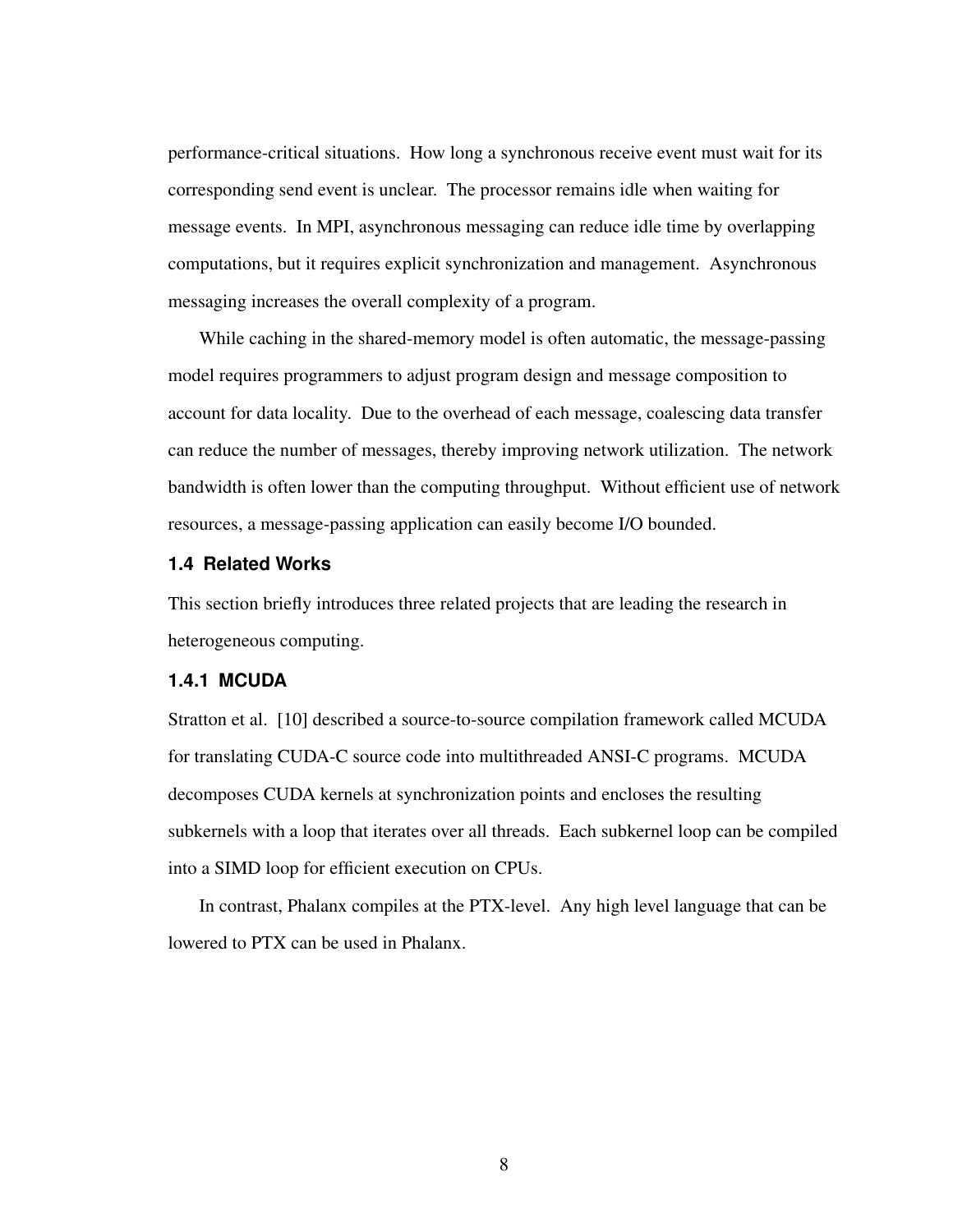performance-critical situations. How long a synchronous receive event must wait for its corresponding send event is unclear. The processor remains idle when waiting for message events. In MPI, asynchronous messaging can reduce idle time by overlapping computations, but it requires explicit synchronization and management. Asynchronous messaging increases the overall complexity of a program.

While caching in the shared-memory model is often automatic, the message-passing model requires programmers to adjust program design and message composition to account for data locality. Due to the overhead of each message, coalescing data transfer can reduce the number of messages, thereby improving network utilization. The network bandwidth is often lower than the computing throughput. Without efficient use of network resources, a message-passing application can easily become I/O bounded.

# <span id="page-16-0"></span>**1.4 Related Works**

This section briefly introduces three related projects that are leading the research in heterogeneous computing.

#### <span id="page-16-1"></span>**1.4.1 MCUDA**

Stratton et al. [\[10\]](#page-62-10) described a source-to-source compilation framework called MCUDA for translating CUDA-C source code into multithreaded ANSI-C programs. MCUDA decomposes CUDA kernels at synchronization points and encloses the resulting subkernels with a loop that iterates over all threads. Each subkernel loop can be compiled into a SIMD loop for efficient execution on CPUs.

<span id="page-16-2"></span>In contrast, Phalanx compiles at the PTX-level. Any high level language that can be lowered to PTX can be used in Phalanx.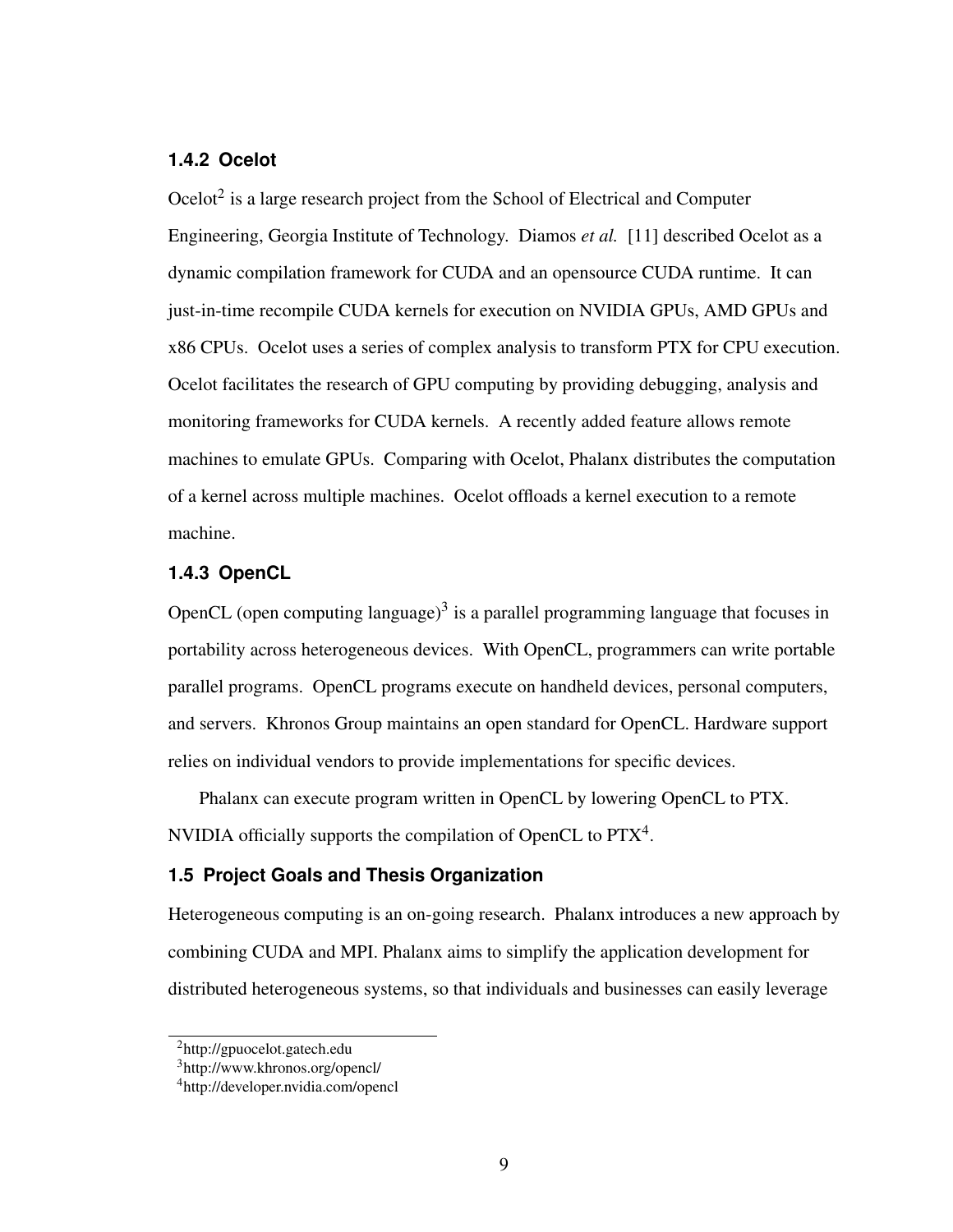# **1.4.2 Ocelot**

Ocelot $2$  is a large research project from the School of Electrical and Computer Engineering, Georgia Institute of Technology. Diamos *et al.* [\[11\]](#page-62-11) described Ocelot as a dynamic compilation framework for CUDA and an opensource CUDA runtime. It can just-in-time recompile CUDA kernels for execution on NVIDIA GPUs, AMD GPUs and x86 CPUs. Ocelot uses a series of complex analysis to transform PTX for CPU execution. Ocelot facilitates the research of GPU computing by providing debugging, analysis and monitoring frameworks for CUDA kernels. A recently added feature allows remote machines to emulate GPUs. Comparing with Ocelot, Phalanx distributes the computation of a kernel across multiple machines. Ocelot offloads a kernel execution to a remote machine.

# <span id="page-17-0"></span>**1.4.3 OpenCL**

OpenCL (open computing language) $3$  is a parallel programming language that focuses in portability across heterogeneous devices. With OpenCL, programmers can write portable parallel programs. OpenCL programs execute on handheld devices, personal computers, and servers. Khronos Group maintains an open standard for OpenCL. Hardware support relies on individual vendors to provide implementations for specific devices.

Phalanx can execute program written in OpenCL by lowering OpenCL to PTX. NVIDIA officially supports the compilation of OpenCL to  $PTX<sup>4</sup>$  $PTX<sup>4</sup>$  $PTX<sup>4</sup>$ .

#### <span id="page-17-1"></span>**1.5 Project Goals and Thesis Organization**

Heterogeneous computing is an on-going research. Phalanx introduces a new approach by combining CUDA and MPI. Phalanx aims to simplify the application development for distributed heterogeneous systems, so that individuals and businesses can easily leverage

<span id="page-17-2"></span><sup>2</sup>http://gpuocelot.gatech.edu

<span id="page-17-3"></span><sup>3</sup>http://www.khronos.org/opencl/

<span id="page-17-4"></span><sup>4</sup>http://developer.nvidia.com/opencl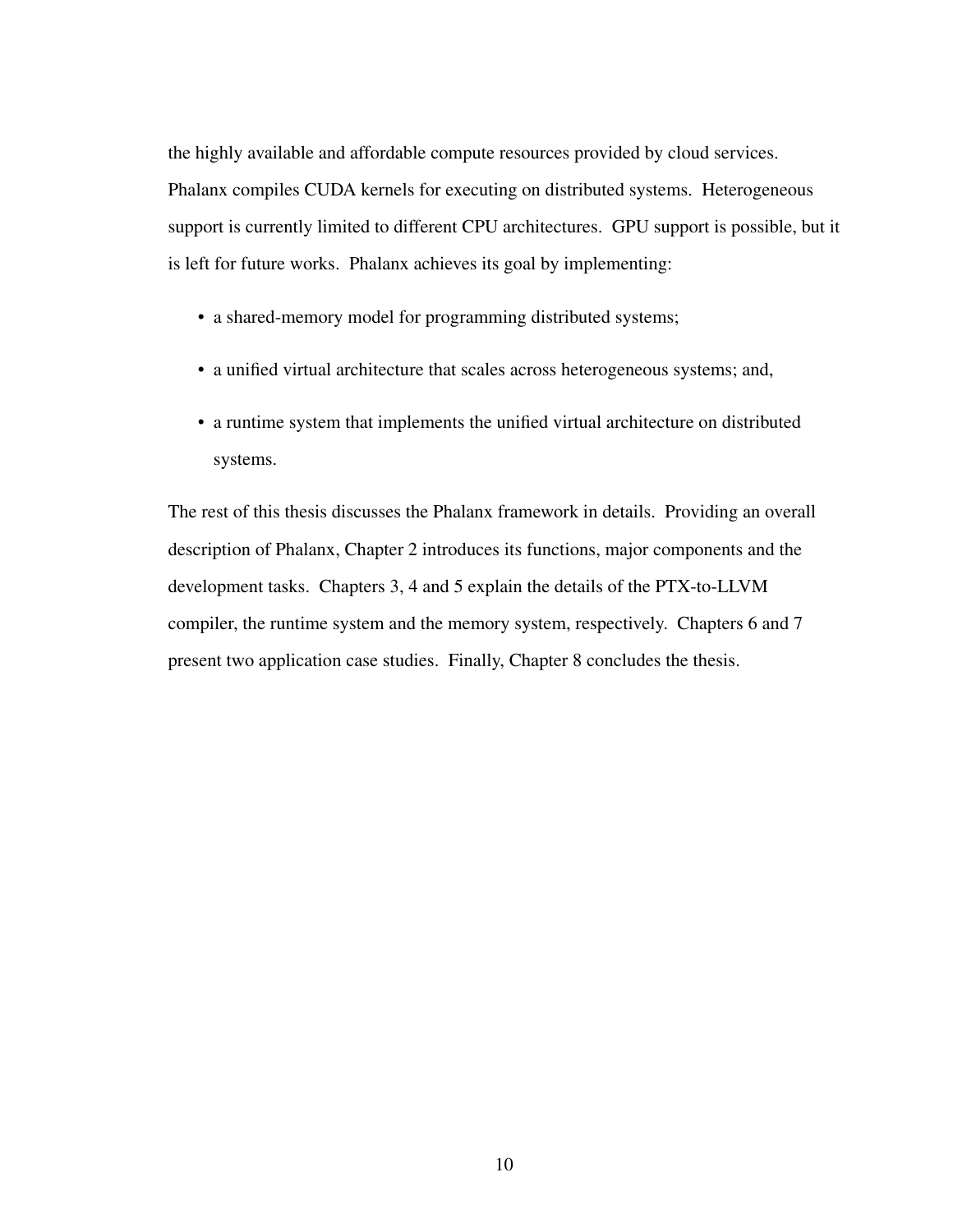the highly available and affordable compute resources provided by cloud services. Phalanx compiles CUDA kernels for executing on distributed systems. Heterogeneous support is currently limited to different CPU architectures. GPU support is possible, but it is left for future works. Phalanx achieves its goal by implementing:

- a shared-memory model for programming distributed systems;
- a unified virtual architecture that scales across heterogeneous systems; and,
- a runtime system that implements the unified virtual architecture on distributed systems.

The rest of this thesis discusses the Phalanx framework in details. Providing an overall description of Phalanx, Chapter [2](#page-19-0) introduces its functions, major components and the development tasks. Chapters [3,](#page-26-0) [4](#page-34-0) and [5](#page-44-0) explain the details of the PTX-to-LLVM compiler, the runtime system and the memory system, respectively. Chapters [6](#page-50-0) and [7](#page-56-0) present two application case studies. Finally, Chapter [8](#page-60-0) concludes the thesis.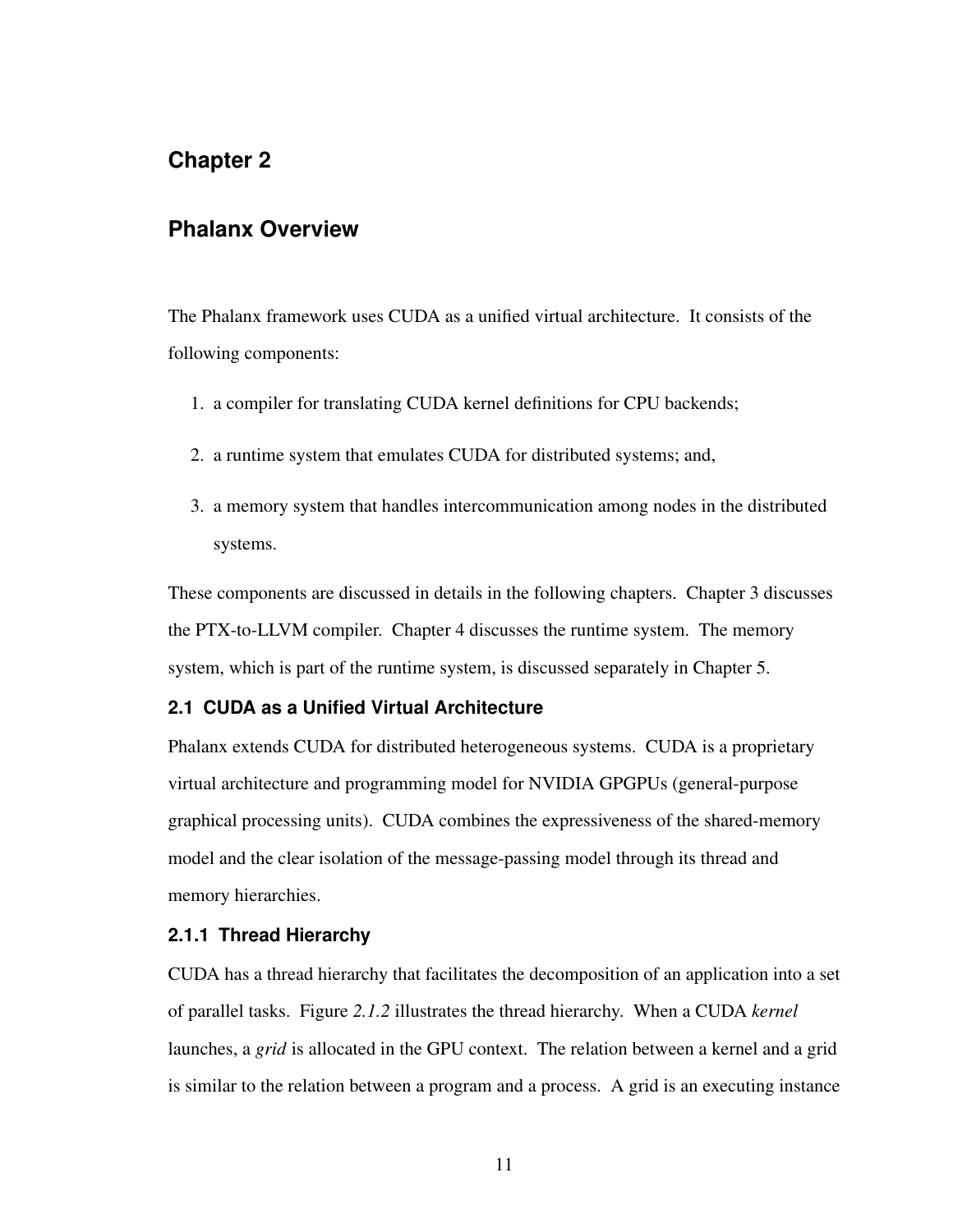# <span id="page-19-0"></span>**Chapter 2**

# **Phalanx Overview**

The Phalanx framework uses CUDA as a unified virtual architecture. It consists of the following components:

- 1. a compiler for translating CUDA kernel definitions for CPU backends;
- 2. a runtime system that emulates CUDA for distributed systems; and,
- 3. a memory system that handles intercommunication among nodes in the distributed systems.

These components are discussed in details in the following chapters. Chapter [3](#page-26-0) discusses the PTX-to-LLVM compiler. Chapter [4](#page-34-0) discusses the runtime system. The memory system, which is part of the runtime system, is discussed separately in Chapter [5.](#page-44-0)

# <span id="page-19-1"></span>**2.1 CUDA as a Unified Virtual Architecture**

Phalanx extends CUDA for distributed heterogeneous systems. CUDA is a proprietary virtual architecture and programming model for NVIDIA GPGPUs (general-purpose graphical processing units). CUDA combines the expressiveness of the shared-memory model and the clear isolation of the message-passing model through its thread and memory hierarchies.

## <span id="page-19-2"></span>**2.1.1 Thread Hierarchy**

CUDA has a thread hierarchy that facilitates the decomposition of an application into a set of parallel tasks. Figure *[2.1.2](#page-20-2)* illustrates the thread hierarchy. When a CUDA *kernel* launches, a *grid* is allocated in the GPU context. The relation between a kernel and a grid is similar to the relation between a program and a process. A grid is an executing instance

11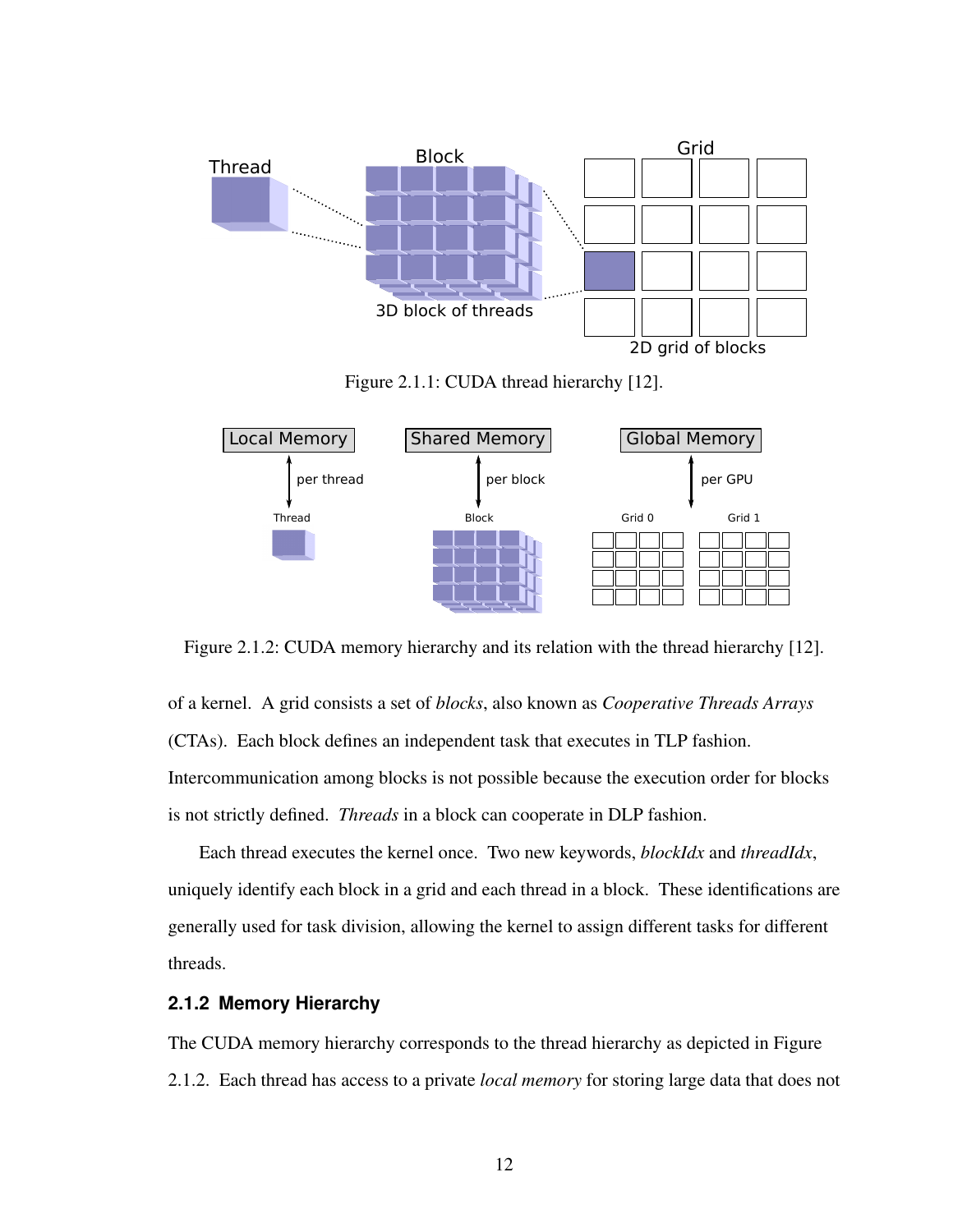<span id="page-20-1"></span>

Figure 2.1.1: CUDA thread hierarchy [\[12\]](#page-63-0).

<span id="page-20-2"></span>

Figure 2.1.2: CUDA memory hierarchy and its relation with the thread hierarchy [\[12\]](#page-63-0).

of a kernel. A grid consists a set of *blocks*, also known as *Cooperative Threads Arrays* (CTAs). Each block defines an independent task that executes in TLP fashion. Intercommunication among blocks is not possible because the execution order for blocks is not strictly defined. *Threads* in a block can cooperate in DLP fashion.

Each thread executes the kernel once. Two new keywords, *blockIdx* and *threadIdx*, uniquely identify each block in a grid and each thread in a block. These identifications are generally used for task division, allowing the kernel to assign different tasks for different threads.

# <span id="page-20-0"></span>**2.1.2 Memory Hierarchy**

The CUDA memory hierarchy corresponds to the thread hierarchy as depicted in Figure [2.1.2.](#page-20-2) Each thread has access to a private *local memory* for storing large data that does not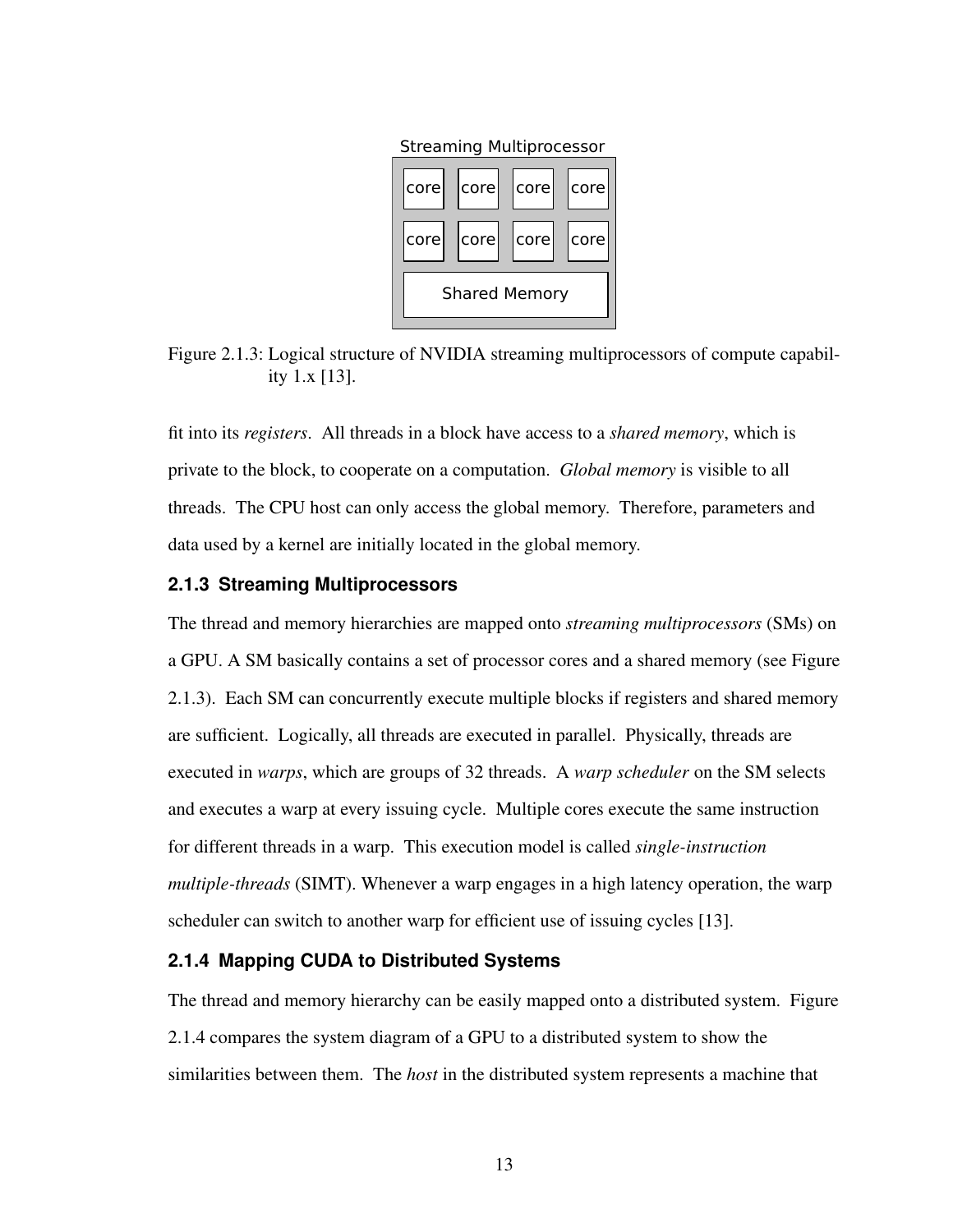

Streaming Multiprocessor

<span id="page-21-2"></span>Figure 2.1.3: Logical structure of NVIDIA streaming multiprocessors of compute capability 1.x [\[13\]](#page-63-1).

fit into its *registers*. All threads in a block have access to a *shared memory*, which is private to the block, to cooperate on a computation. *Global memory* is visible to all threads. The CPU host can only access the global memory. Therefore, parameters and data used by a kernel are initially located in the global memory.

### <span id="page-21-0"></span>**2.1.3 Streaming Multiprocessors**

The thread and memory hierarchies are mapped onto *streaming multiprocessors* (SMs) on a GPU. A SM basically contains a set of processor cores and a shared memory (see Figure [2.1.3\)](#page-21-2). Each SM can concurrently execute multiple blocks if registers and shared memory are sufficient. Logically, all threads are executed in parallel. Physically, threads are executed in *warps*, which are groups of 32 threads. A *warp scheduler* on the SM selects and executes a warp at every issuing cycle. Multiple cores execute the same instruction for different threads in a warp. This execution model is called *single-instruction multiple-threads* (SIMT). Whenever a warp engages in a high latency operation, the warp scheduler can switch to another warp for efficient use of issuing cycles [\[13\]](#page-63-1).

# <span id="page-21-1"></span>**2.1.4 Mapping CUDA to Distributed Systems**

The thread and memory hierarchy can be easily mapped onto a distributed system. Figure [2.1.4](#page-22-2) compares the system diagram of a GPU to a distributed system to show the similarities between them. The *host* in the distributed system represents a machine that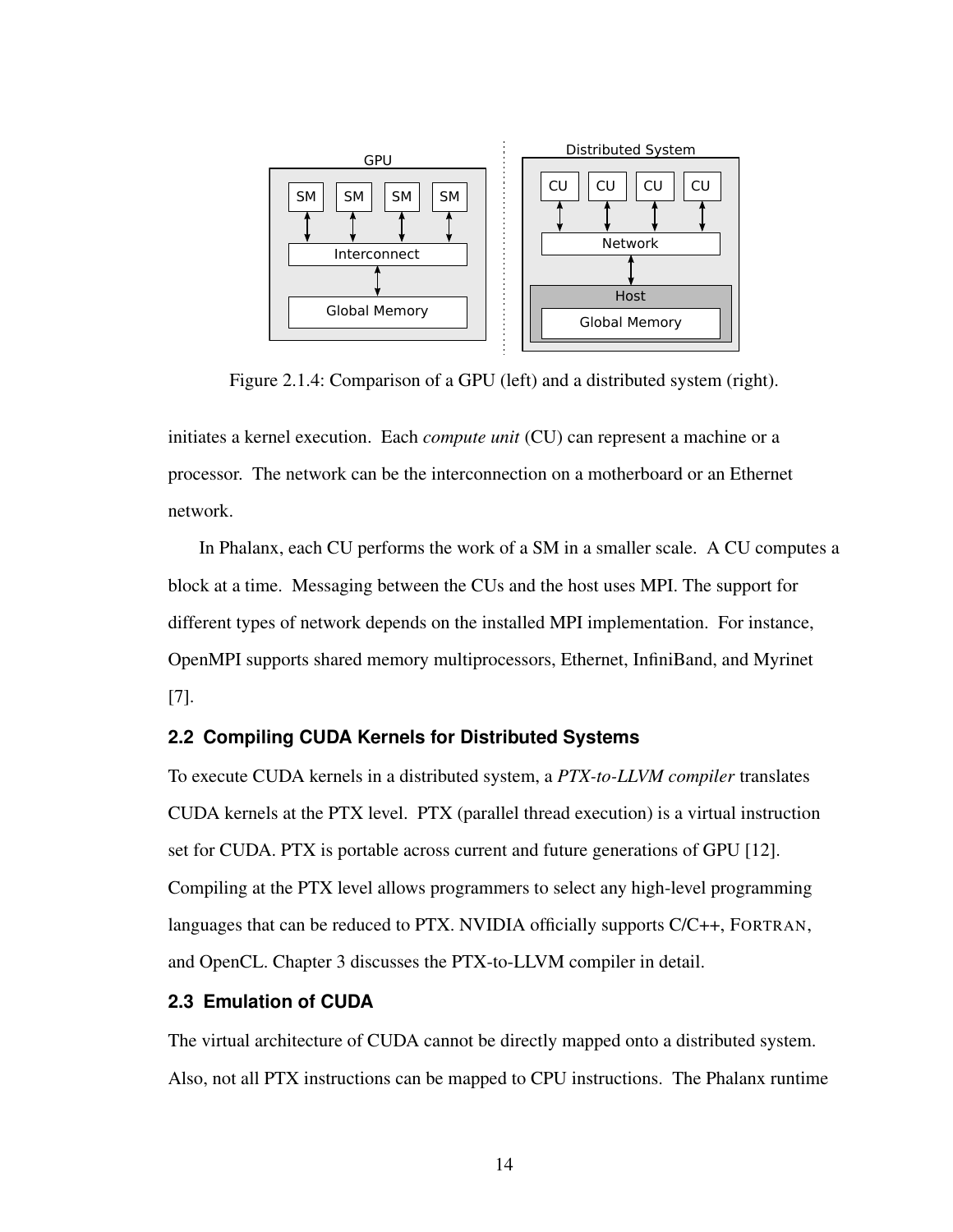<span id="page-22-2"></span>

Figure 2.1.4: Comparison of a GPU (left) and a distributed system (right).

initiates a kernel execution. Each *compute unit* (CU) can represent a machine or a processor. The network can be the interconnection on a motherboard or an Ethernet network.

In Phalanx, each CU performs the work of a SM in a smaller scale. A CU computes a block at a time. Messaging between the CUs and the host uses MPI. The support for different types of network depends on the installed MPI implementation. For instance, OpenMPI supports shared memory multiprocessors, Ethernet, InfiniBand, and Myrinet [\[7\]](#page-62-7).

# <span id="page-22-0"></span>**2.2 Compiling CUDA Kernels for Distributed Systems**

To execute CUDA kernels in a distributed system, a *PTX-to-LLVM compiler* translates CUDA kernels at the PTX level. PTX (parallel thread execution) is a virtual instruction set for CUDA. PTX is portable across current and future generations of GPU [\[12\]](#page-63-0). Compiling at the PTX level allows programmers to select any high-level programming languages that can be reduced to PTX. NVIDIA officially supports C/C++, FORTRAN, and OpenCL. Chapter [3](#page-26-0) discusses the PTX-to-LLVM compiler in detail.

# <span id="page-22-1"></span>**2.3 Emulation of CUDA**

The virtual architecture of CUDA cannot be directly mapped onto a distributed system. Also, not all PTX instructions can be mapped to CPU instructions. The Phalanx runtime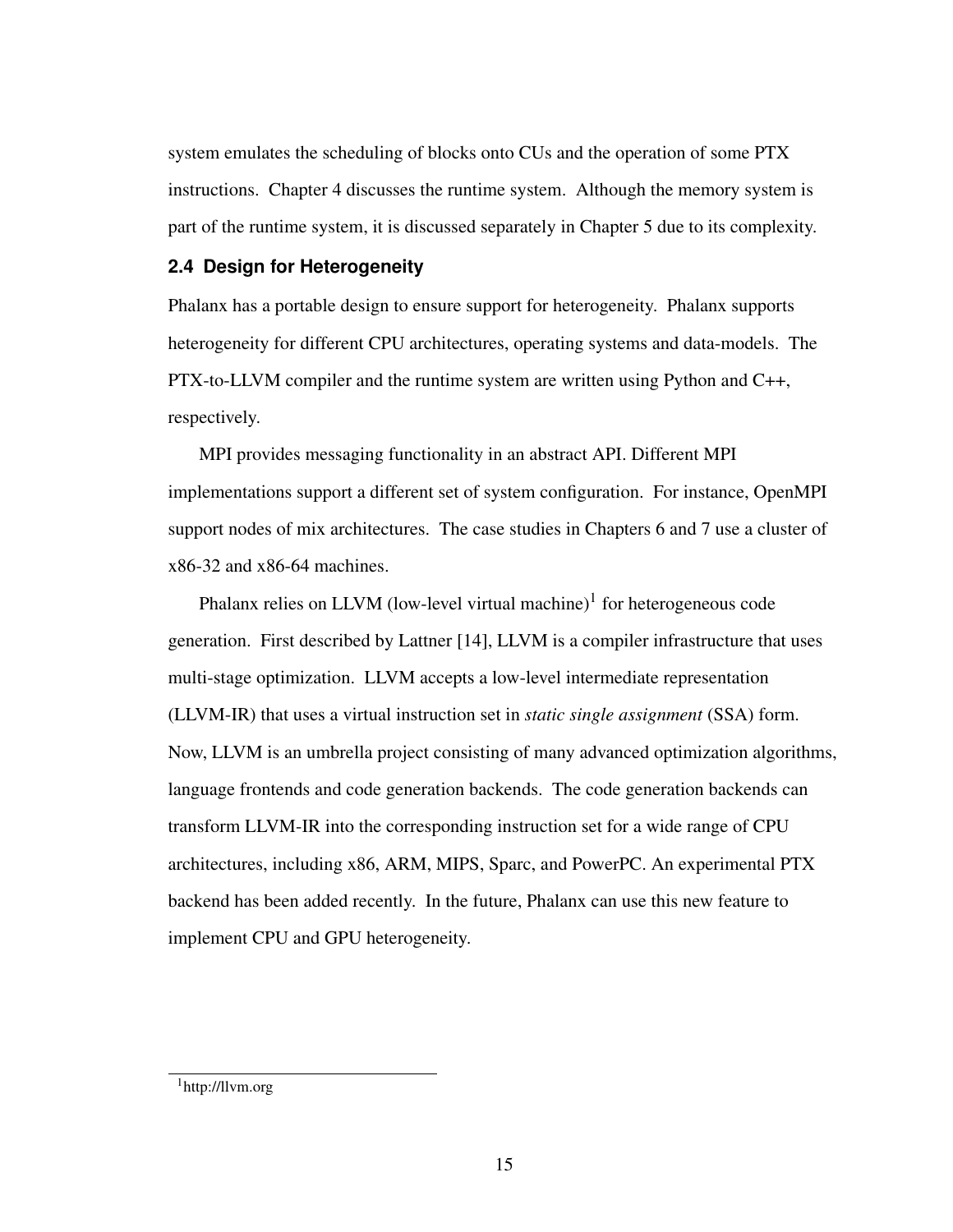system emulates the scheduling of blocks onto CUs and the operation of some PTX instructions. Chapter [4](#page-34-0) discusses the runtime system. Although the memory system is part of the runtime system, it is discussed separately in Chapter [5](#page-44-0) due to its complexity.

# <span id="page-23-0"></span>**2.4 Design for Heterogeneity**

Phalanx has a portable design to ensure support for heterogeneity. Phalanx supports heterogeneity for different CPU architectures, operating systems and data-models. The PTX-to-LLVM compiler and the runtime system are written using Python and C++, respectively.

MPI provides messaging functionality in an abstract API. Different MPI implementations support a different set of system configuration. For instance, OpenMPI support nodes of mix architectures. The case studies in Chapters [6](#page-50-0) and [7](#page-56-0) use a cluster of x86-32 and x86-64 machines.

Phalanx relies on LLVM (low-level virtual machine) $<sup>1</sup>$  $<sup>1</sup>$  $<sup>1</sup>$  for heterogeneous code</sup> generation. First described by Lattner [\[14\]](#page-63-2), LLVM is a compiler infrastructure that uses multi-stage optimization. LLVM accepts a low-level intermediate representation (LLVM-IR) that uses a virtual instruction set in *static single assignment* (SSA) form. Now, LLVM is an umbrella project consisting of many advanced optimization algorithms, language frontends and code generation backends. The code generation backends can transform LLVM-IR into the corresponding instruction set for a wide range of CPU architectures, including x86, ARM, MIPS, Sparc, and PowerPC. An experimental PTX backend has been added recently. In the future, Phalanx can use this new feature to implement CPU and GPU heterogeneity.

<span id="page-23-2"></span><span id="page-23-1"></span><sup>1</sup>http://llvm.org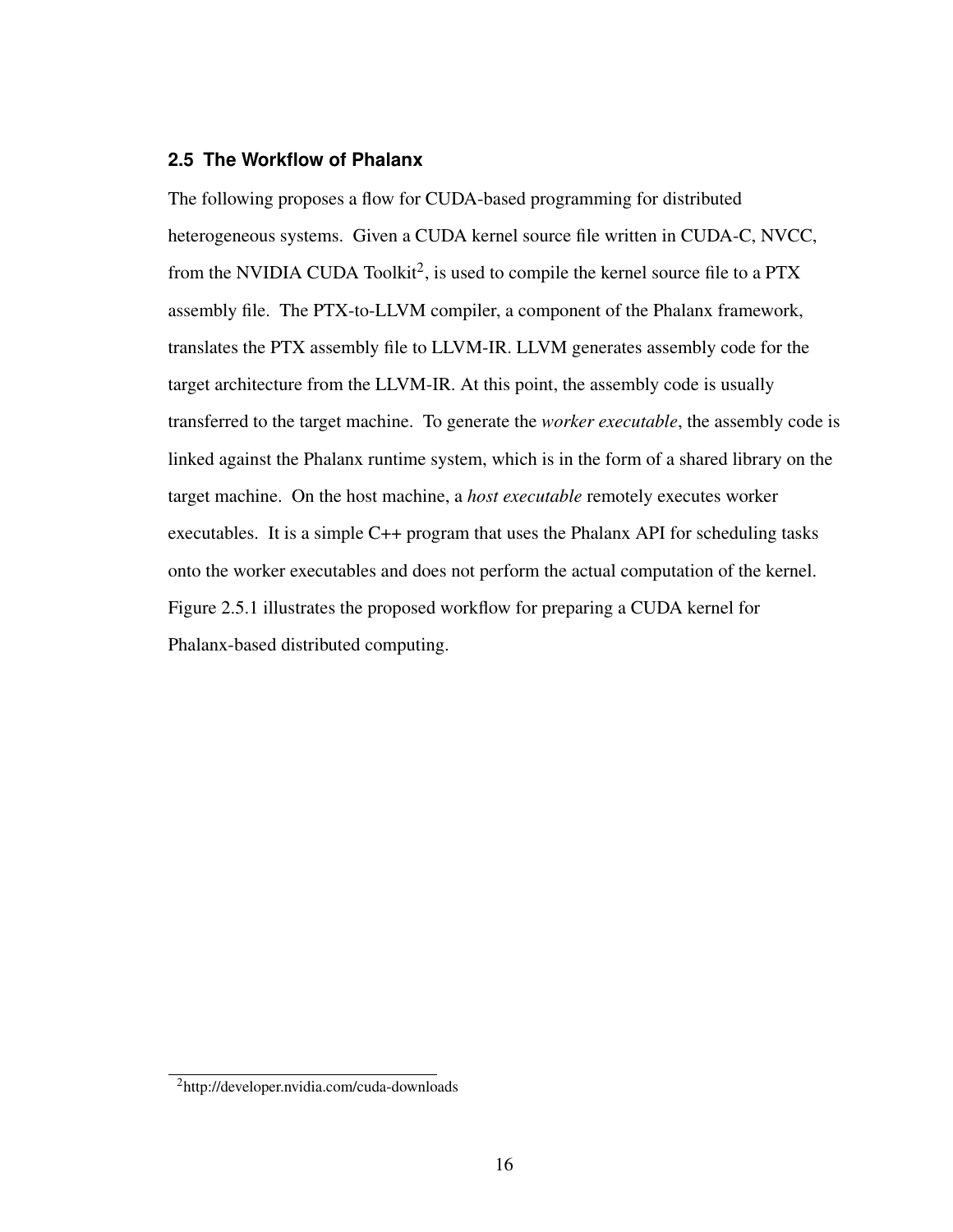# **2.5 The Workflow of Phalanx**

The following proposes a flow for CUDA-based programming for distributed heterogeneous systems. Given a CUDA kernel source file written in CUDA-C, NVCC, from the NVIDIA CUDA Toolkit<sup>[2](#page-24-0)</sup>, is used to compile the kernel source file to a PTX assembly file. The PTX-to-LLVM compiler, a component of the Phalanx framework, translates the PTX assembly file to LLVM-IR. LLVM generates assembly code for the target architecture from the LLVM-IR. At this point, the assembly code is usually transferred to the target machine. To generate the *worker executable*, the assembly code is linked against the Phalanx runtime system, which is in the form of a shared library on the target machine. On the host machine, a *host executable* remotely executes worker executables. It is a simple C++ program that uses the Phalanx API for scheduling tasks onto the worker executables and does not perform the actual computation of the kernel. Figure [2.5.1](#page-25-0) illustrates the proposed workflow for preparing a CUDA kernel for Phalanx-based distributed computing.

<span id="page-24-0"></span><sup>2</sup>http://developer.nvidia.com/cuda-downloads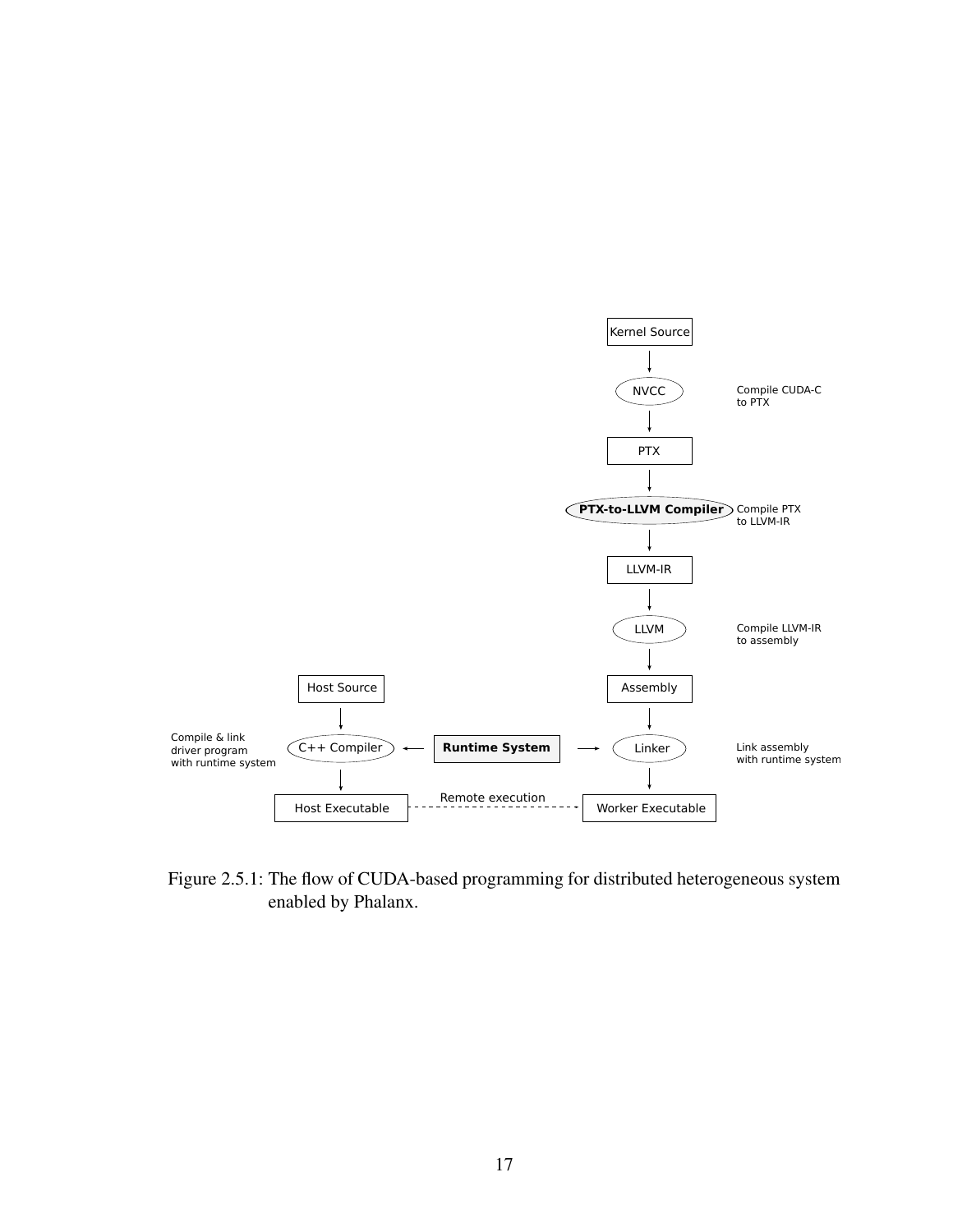<span id="page-25-0"></span>

Figure 2.5.1: The flow of CUDA-based programming for distributed heterogeneous system enabled by Phalanx.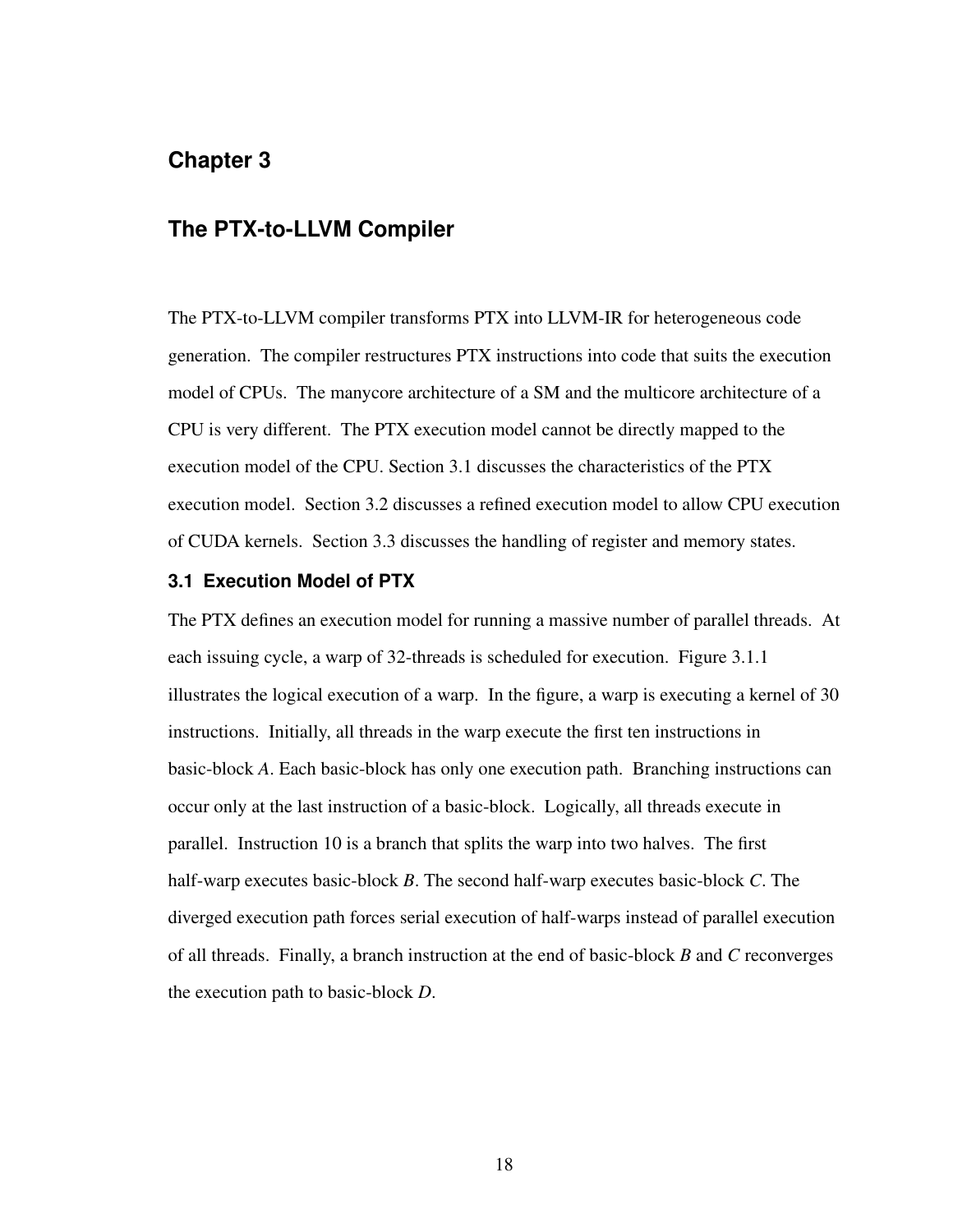# <span id="page-26-0"></span>**Chapter 3**

# **The PTX-to-LLVM Compiler**

The PTX-to-LLVM compiler transforms PTX into LLVM-IR for heterogeneous code generation. The compiler restructures PTX instructions into code that suits the execution model of CPUs. The manycore architecture of a SM and the multicore architecture of a CPU is very different. The PTX execution model cannot be directly mapped to the execution model of the CPU. Section [3.1](#page-26-1) discusses the characteristics of the PTX execution model. Section [3.2](#page-27-1) discusses a refined execution model to allow CPU execution of CUDA kernels. Section [3.3](#page-30-0) discusses the handling of register and memory states.

# <span id="page-26-1"></span>**3.1 Execution Model of PTX**

<span id="page-26-2"></span>The PTX defines an execution model for running a massive number of parallel threads. At each issuing cycle, a warp of 32-threads is scheduled for execution. Figure [3.1.1](#page-27-2) illustrates the logical execution of a warp. In the figure, a warp is executing a kernel of 30 instructions. Initially, all threads in the warp execute the first ten instructions in basic-block *A*. Each basic-block has only one execution path. Branching instructions can occur only at the last instruction of a basic-block. Logically, all threads execute in parallel. Instruction 10 is a branch that splits the warp into two halves. The first half-warp executes basic-block *B*. The second half-warp executes basic-block *C*. The diverged execution path forces serial execution of half-warps instead of parallel execution of all threads. Finally, a branch instruction at the end of basic-block *B* and *C* reconverges the execution path to basic-block *D*.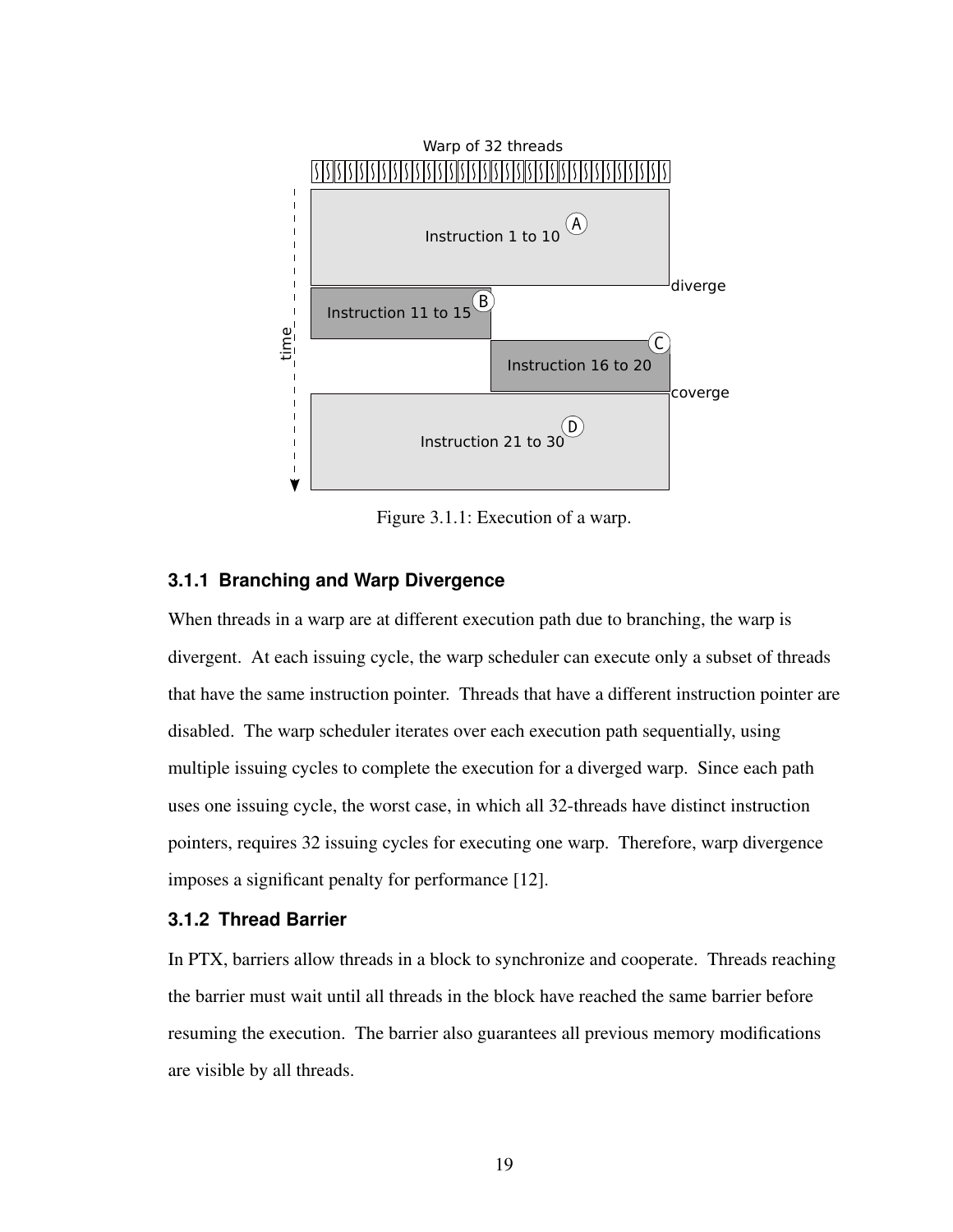<span id="page-27-2"></span>

Figure 3.1.1: Execution of a warp.

#### **3.1.1 Branching and Warp Divergence**

When threads in a warp are at different execution path due to branching, the warp is divergent. At each issuing cycle, the warp scheduler can execute only a subset of threads that have the same instruction pointer. Threads that have a different instruction pointer are disabled. The warp scheduler iterates over each execution path sequentially, using multiple issuing cycles to complete the execution for a diverged warp. Since each path uses one issuing cycle, the worst case, in which all 32-threads have distinct instruction pointers, requires 32 issuing cycles for executing one warp. Therefore, warp divergence imposes a significant penalty for performance [\[12\]](#page-63-0).

# <span id="page-27-0"></span>**3.1.2 Thread Barrier**

<span id="page-27-1"></span>In PTX, barriers allow threads in a block to synchronize and cooperate. Threads reaching the barrier must wait until all threads in the block have reached the same barrier before resuming the execution. The barrier also guarantees all previous memory modifications are visible by all threads.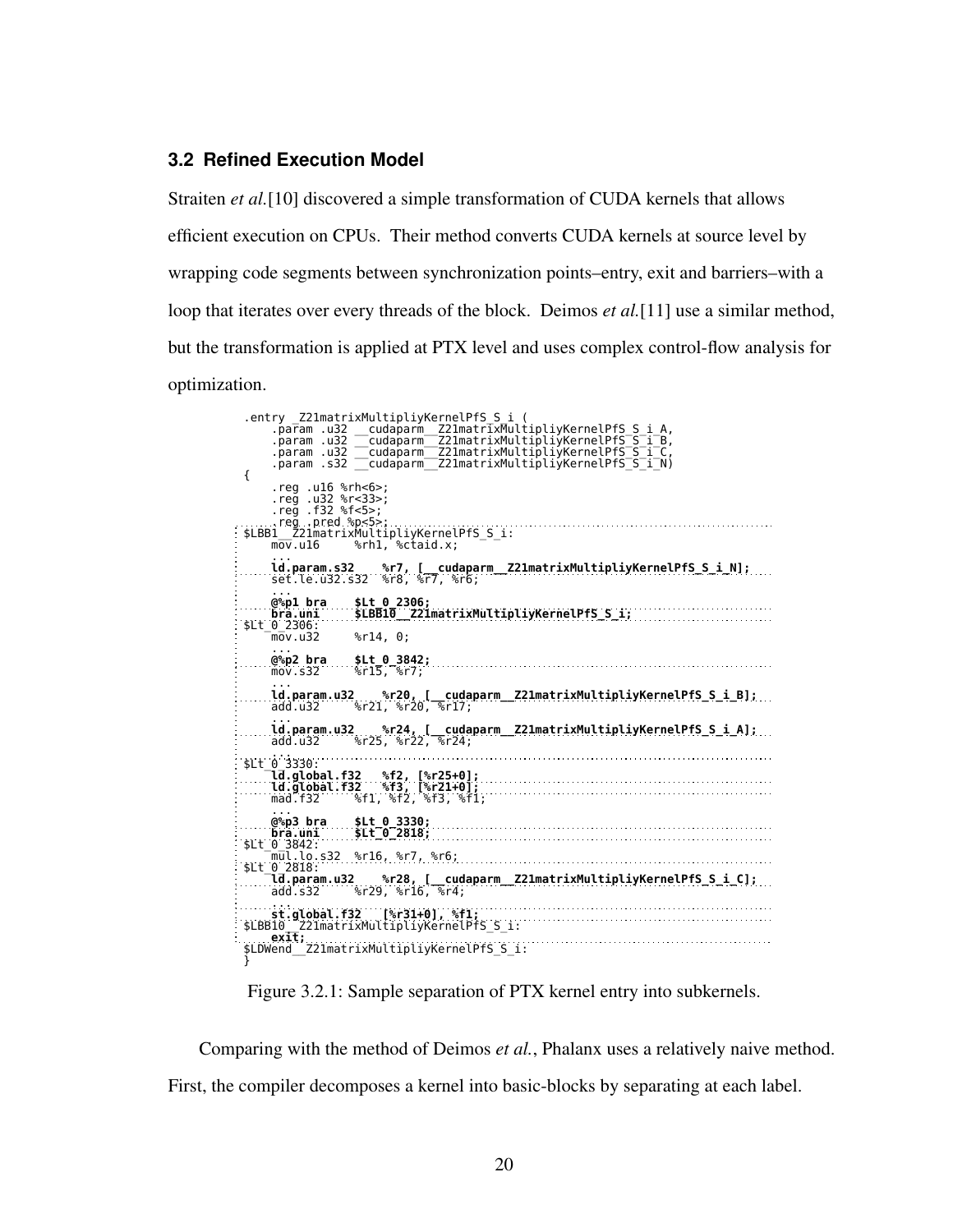# **3.2 Refined Execution Model**

Straiten *et al.*[\[10\]](#page-62-10) discovered a simple transformation of CUDA kernels that allows efficient execution on CPUs. Their method converts CUDA kernels at source level by wrapping code segments between synchronization points–entry, exit and barriers–with a loop that iterates over every threads of the block. Deimos *et al.*[\[11\]](#page-62-11) use a similar method, but the transformation is applied at PTX level and uses complex control-flow analysis for optimization.

<span id="page-28-0"></span>entry \_Z21matrixMultipliyKernelPfS S\_i (<br>param .u32 \_\_cudaparm \_Z21matrixMultipliyKernelPfS S\_i\_A,<br>param .u32 \_\_cudaparm \_Z21matrixMultipliyKernelPfS \_S\_i\_B,<br>param .u32 \_\_cudaparm \_Z21matrixMultipliyKernelPfS \_S\_i\_C,<br>param { .reg .u16 %rh<6>; .reg .u32 %r<33>; .reg .f32 %f<5>; ......reg..pred %p<5>;...........................<br>\$LBB1\_\_Z21matrixMultipliyKernelPfS\_S\_i:<br>mov.u16 %rh1, %ctaid.x; ... ld.param.s32 %r7, [\_\_cudaparm\_\_Z21matrixMultipliyKernelPfS\_S\_i\_N]; set.le.u32.s32 %r8, %r7, %r6; ... @%p1 bra \$Lt\_0\_2306; bra.uni \$LBB10\_\_Z21matrixMultipliyKernelPfS\_S\_i; \$Lt\_0\_2306: mov.u32 %r14, 0; ...<br>@%**p2 bra \$Lt\_0\_3842;**<br>mov.s32 %r15, %r7; ... ld.param.u32 %r20, [\_\_cudaparm\_\_Z21matrixMultipliyKernelPfS\_S\_i\_B]; add.u32 %r21, %r20, %r17; .....ld.param.u32 %r24, [\_\_cudaparm\_\_Z21matrixMultipliyKernelPfS\_S\_i\_A];<br>add.u32 %r25, %r22, %r24; ... \$Lt\_0\_3330: ld.global.f32 %f2, [%r25+0]; ld.global.f32 %f3, [%r21+0]; mad.f32 %f1, %f2, %f3, %f1; .....@%p3 bra...\$Lt\_0\_3330;<br>bra.uni .....\$Lt\_0\_2818;<br>\$Lt\_0\_3842: mul.lo.s32 %r16, %r7, %r6; \$Lt\_0\_2818: ld.param.u32 %r28, [\_\_cudaparm\_\_Z21matrixMultipliyKernelPfS\_S\_i\_C]; add.s32 %r29, %r16, %r4; ... st.global.f32 [%r31+0], %f1; \$LBB10\_\_Z21matrixMultipliyKernelPfS\_S\_i: exit; \$LDWend\_\_Z21matrixMultipliyKernelPfS\_S\_i: }

Figure 3.2.1: Sample separation of PTX kernel entry into subkernels.

Comparing with the method of Deimos *et al.*, Phalanx uses a relatively naive method. First, the compiler decomposes a kernel into basic-blocks by separating at each label.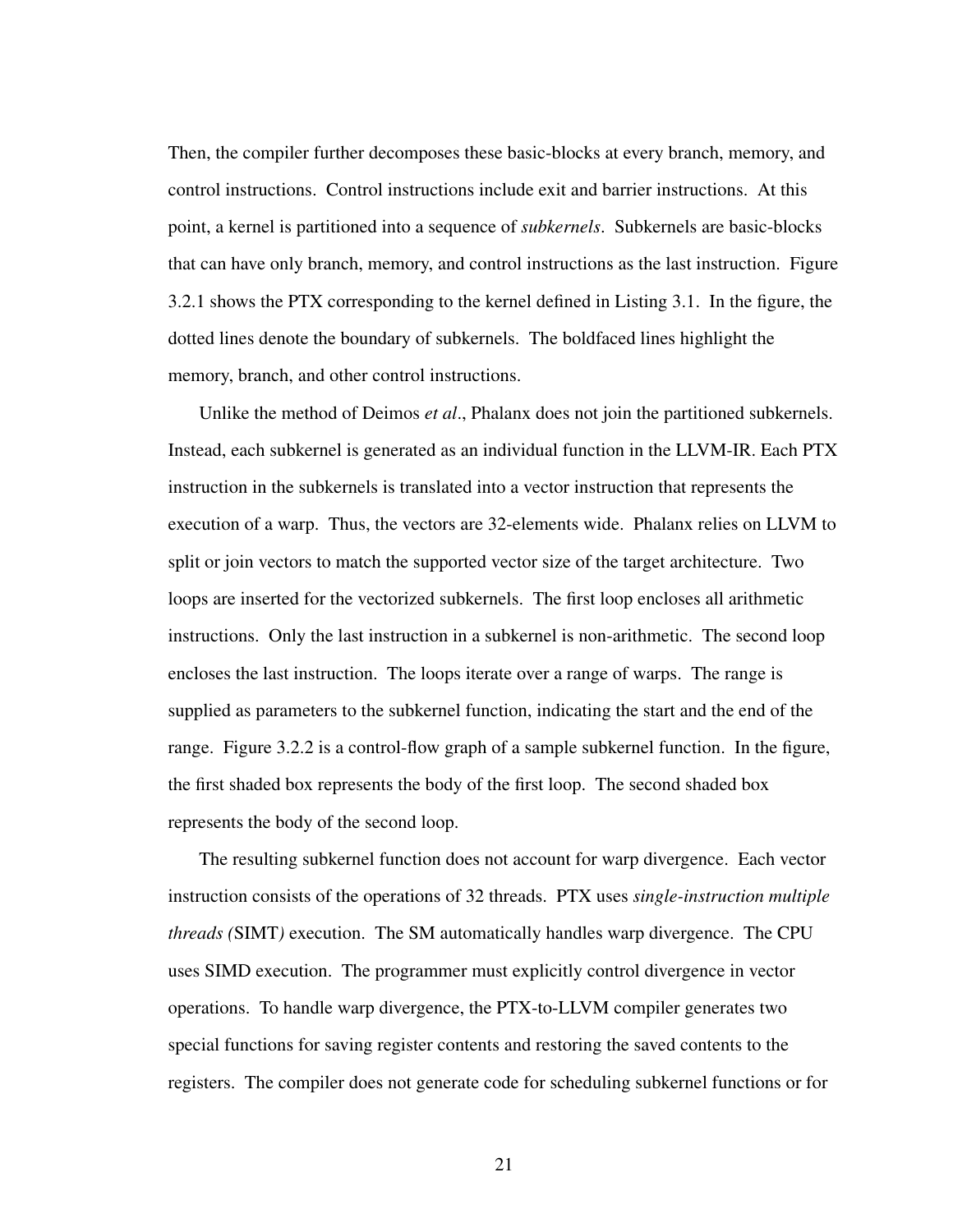Then, the compiler further decomposes these basic-blocks at every branch, memory, and control instructions. Control instructions include exit and barrier instructions. At this point, a kernel is partitioned into a sequence of *subkernels*. Subkernels are basic-blocks that can have only branch, memory, and control instructions as the last instruction. Figure [3.2.1](#page-28-0) shows the PTX corresponding to the kernel defined in Listing [3.1.](#page-30-2) In the figure, the dotted lines denote the boundary of subkernels. The boldfaced lines highlight the memory, branch, and other control instructions.

Unlike the method of Deimos *et al*., Phalanx does not join the partitioned subkernels. Instead, each subkernel is generated as an individual function in the LLVM-IR. Each PTX instruction in the subkernels is translated into a vector instruction that represents the execution of a warp. Thus, the vectors are 32-elements wide. Phalanx relies on LLVM to split or join vectors to match the supported vector size of the target architecture. Two loops are inserted for the vectorized subkernels. The first loop encloses all arithmetic instructions. Only the last instruction in a subkernel is non-arithmetic. The second loop encloses the last instruction. The loops iterate over a range of warps. The range is supplied as parameters to the subkernel function, indicating the start and the end of the range. Figure [3.2.2](#page-31-0) is a control-flow graph of a sample subkernel function. In the figure, the first shaded box represents the body of the first loop. The second shaded box represents the body of the second loop.

The resulting subkernel function does not account for warp divergence. Each vector instruction consists of the operations of 32 threads. PTX uses *single-instruction multiple threads (*SIMT*)* execution. The SM automatically handles warp divergence. The CPU uses SIMD execution. The programmer must explicitly control divergence in vector operations. To handle warp divergence, the PTX-to-LLVM compiler generates two special functions for saving register contents and restoring the saved contents to the registers. The compiler does not generate code for scheduling subkernel functions or for

21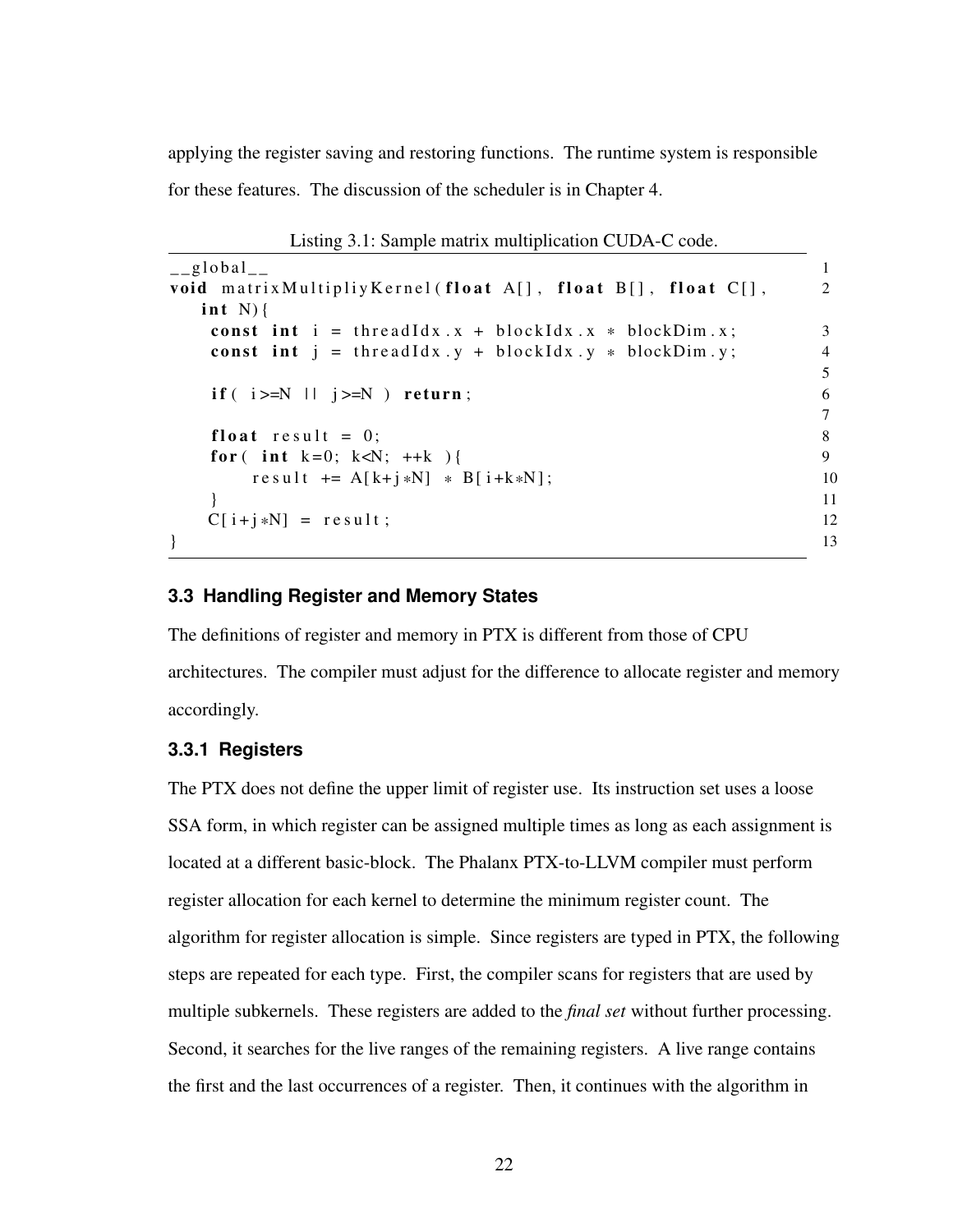applying the register saving and restoring functions. The runtime system is responsible for these features. The discussion of the scheduler is in Chapter [4.](#page-34-0)

```
\frac{1}{2} global \frac{1}{2} 1
void matrix Multipliy Kernel (float A[], float B[], float C[], 2
  int N}{
  const int i = thread Idx. x + 6lockIdx \cdot x * 6lockDim. x; 3<br>const int i = thread Idx \cdot y + 6lockIdx \cdot y * 6lockDim. y; 4
  const int j = \text{threadIdx} . y + \text{blockIdx} . y * \text{blockDim} . y;5
  if ( i > = N \mid j > = N ) return;
                                               7
  float result = 0; 8
  for (int k=0; k<N; ++k ) { 9
     r e s u l t + = A [ k + j * N] * B [ i + k * N];<br>10<br>11
   } 11
  C[i+j*N] = result; 12
\} 13
```
Listing 3.1: Sample matrix multiplication CUDA-C code.

### <span id="page-30-0"></span>**3.3 Handling Register and Memory States**

The definitions of register and memory in PTX is different from those of CPU architectures. The compiler must adjust for the difference to allocate register and memory accordingly.

# <span id="page-30-1"></span>**3.3.1 Registers**

The PTX does not define the upper limit of register use. Its instruction set uses a loose SSA form, in which register can be assigned multiple times as long as each assignment is located at a different basic-block. The Phalanx PTX-to-LLVM compiler must perform register allocation for each kernel to determine the minimum register count. The algorithm for register allocation is simple. Since registers are typed in PTX, the following steps are repeated for each type. First, the compiler scans for registers that are used by multiple subkernels. These registers are added to the *final set* without further processing. Second, it searches for the live ranges of the remaining registers. A live range contains the first and the last occurrences of a register. Then, it continues with the algorithm in

22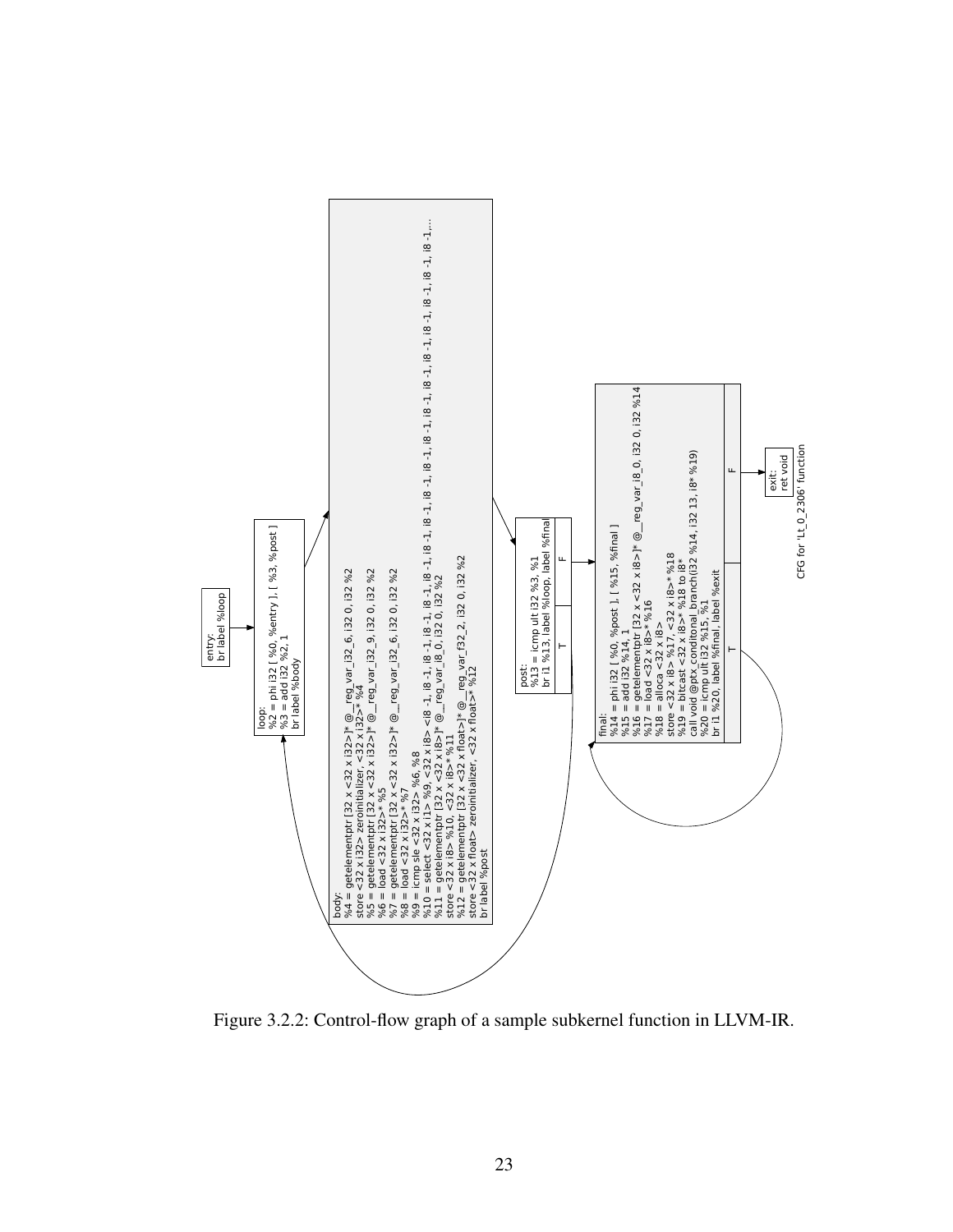<span id="page-31-0"></span>

Figure 3.2.2: Control-flow graph of a sample subkernel function in LLVM-IR.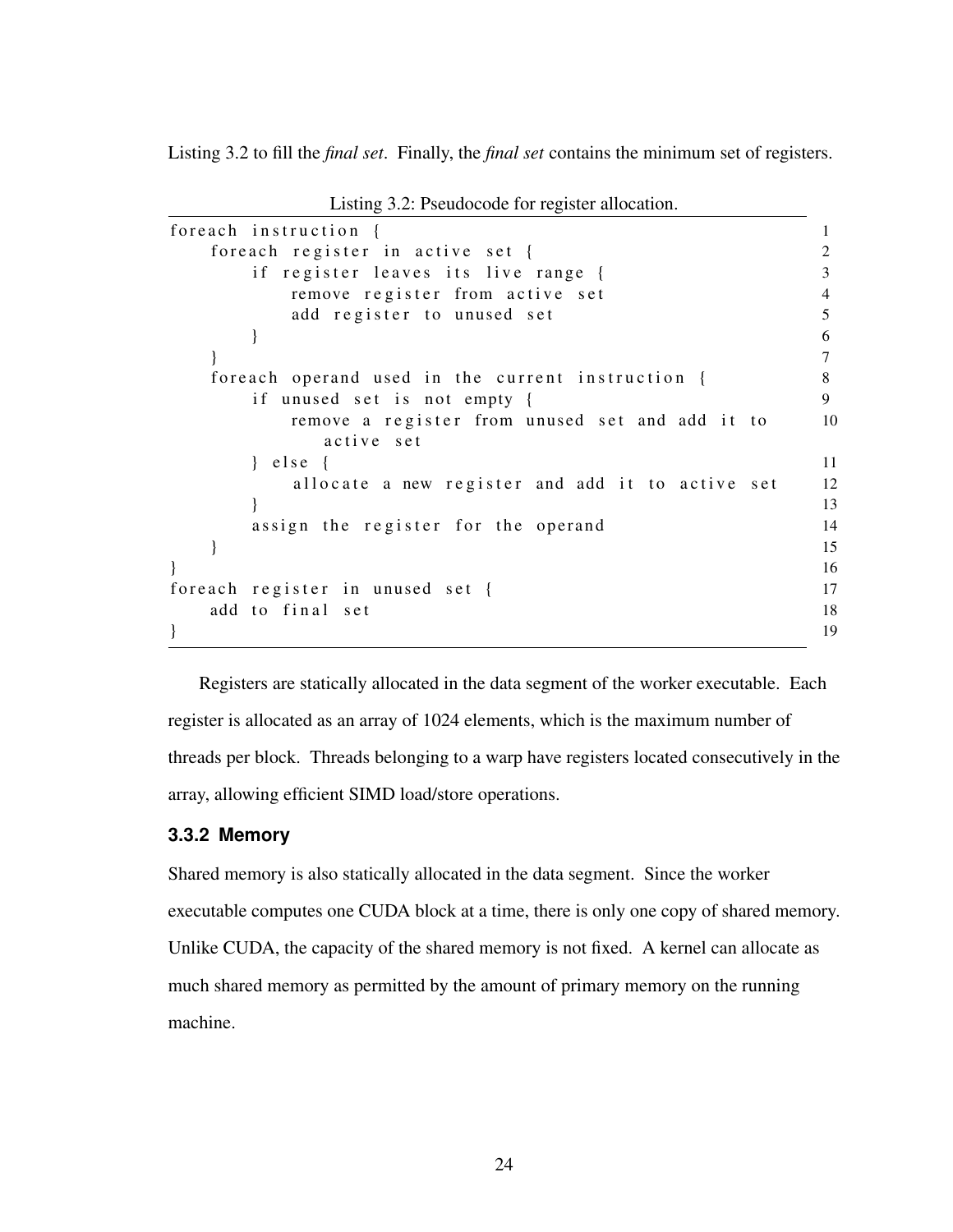Listing [3.2](#page-32-2) to fill the *final set*. Finally, the *final set* contains the minimum set of registers.

<span id="page-32-2"></span>for each instruction  $\{$ for each register in active set  $\{$  2 if register leaves its live range { 3 remove register from active set 4 add register to unused set 5  $\}$  6 } 7 foreach operand used in the current instruction { 8 if unused set is not empty { 9 remove a register from unused set and add it to 10 active set  $}$  e l s e  $\{$ allocate a new register and add it to active set 12 } 13 assign the register for the operand 14  $\}$  15  $\}$  16 for each register in unused set { $17$ add to final set 18  $\}$  19

Listing 3.2: Pseudocode for register allocation.

Registers are statically allocated in the data segment of the worker executable. Each register is allocated as an array of 1024 elements, which is the maximum number of threads per block. Threads belonging to a warp have registers located consecutively in the array, allowing efficient SIMD load/store operations.

### <span id="page-32-0"></span>**3.3.2 Memory**

<span id="page-32-1"></span>Shared memory is also statically allocated in the data segment. Since the worker executable computes one CUDA block at a time, there is only one copy of shared memory. Unlike CUDA, the capacity of the shared memory is not fixed. A kernel can allocate as much shared memory as permitted by the amount of primary memory on the running machine.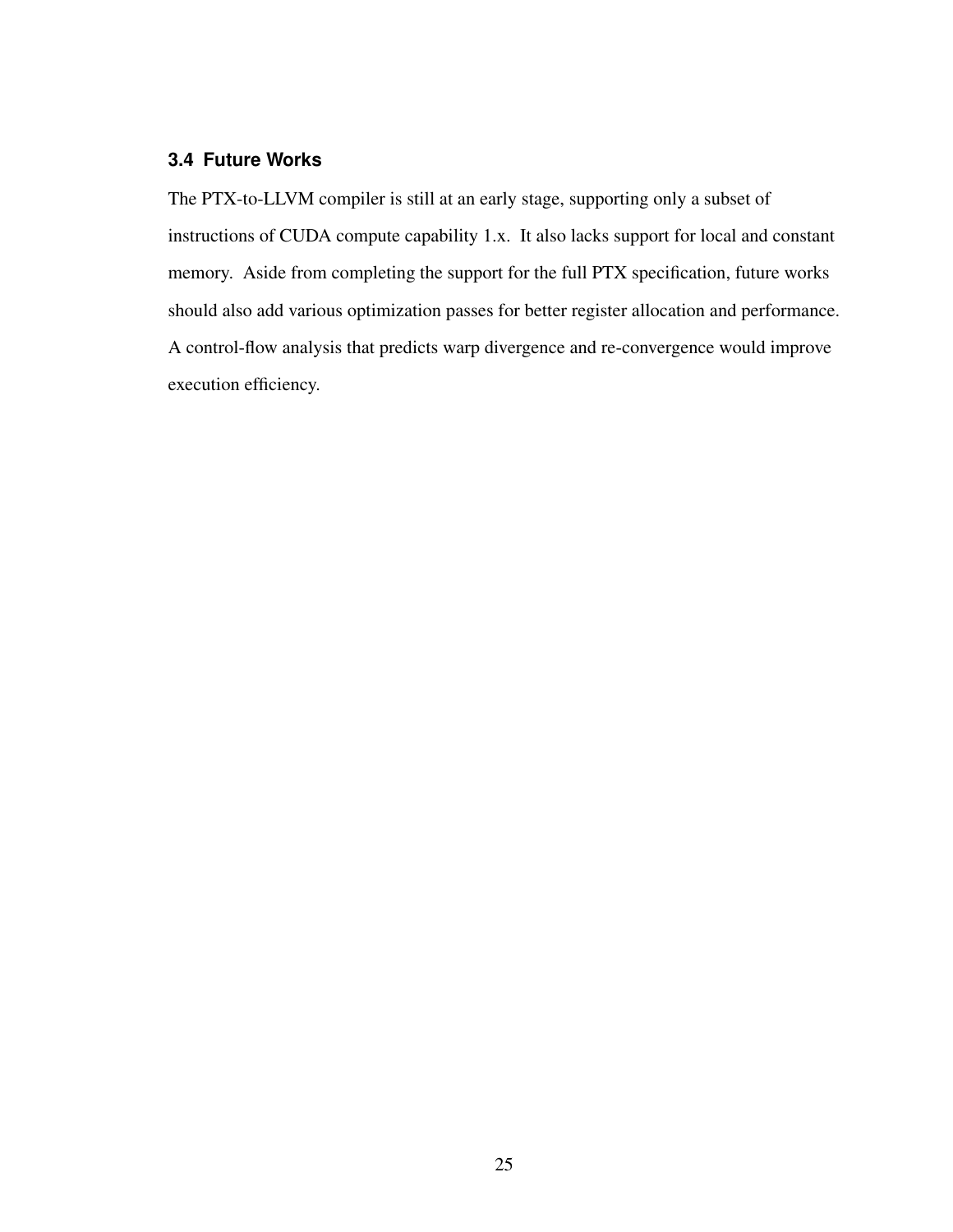# **3.4 Future Works**

The PTX-to-LLVM compiler is still at an early stage, supporting only a subset of instructions of CUDA compute capability 1.x. It also lacks support for local and constant memory. Aside from completing the support for the full PTX specification, future works should also add various optimization passes for better register allocation and performance. A control-flow analysis that predicts warp divergence and re-convergence would improve execution efficiency.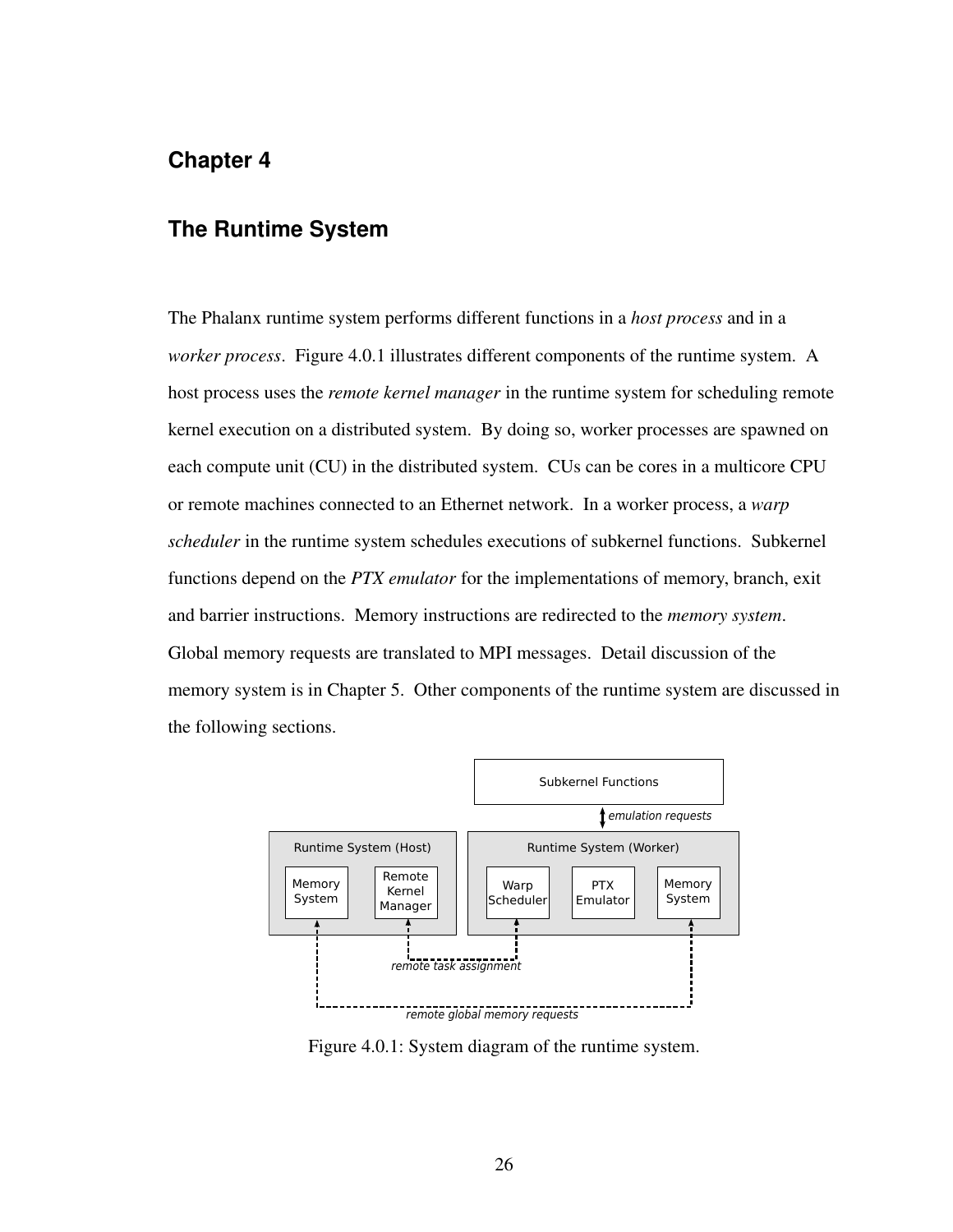# <span id="page-34-0"></span>**Chapter 4**

# **The Runtime System**

The Phalanx runtime system performs different functions in a *host process* and in a *worker process*. Figure [4.0.1](#page-34-2) illustrates different components of the runtime system. A host process uses the *remote kernel manager* in the runtime system for scheduling remote kernel execution on a distributed system. By doing so, worker processes are spawned on each compute unit (CU) in the distributed system. CUs can be cores in a multicore CPU or remote machines connected to an Ethernet network. In a worker process, a *warp scheduler* in the runtime system schedules executions of subkernel functions. Subkernel functions depend on the *PTX emulator* for the implementations of memory, branch, exit and barrier instructions. Memory instructions are redirected to the *memory system*. Global memory requests are translated to MPI messages. Detail discussion of the memory system is in Chapter [5.](#page-44-0) Other components of the runtime system are discussed in the following sections.

<span id="page-34-2"></span>

<span id="page-34-1"></span>Figure 4.0.1: System diagram of the runtime system.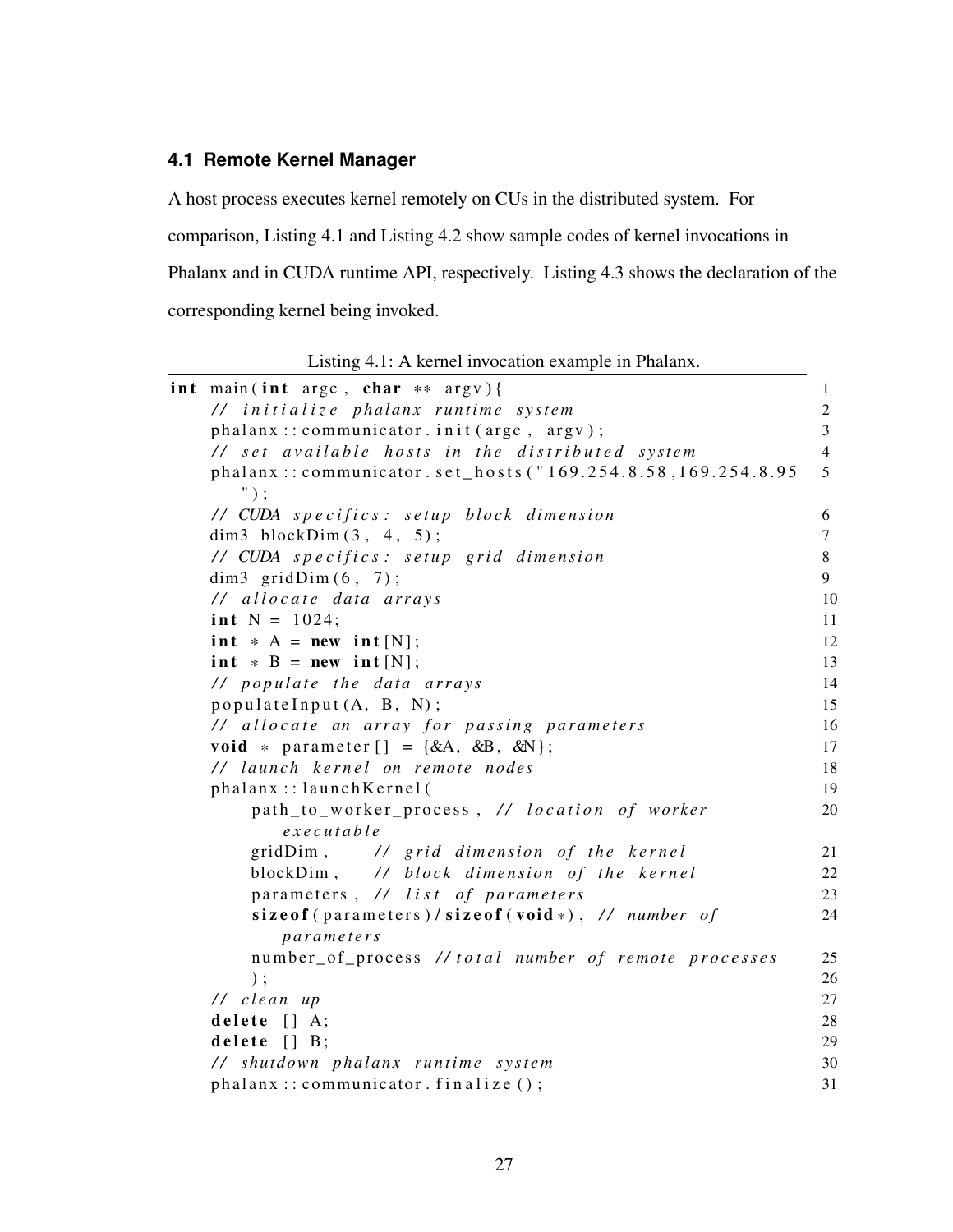# **4.1 Remote Kernel Manager**

A host process executes kernel remotely on CUs in the distributed system. For comparison, Listing [4.1](#page-35-0) and Listing [4.2](#page-36-0) show sample codes of kernel invocations in Phalanx and in CUDA runtime API, respectively. Listing [4.3](#page-36-1) shows the declaration of the corresponding kernel being invoked.

Listing 4.1: A kernel invocation example in Phalanx.

<span id="page-35-0"></span>

| int main(int argc, char $**$ argv){                                                                | $\mathbf{1}$   |
|----------------------------------------------------------------------------------------------------|----------------|
| // initialize phalanx runtime system                                                               | 2              |
| phalanx:: communicator.init (argc, argv);                                                          | $\overline{3}$ |
| // set available hosts in the distributed system                                                   | $\overline{4}$ |
| phalanx::communicator.set_hosts("169.254.8.58,169.254.8.95<br>$")$ ;                               | 5              |
| // CUDA specifics: setup block dimension                                                           | 6              |
| dim3 blockDim $(3, 4, 5)$ ;                                                                        | $\tau$         |
| // CUDA specifics: setup grid dimension                                                            | 8              |
| dim3 $gridDim(6, 7);$                                                                              | 9              |
| // allocate data arrays                                                                            | 10             |
| int $N = 1024$ ;                                                                                   | 11             |
| int $* A = new int [N];$                                                                           | 12             |
| $int * B = new int [N];$                                                                           | 13             |
| // populate the data arrays                                                                        | 14             |
| populateInput $(A, B, N)$ ;                                                                        | 15             |
| // allocate an array for passing parameters                                                        | 16             |
| void * parameter $[\ ] = \{ \&A, \&B, \&N \};$                                                     | 17             |
| // launch kernel on remote nodes                                                                   | 18             |
| phalanx::launchKernel(                                                                             | 19             |
| path_to_worker_process, // location of worker<br>executable                                        | 20             |
| gridDim, // grid dimension of the kernel                                                           | 21             |
| blockDim, // block dimension of the kernel                                                         | 22             |
| parameters, // list of parameters                                                                  | 23             |
| size of $(\text{parameters}) / \text{size of} (\text{void} *), \text{ // number of}$<br>parameters | 24             |
| number_of_process //total number of remote processes                                               | 25             |
| $)$ ;                                                                                              | 26             |
| // clean up                                                                                        | 27             |
| delete $\lceil$ A;                                                                                 | 28             |
| delete $[$ $]$ $B$ ;                                                                               | 29             |
| // shutdown phalanx runtime system                                                                 | 30             |
| phalanx:: communicator . finalize ();                                                              | 31             |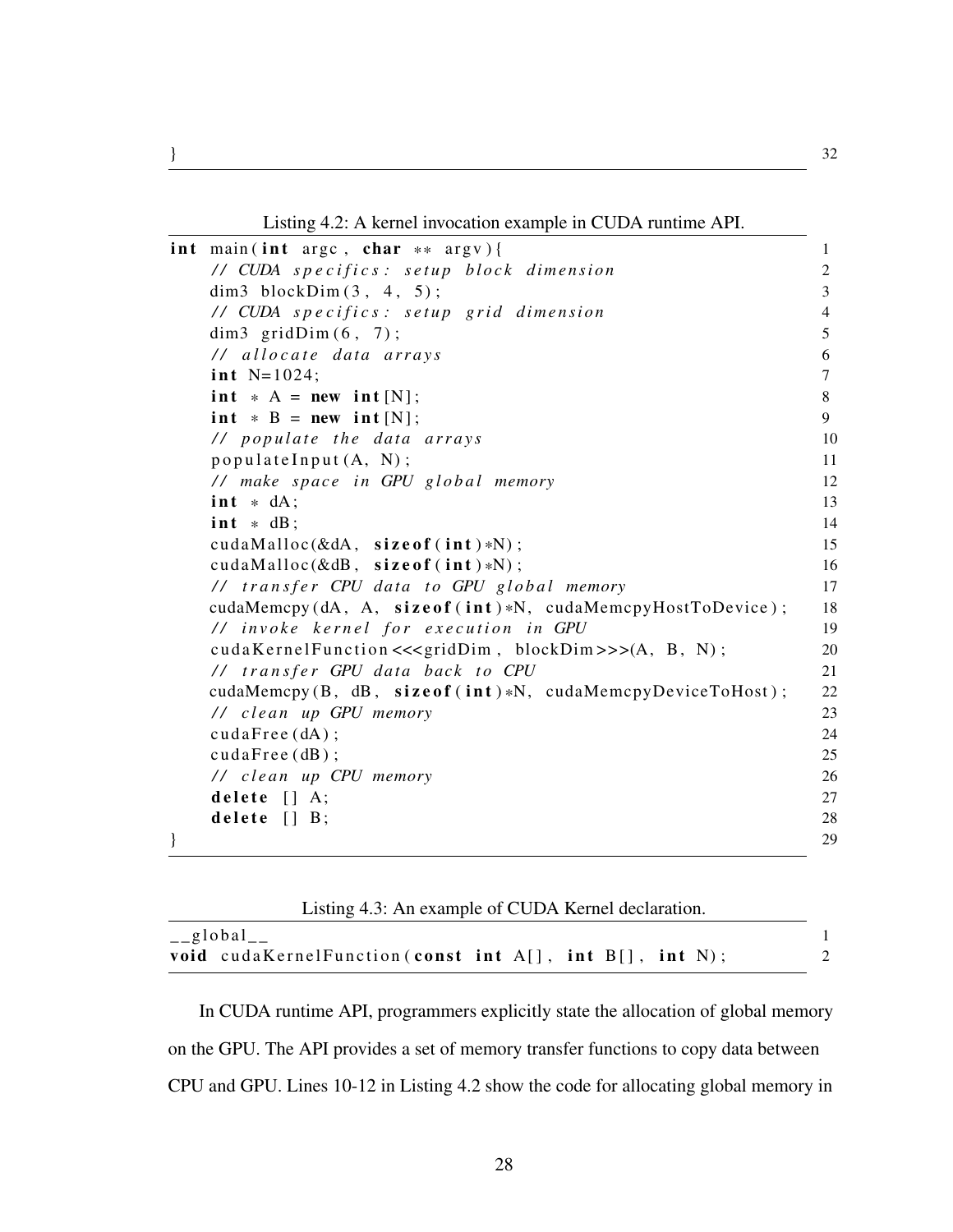Listing 4.2: A kernel invocation example in CUDA runtime API.

<span id="page-36-0"></span>

|   | int main(int arge, char $**$ argy){                          | 1              |
|---|--------------------------------------------------------------|----------------|
|   | // CUDA specifics: setup block dimension                     | $\overline{c}$ |
|   | dim3 blockDim $(3, 4, 5)$ ;                                  | $\overline{3}$ |
|   | // CUDA specifics: setup grid dimension                      | $\overline{4}$ |
|   | dim3 $gridDim(6, 7);$                                        | 5              |
|   | // allocate data arrays                                      | 6              |
|   | int $N=1024$ ;                                               | $\tau$         |
|   | $int * A = new int [N];$                                     | 8              |
|   | $int * B = new int [N];$                                     | 9              |
|   | // populate the data arrays                                  | 10             |
|   | populateInput $(A, N);$                                      | 11             |
|   | // make space in GPU global memory                           | 12             |
|   | $int * dA$ ;                                                 | 13             |
|   | $int * dB$ ;                                                 | 14             |
|   | cudaMalloc $(\& dA, \text{ size of } (\text{int}) *N);$      | 15             |
|   | cudaMalloc $(\& dB, \text{ size of } (\text{int}) * N);$     | 16             |
|   | // transfer CPU data to GPU global memory                    | 17             |
|   | cudaMemcpy(dA, A, sizeof(int)*N, cudaMemcpyHostToDevice);    | 18             |
|   | // invoke kernel for execution in GPU                        | 19             |
|   | cudaKernelFunction <<< gridDim, blockDim>>>(A, B, N);        | 20             |
|   | // transfer GPU data back to CPU                             | 21             |
|   | cudaMemcpy $(B, dB, sizeof(int)*N, cudaMemoryDeviceToHost);$ | 22             |
|   | // clean up GPU memory                                       | 23             |
|   | cudaFree (dA);                                               | 24             |
|   | cudaFree(dB);                                                | 25             |
|   | // clean up CPU memory                                       | 26             |
|   | delete $[] A;$                                               | 27             |
|   | delete $[] B;$                                               | 28             |
| } |                                                              | 29             |

| Listing 4.3: An example of CUDA Kernel declaration.                   |  |
|-----------------------------------------------------------------------|--|
| $_{-}$ global $_{-}$                                                  |  |
| <b>void</b> cudaKernelFunction (const int $A[]$ , int $B[]$ , int N); |  |

In CUDA runtime API, programmers explicitly state the allocation of global memory on the GPU. The API provides a set of memory transfer functions to copy data between CPU and GPU. Lines 10-12 in Listing [4.2](#page-36-0) show the code for allocating global memory in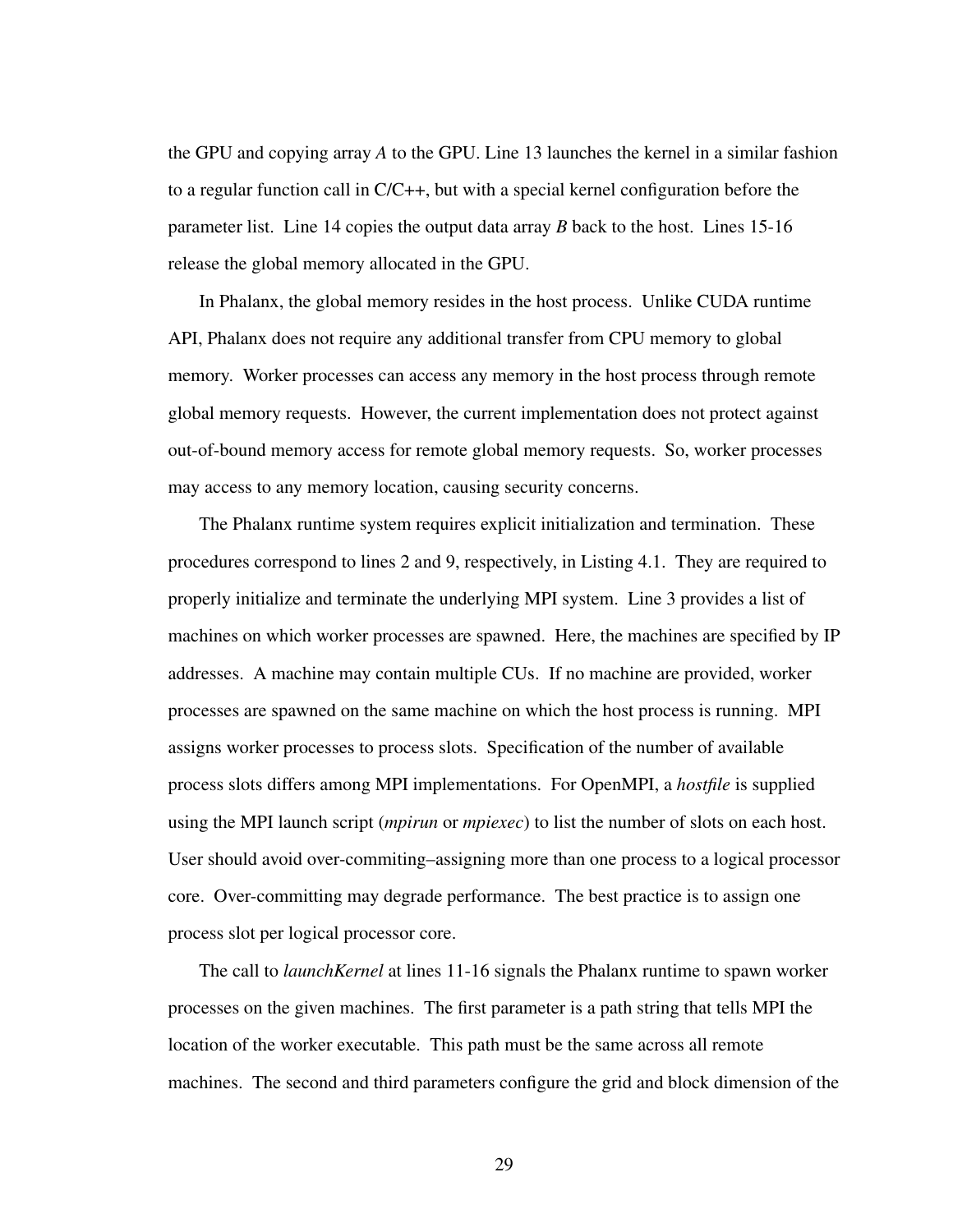the GPU and copying array *A* to the GPU. Line 13 launches the kernel in a similar fashion to a regular function call in C/C++, but with a special kernel configuration before the parameter list. Line 14 copies the output data array *B* back to the host. Lines 15-16 release the global memory allocated in the GPU.

In Phalanx, the global memory resides in the host process. Unlike CUDA runtime API, Phalanx does not require any additional transfer from CPU memory to global memory. Worker processes can access any memory in the host process through remote global memory requests. However, the current implementation does not protect against out-of-bound memory access for remote global memory requests. So, worker processes may access to any memory location, causing security concerns.

The Phalanx runtime system requires explicit initialization and termination. These procedures correspond to lines 2 and 9, respectively, in Listing [4.1.](#page-35-0) They are required to properly initialize and terminate the underlying MPI system. Line 3 provides a list of machines on which worker processes are spawned. Here, the machines are specified by IP addresses. A machine may contain multiple CUs. If no machine are provided, worker processes are spawned on the same machine on which the host process is running. MPI assigns worker processes to process slots. Specification of the number of available process slots differs among MPI implementations. For OpenMPI, a *hostfile* is supplied using the MPI launch script (*mpirun* or *mpiexec*) to list the number of slots on each host. User should avoid over-commiting–assigning more than one process to a logical processor core. Over-committing may degrade performance. The best practice is to assign one process slot per logical processor core.

The call to *launchKernel* at lines 11-16 signals the Phalanx runtime to spawn worker processes on the given machines. The first parameter is a path string that tells MPI the location of the worker executable. This path must be the same across all remote machines. The second and third parameters configure the grid and block dimension of the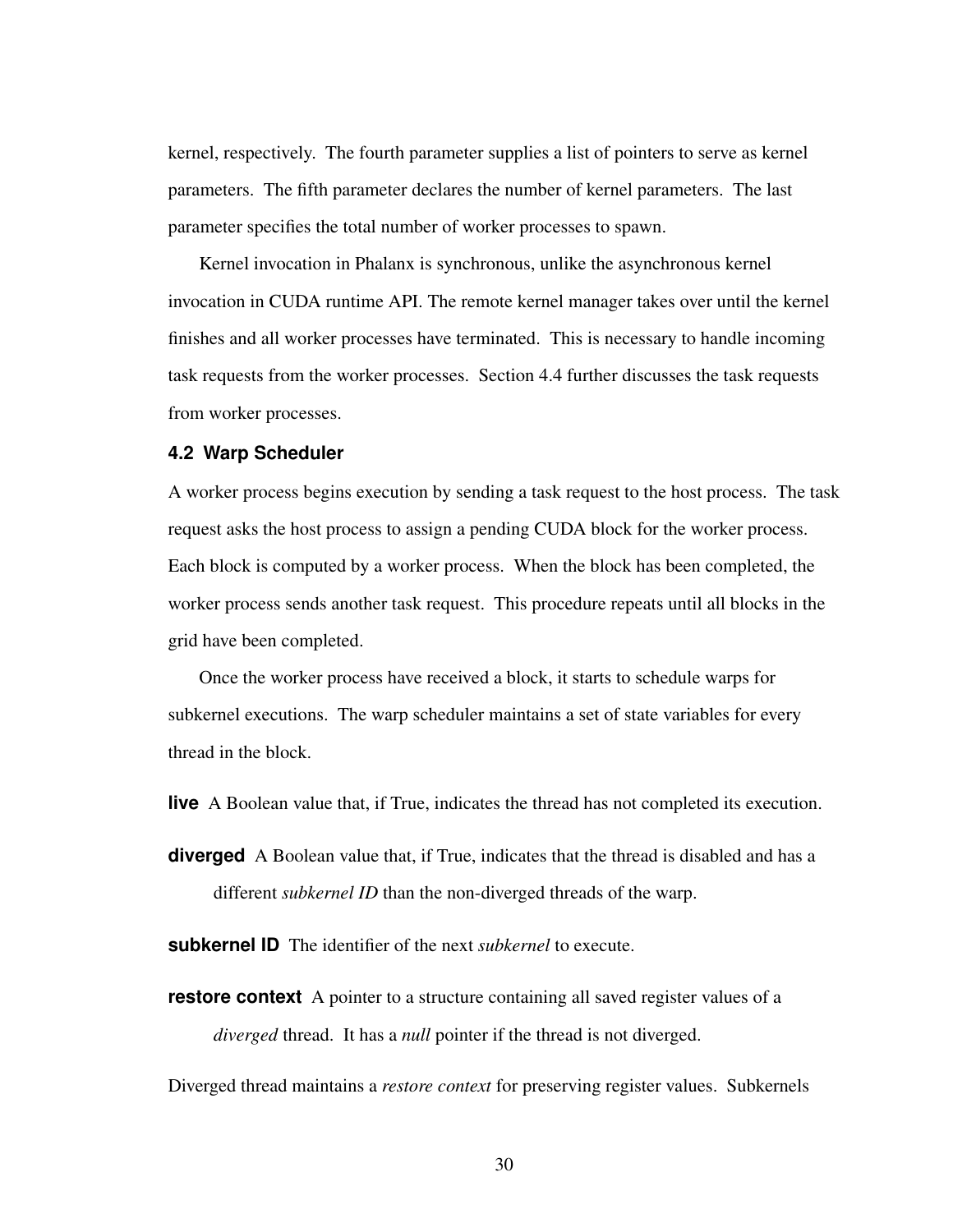kernel, respectively. The fourth parameter supplies a list of pointers to serve as kernel parameters. The fifth parameter declares the number of kernel parameters. The last parameter specifies the total number of worker processes to spawn.

Kernel invocation in Phalanx is synchronous, unlike the asynchronous kernel invocation in CUDA runtime API. The remote kernel manager takes over until the kernel finishes and all worker processes have terminated. This is necessary to handle incoming task requests from the worker processes. Section [4.4](#page-41-0) further discusses the task requests from worker processes.

#### **4.2 Warp Scheduler**

A worker process begins execution by sending a task request to the host process. The task request asks the host process to assign a pending CUDA block for the worker process. Each block is computed by a worker process. When the block has been completed, the worker process sends another task request. This procedure repeats until all blocks in the grid have been completed.

Once the worker process have received a block, it starts to schedule warps for subkernel executions. The warp scheduler maintains a set of state variables for every thread in the block.

**live** A Boolean value that, if True, indicates the thread has not completed its execution.

**diverged** A Boolean value that, if True, indicates that the thread is disabled and has a different *subkernel ID* than the non-diverged threads of the warp.

**subkernel ID** The identifier of the next *subkernel* to execute.

**restore context** A pointer to a structure containing all saved register values of a *diverged* thread. It has a *null* pointer if the thread is not diverged.

Diverged thread maintains a *restore context* for preserving register values. Subkernels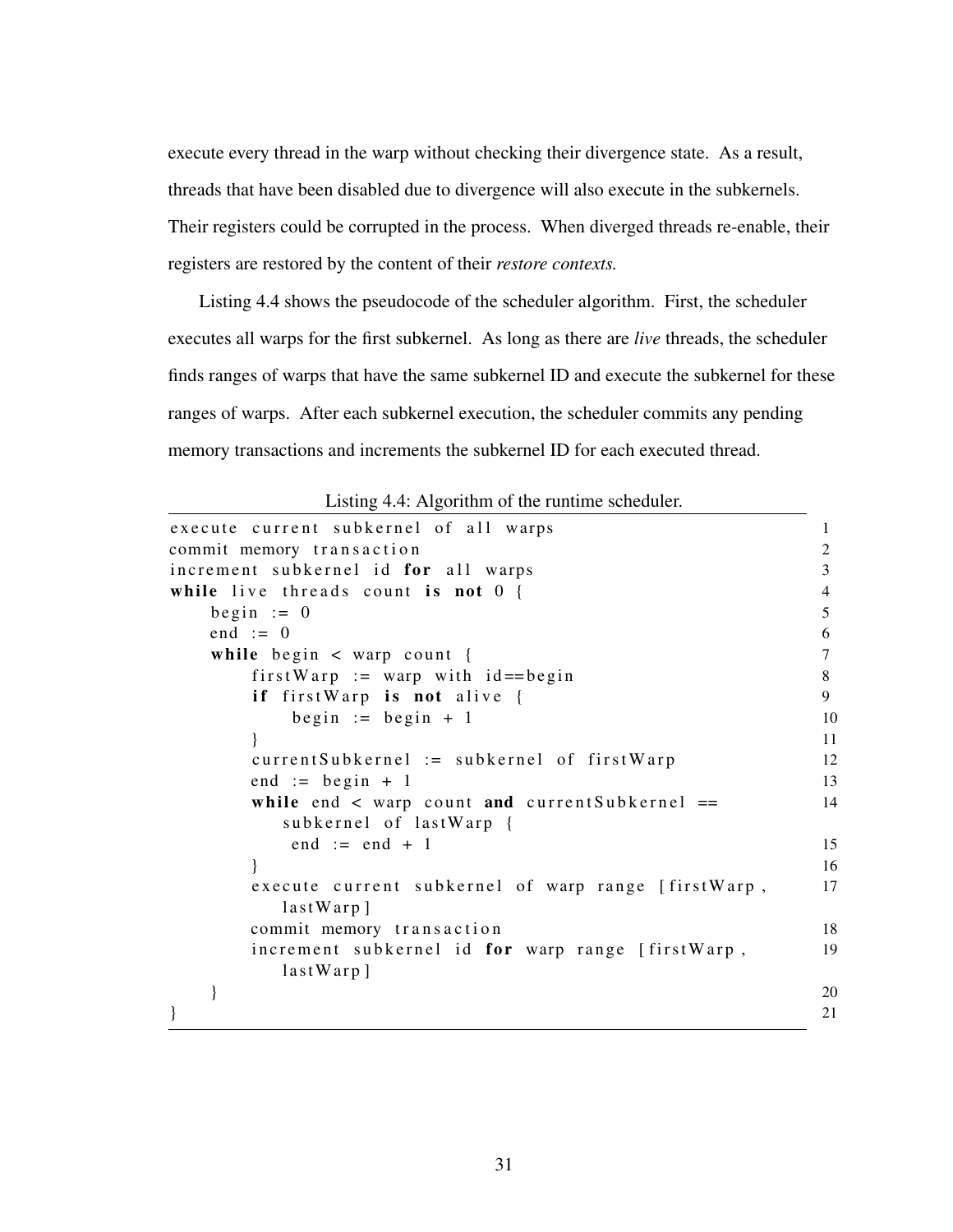execute every thread in the warp without checking their divergence state. As a result, threads that have been disabled due to divergence will also execute in the subkernels. Their registers could be corrupted in the process. When diverged threads re-enable, their registers are restored by the content of their *restore contexts.*

Listing [4.4](#page-39-0) shows the pseudocode of the scheduler algorithm. First, the scheduler executes all warps for the first subkernel. As long as there are *live* threads, the scheduler finds ranges of warps that have the same subkernel ID and execute the subkernel for these ranges of warps. After each subkernel execution, the scheduler commits any pending memory transactions and increments the subkernel ID for each executed thread.

<span id="page-39-0"></span>

| execute current subkernel of all warps                                            |  |
|-----------------------------------------------------------------------------------|--|
| commit memory transaction                                                         |  |
| increment subkernel id for all warps                                              |  |
| while live threads count is not $0 \{$                                            |  |
| begin $:= 0$                                                                      |  |
| end $:= 0$                                                                        |  |
| while begin $\langle$ warp count {                                                |  |
| first Warp := warp with $id = =begin{bmatrix} 1 \\ 2 \\ 3 \end{bmatrix}$          |  |
| if firstWarp is not alive {                                                       |  |
| begin := begin + 1                                                                |  |
|                                                                                   |  |
| $currentSubkernel := subkernel of firstWarp$                                      |  |
| end := begin + 1                                                                  |  |
| while end $\langle$ warp count and currentSubkernel ==<br>subkernel of lastWarp { |  |
| end $:=$ end $+1$                                                                 |  |
|                                                                                   |  |
| execute current subkernel of warp range [firstWarp,<br>$lastWarp$ ]               |  |
| commit memory transaction                                                         |  |
| increment subkernel id for warp range [firstWarp,<br>$lastWarp$ ]                 |  |
|                                                                                   |  |
|                                                                                   |  |
|                                                                                   |  |

Listing 4.4: Algorithm of the runtime scheduler.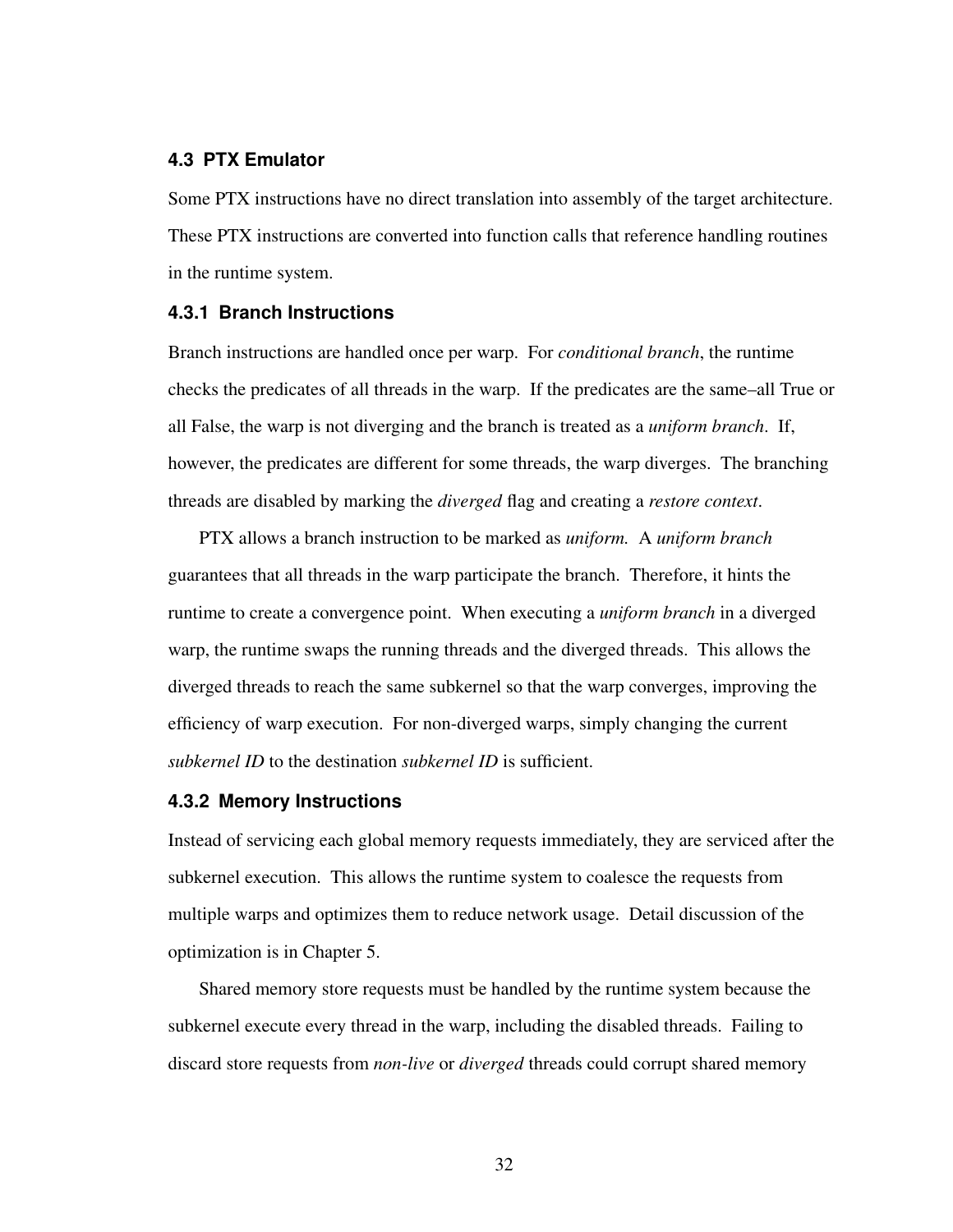#### **4.3 PTX Emulator**

Some PTX instructions have no direct translation into assembly of the target architecture. These PTX instructions are converted into function calls that reference handling routines in the runtime system.

#### **4.3.1 Branch Instructions**

Branch instructions are handled once per warp. For *conditional branch*, the runtime checks the predicates of all threads in the warp. If the predicates are the same–all True or all False, the warp is not diverging and the branch is treated as a *uniform branch*. If, however, the predicates are different for some threads, the warp diverges. The branching threads are disabled by marking the *diverged* flag and creating a *restore context*.

PTX allows a branch instruction to be marked as *uniform.* A *uniform branch* guarantees that all threads in the warp participate the branch. Therefore, it hints the runtime to create a convergence point. When executing a *uniform branch* in a diverged warp, the runtime swaps the running threads and the diverged threads. This allows the diverged threads to reach the same subkernel so that the warp converges, improving the efficiency of warp execution. For non-diverged warps, simply changing the current *subkernel ID* to the destination *subkernel ID* is sufficient.

#### **4.3.2 Memory Instructions**

Instead of servicing each global memory requests immediately, they are serviced after the subkernel execution. This allows the runtime system to coalesce the requests from multiple warps and optimizes them to reduce network usage. Detail discussion of the optimization is in Chapter [5.](#page-44-0)

Shared memory store requests must be handled by the runtime system because the subkernel execute every thread in the warp, including the disabled threads. Failing to discard store requests from *non-live* or *diverged* threads could corrupt shared memory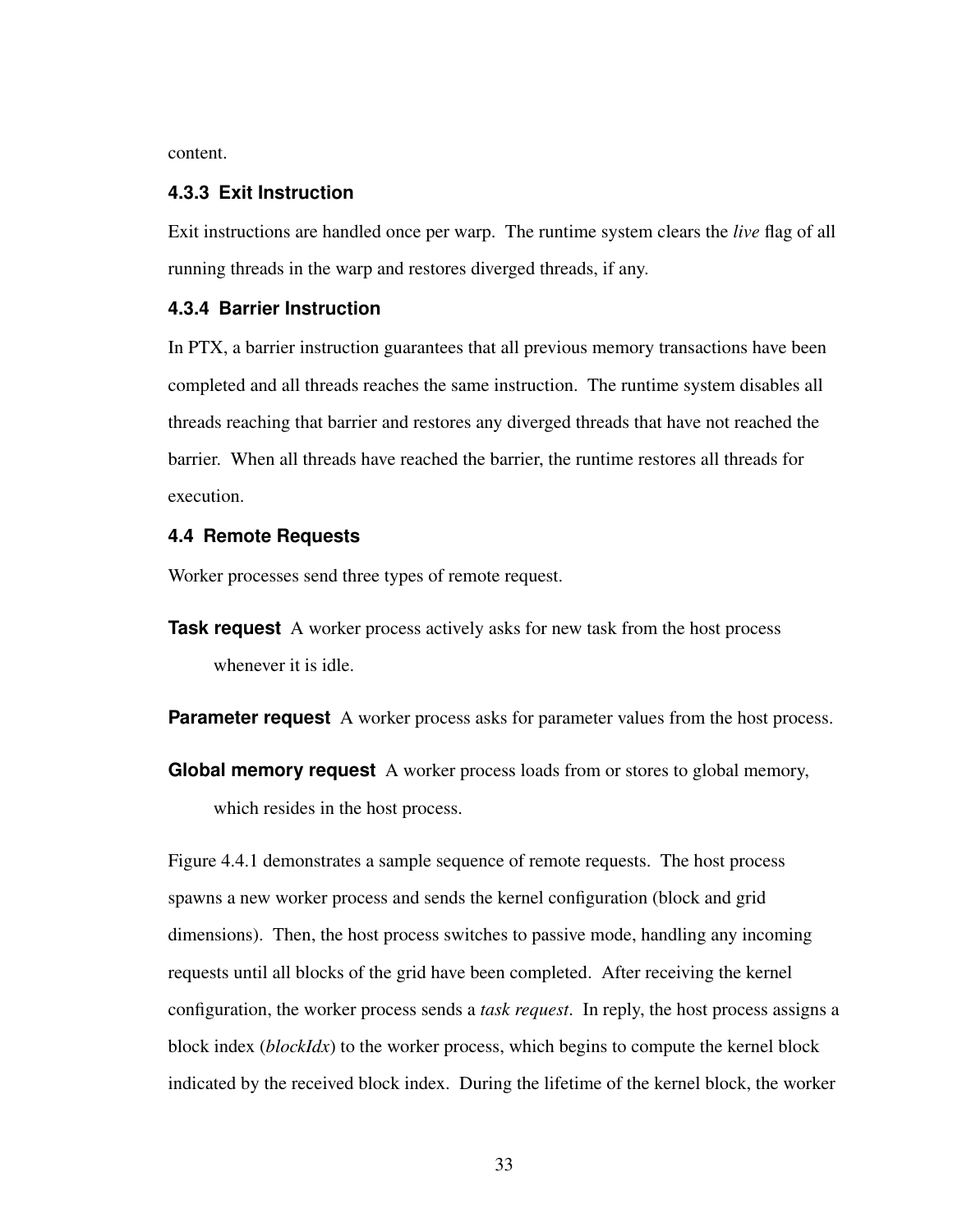content.

#### **4.3.3 Exit Instruction**

Exit instructions are handled once per warp. The runtime system clears the *live* flag of all running threads in the warp and restores diverged threads, if any.

### **4.3.4 Barrier Instruction**

In PTX, a barrier instruction guarantees that all previous memory transactions have been completed and all threads reaches the same instruction. The runtime system disables all threads reaching that barrier and restores any diverged threads that have not reached the barrier. When all threads have reached the barrier, the runtime restores all threads for execution.

#### <span id="page-41-0"></span>**4.4 Remote Requests**

Worker processes send three types of remote request.

**Task request** A worker process actively asks for new task from the host process whenever it is idle.

**Parameter request** A worker process asks for parameter values from the host process.

**Global memory request** A worker process loads from or stores to global memory, which resides in the host process.

Figure [4.4.1](#page-43-0) demonstrates a sample sequence of remote requests. The host process spawns a new worker process and sends the kernel configuration (block and grid dimensions). Then, the host process switches to passive mode, handling any incoming requests until all blocks of the grid have been completed. After receiving the kernel configuration, the worker process sends a *task request*. In reply, the host process assigns a block index (*blockIdx*) to the worker process, which begins to compute the kernel block indicated by the received block index. During the lifetime of the kernel block, the worker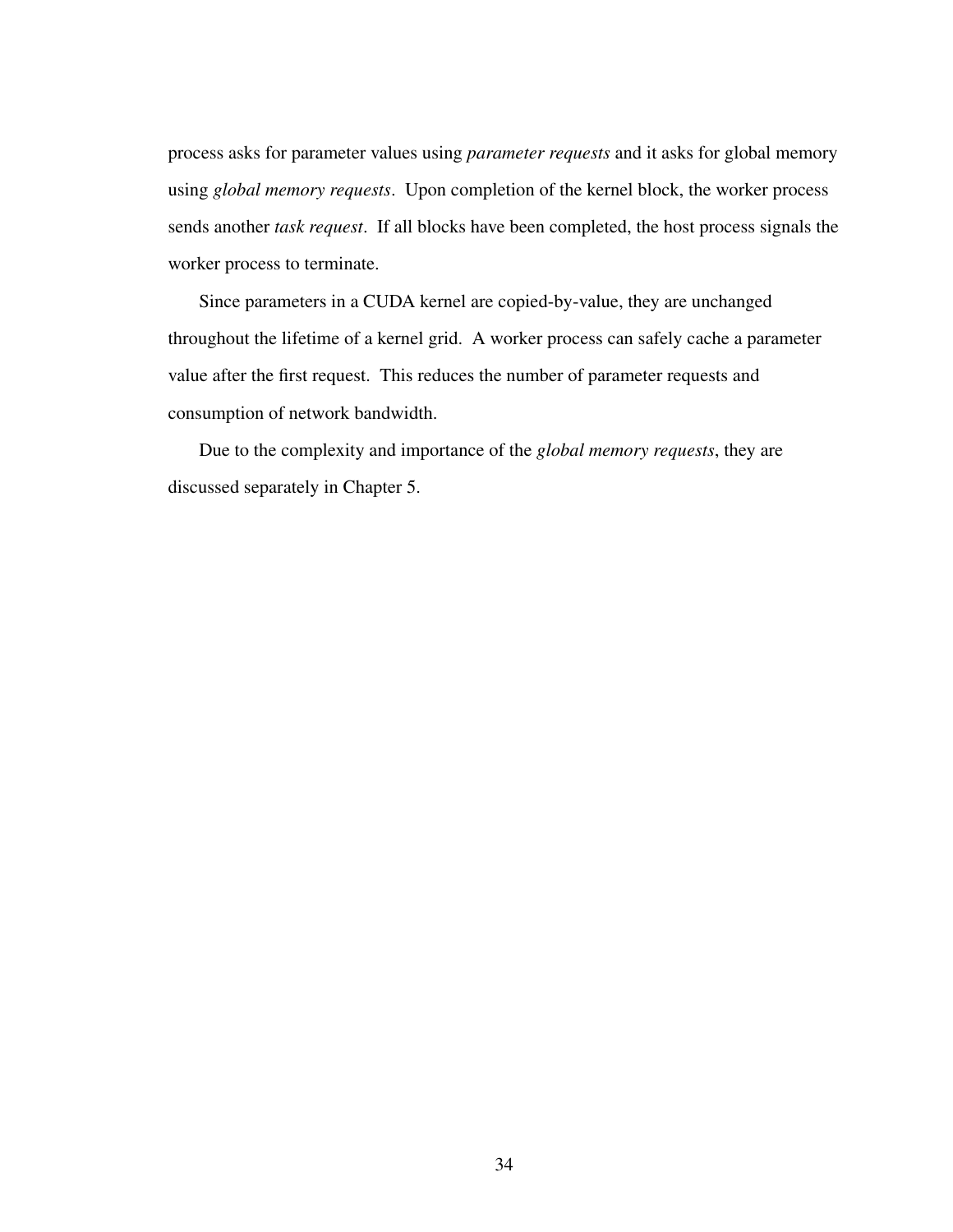process asks for parameter values using *parameter requests* and it asks for global memory using *global memory requests*. Upon completion of the kernel block, the worker process sends another *task request*. If all blocks have been completed, the host process signals the worker process to terminate.

Since parameters in a CUDA kernel are copied-by-value, they are unchanged throughout the lifetime of a kernel grid. A worker process can safely cache a parameter value after the first request. This reduces the number of parameter requests and consumption of network bandwidth.

Due to the complexity and importance of the *global memory requests*, they are discussed separately in Chapter [5.](#page-44-0)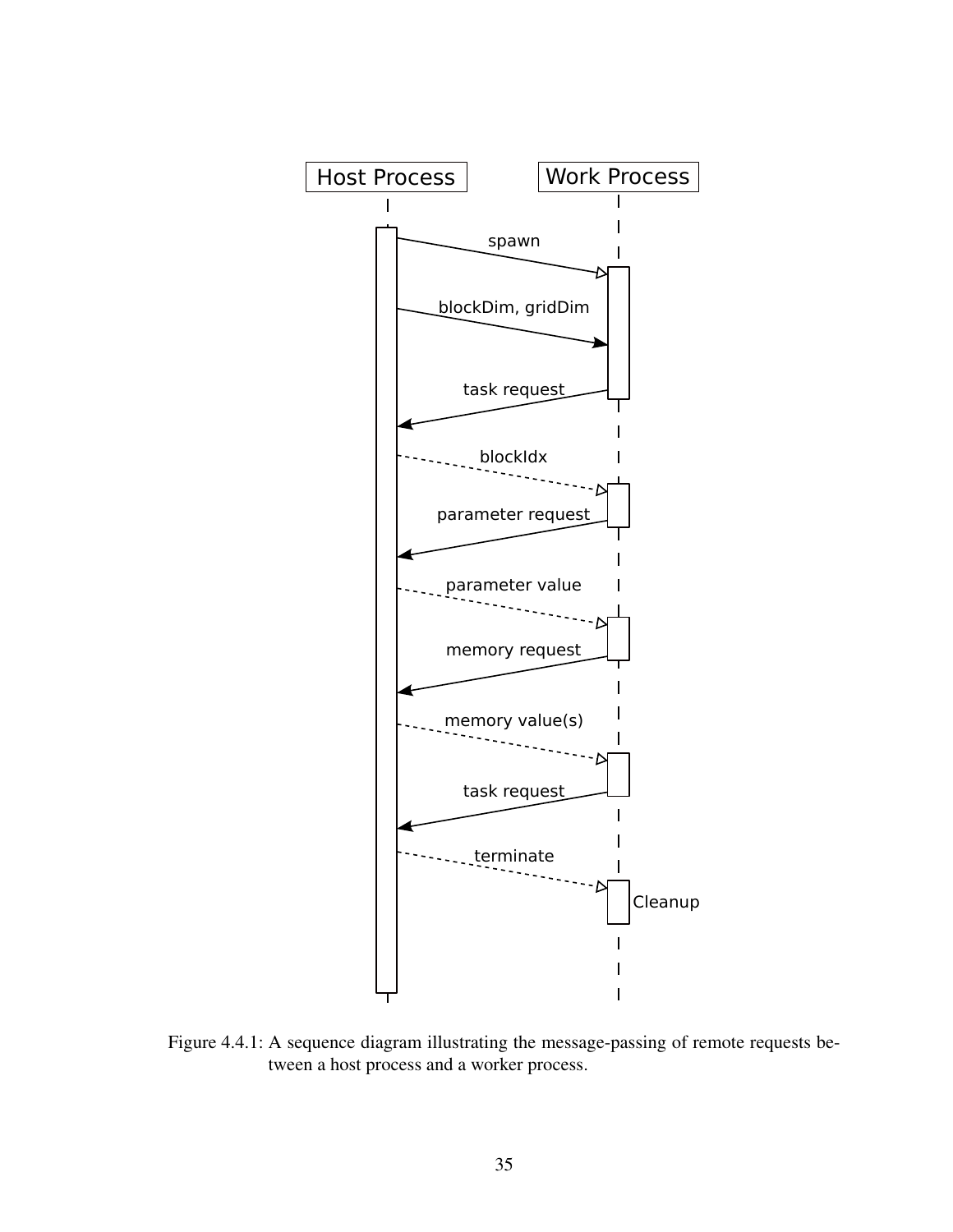<span id="page-43-0"></span>

Figure 4.4.1: A sequence diagram illustrating the message-passing of remote requests between a host process and a worker process.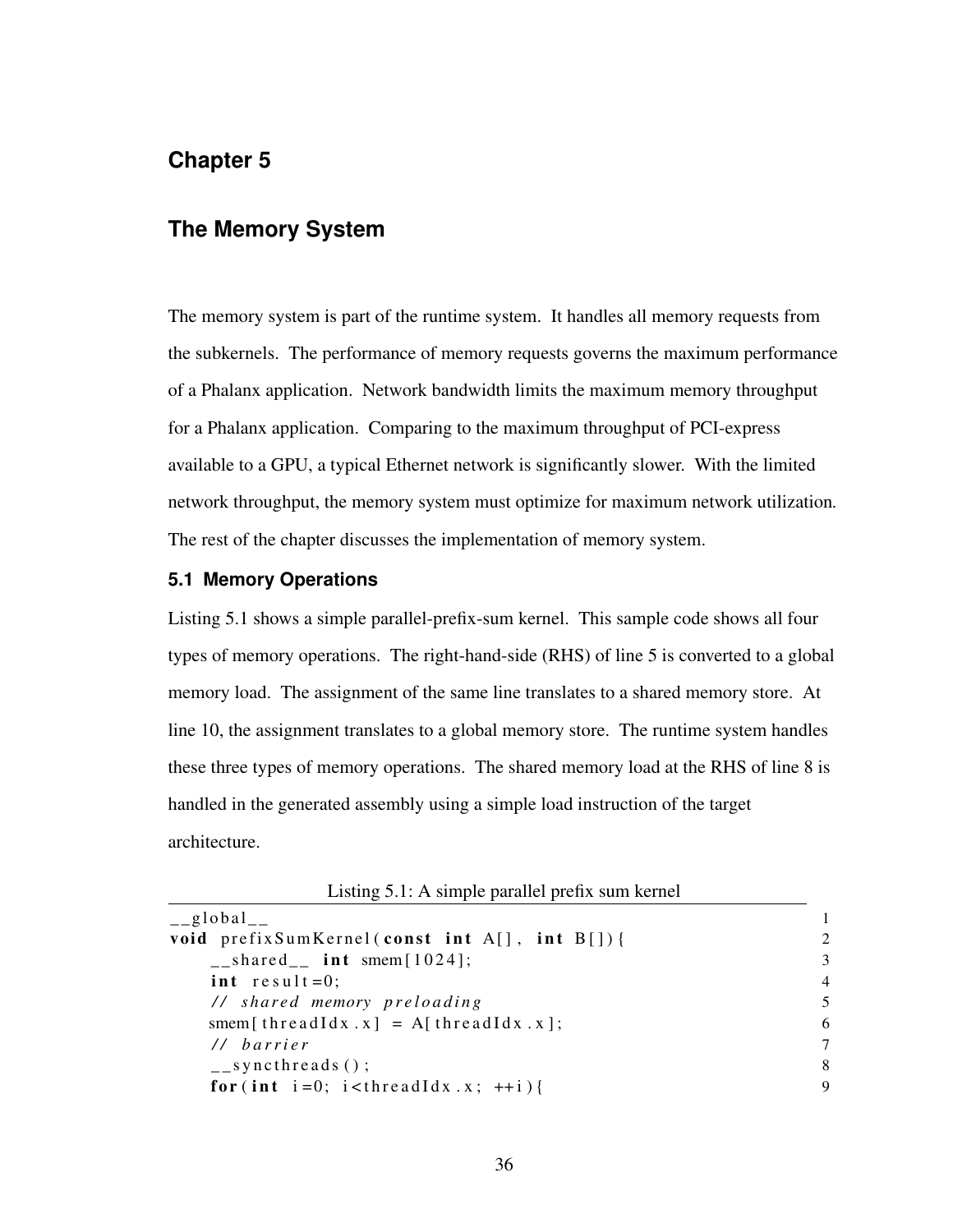# <span id="page-44-0"></span>**Chapter 5**

### **The Memory System**

The memory system is part of the runtime system. It handles all memory requests from the subkernels. The performance of memory requests governs the maximum performance of a Phalanx application. Network bandwidth limits the maximum memory throughput for a Phalanx application. Comparing to the maximum throughput of PCI-express available to a GPU, a typical Ethernet network is significantly slower. With the limited network throughput, the memory system must optimize for maximum network utilization*.* The rest of the chapter discusses the implementation of memory system.

#### **5.1 Memory Operations**

Listing [5.1](#page-44-1) shows a simple parallel-prefix-sum kernel. This sample code shows all four types of memory operations. The right-hand-side (RHS) of line 5 is converted to a global memory load. The assignment of the same line translates to a shared memory store. At line 10, the assignment translates to a global memory store. The runtime system handles these three types of memory operations. The shared memory load at the RHS of line 8 is handled in the generated assembly using a simple load instruction of the target architecture.

| Listing 5.1: A simple parallel prefix sum kernel |  |  |  |
|--------------------------------------------------|--|--|--|
|                                                  |  |  |  |

<span id="page-44-1"></span>

| $_{-}$ global $_{-}$                                        |                |
|-------------------------------------------------------------|----------------|
| void prefixSumKernel(const int A[], int B[]){               | $\mathfrak{D}$ |
| $\text{=}$ shared_ $\text{int}$ smem $[1024]$ ;             | 3              |
| int $result = 0$ ;                                          | $\overline{4}$ |
| // shared memory preloading                                 | 5              |
| smem [thread Idx . x] = A [thread Idx . x ];                | 6              |
| // barrier                                                  | 7              |
| $\frac{1}{2}$ syncthreads ();                               | 8              |
| for (int i=0; i <threadidx.x; <math="">++i){</threadidx.x;> | 9              |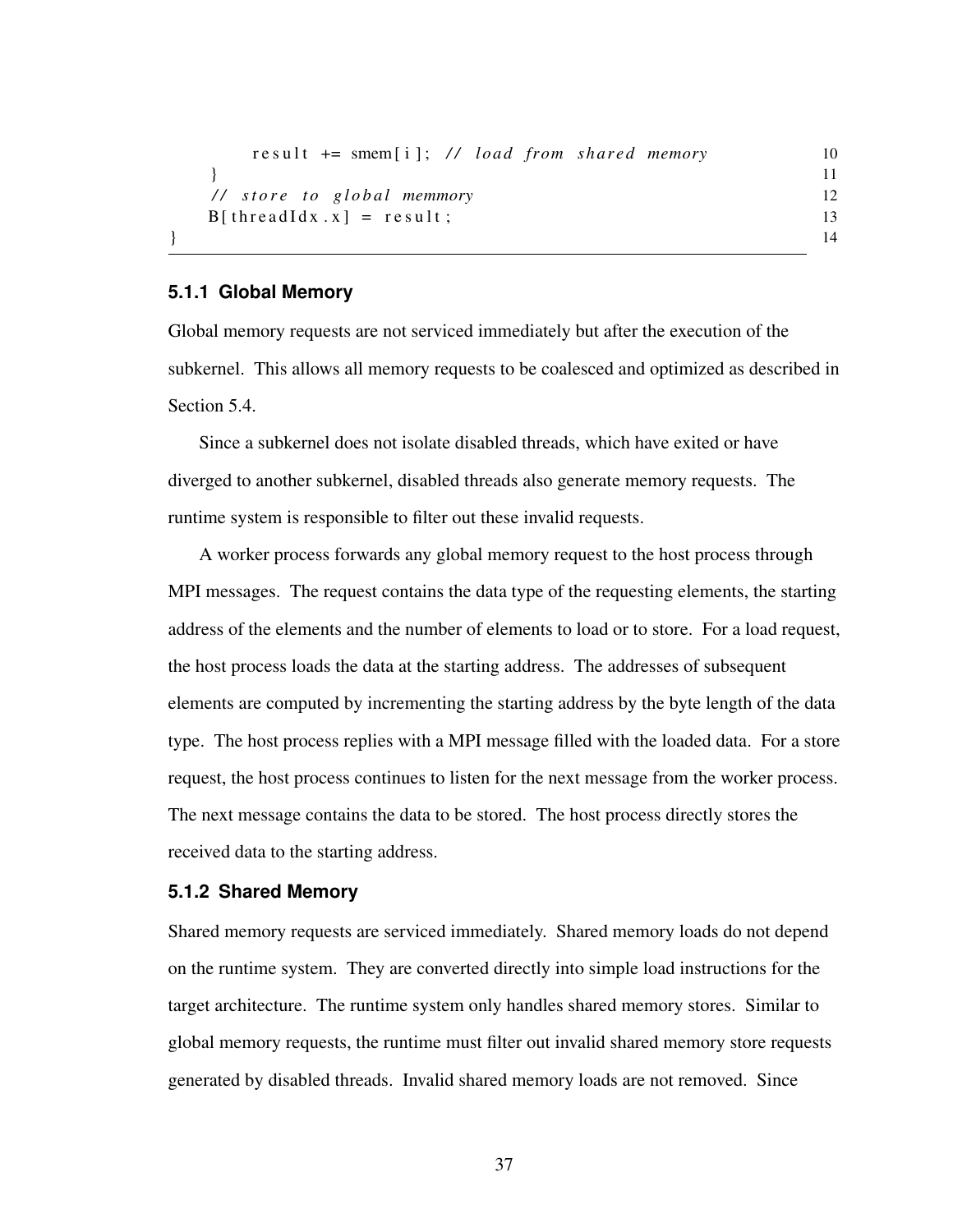```
r e s u l t + = smem [ i ]; // load from shared memory 10
 } 11
 // store to global memmory 12
 B[threadIdx.x] = result; 13
} 14
```
#### **5.1.1 Global Memory**

Global memory requests are not serviced immediately but after the execution of the subkernel. This allows all memory requests to be coalesced and optimized as described in Section [5.4.](#page-46-0)

Since a subkernel does not isolate disabled threads, which have exited or have diverged to another subkernel, disabled threads also generate memory requests. The runtime system is responsible to filter out these invalid requests.

A worker process forwards any global memory request to the host process through MPI messages. The request contains the data type of the requesting elements, the starting address of the elements and the number of elements to load or to store. For a load request, the host process loads the data at the starting address. The addresses of subsequent elements are computed by incrementing the starting address by the byte length of the data type. The host process replies with a MPI message filled with the loaded data. For a store request, the host process continues to listen for the next message from the worker process. The next message contains the data to be stored. The host process directly stores the received data to the starting address.

#### **5.1.2 Shared Memory**

Shared memory requests are serviced immediately. Shared memory loads do not depend on the runtime system. They are converted directly into simple load instructions for the target architecture. The runtime system only handles shared memory stores. Similar to global memory requests, the runtime must filter out invalid shared memory store requests generated by disabled threads. Invalid shared memory loads are not removed. Since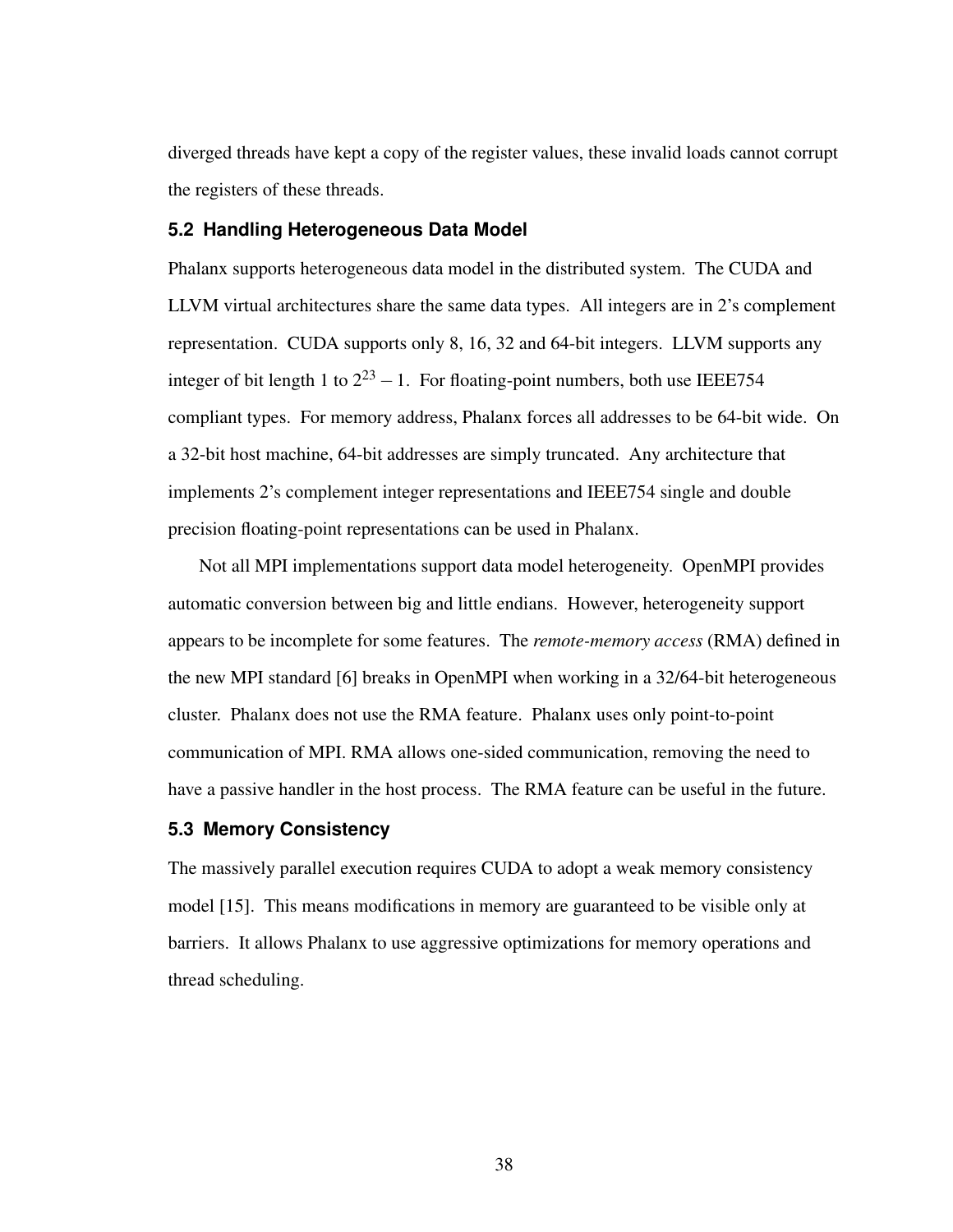diverged threads have kept a copy of the register values, these invalid loads cannot corrupt the registers of these threads.

#### **5.2 Handling Heterogeneous Data Model**

Phalanx supports heterogeneous data model in the distributed system. The CUDA and LLVM virtual architectures share the same data types. All integers are in 2's complement representation. CUDA supports only 8, 16, 32 and 64-bit integers. LLVM supports any integer of bit length 1 to  $2^{23} - 1$ . For floating-point numbers, both use IEEE754 compliant types. For memory address, Phalanx forces all addresses to be 64-bit wide. On a 32-bit host machine, 64-bit addresses are simply truncated. Any architecture that implements 2's complement integer representations and IEEE754 single and double precision floating-point representations can be used in Phalanx.

Not all MPI implementations support data model heterogeneity. OpenMPI provides automatic conversion between big and little endians. However, heterogeneity support appears to be incomplete for some features. The *remote-memory access* (RMA) defined in the new MPI standard [\[6\]](#page-62-0) breaks in OpenMPI when working in a 32/64-bit heterogeneous cluster. Phalanx does not use the RMA feature. Phalanx uses only point-to-point communication of MPI. RMA allows one-sided communication, removing the need to have a passive handler in the host process. The RMA feature can be useful in the future.

### **5.3 Memory Consistency**

<span id="page-46-0"></span>The massively parallel execution requires CUDA to adopt a weak memory consistency model [\[15\]](#page-63-0). This means modifications in memory are guaranteed to be visible only at barriers. It allows Phalanx to use aggressive optimizations for memory operations and thread scheduling.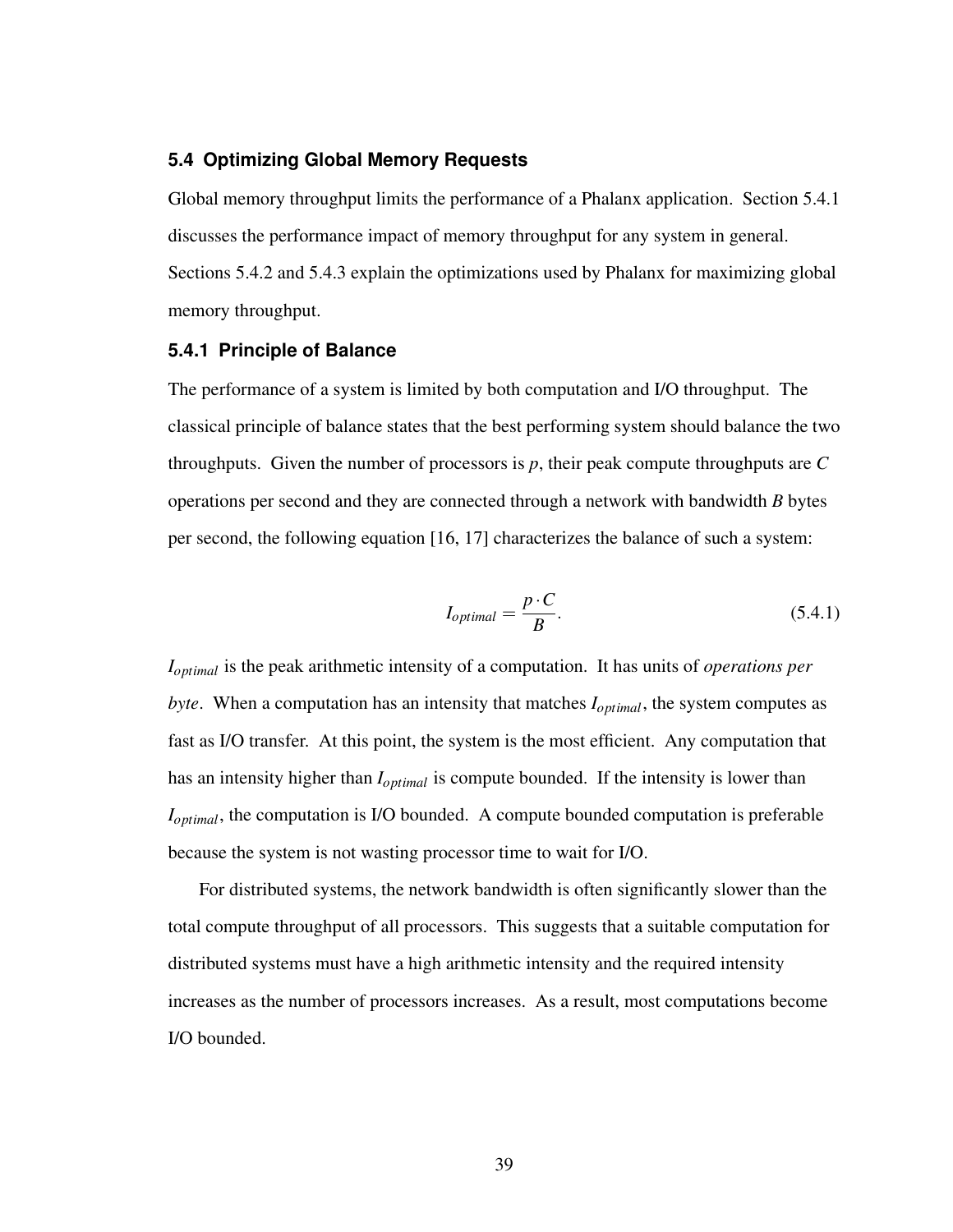#### **5.4 Optimizing Global Memory Requests**

Global memory throughput limits the performance of a Phalanx application. Section [5.4.1](#page-47-0) discusses the performance impact of memory throughput for any system in general. Sections [5.4.2](#page-47-1) and [5.4.3](#page-48-0) explain the optimizations used by Phalanx for maximizing global memory throughput.

#### <span id="page-47-0"></span>**5.4.1 Principle of Balance**

The performance of a system is limited by both computation and I/O throughput. The classical principle of balance states that the best performing system should balance the two throughputs. Given the number of processors is *p*, their peak compute throughputs are *C* operations per second and they are connected through a network with bandwidth *B* bytes per second, the following equation [\[16,](#page-63-1) [17\]](#page-63-2) characterizes the balance of such a system:

$$
I_{optimal} = \frac{p \cdot C}{B}.
$$
\n(5.4.1)

*Ioptimal* is the peak arithmetic intensity of a computation. It has units of *operations per byte.* When a computation has an intensity that matches  $I_{optimal}$ , the system computes as fast as I/O transfer. At this point, the system is the most efficient. Any computation that has an intensity higher than *Ioptimal* is compute bounded. If the intensity is lower than *Ioptimal*, the computation is I/O bounded. A compute bounded computation is preferable because the system is not wasting processor time to wait for I/O.

<span id="page-47-1"></span>For distributed systems, the network bandwidth is often significantly slower than the total compute throughput of all processors. This suggests that a suitable computation for distributed systems must have a high arithmetic intensity and the required intensity increases as the number of processors increases. As a result, most computations become I/O bounded.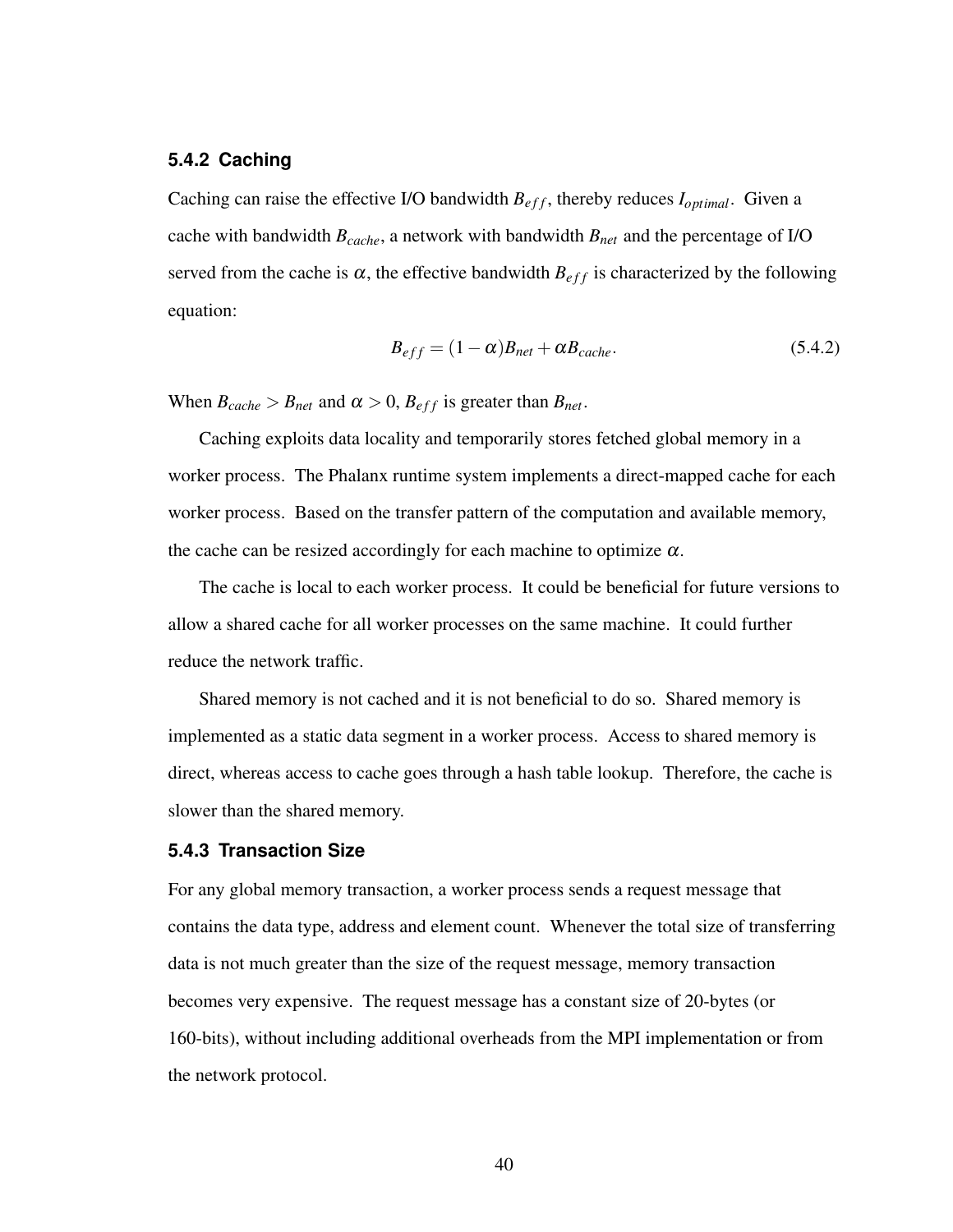#### **5.4.2 Caching**

Caching can raise the effective I/O bandwidth  $B_{eff}$ , thereby reduces  $I_{optimal}$ . Given a cache with bandwidth *Bcache*, a network with bandwidth *Bnet* and the percentage of I/O served from the cache is  $\alpha$ , the effective bandwidth  $B_{eff}$  is characterized by the following equation:

<span id="page-48-1"></span>
$$
B_{eff} = (1 - \alpha)B_{net} + \alpha B_{cache}.
$$
 (5.4.2)

When  $B_{cache} > B_{net}$  and  $\alpha > 0$ ,  $B_{eff}$  is greater than  $B_{net}$ .

Caching exploits data locality and temporarily stores fetched global memory in a worker process. The Phalanx runtime system implements a direct-mapped cache for each worker process. Based on the transfer pattern of the computation and available memory, the cache can be resized accordingly for each machine to optimize  $\alpha$ .

The cache is local to each worker process. It could be beneficial for future versions to allow a shared cache for all worker processes on the same machine. It could further reduce the network traffic.

Shared memory is not cached and it is not beneficial to do so. Shared memory is implemented as a static data segment in a worker process. Access to shared memory is direct, whereas access to cache goes through a hash table lookup. Therefore, the cache is slower than the shared memory.

#### <span id="page-48-0"></span>**5.4.3 Transaction Size**

For any global memory transaction, a worker process sends a request message that contains the data type, address and element count. Whenever the total size of transferring data is not much greater than the size of the request message, memory transaction becomes very expensive. The request message has a constant size of 20-bytes (or 160-bits), without including additional overheads from the MPI implementation or from the network protocol.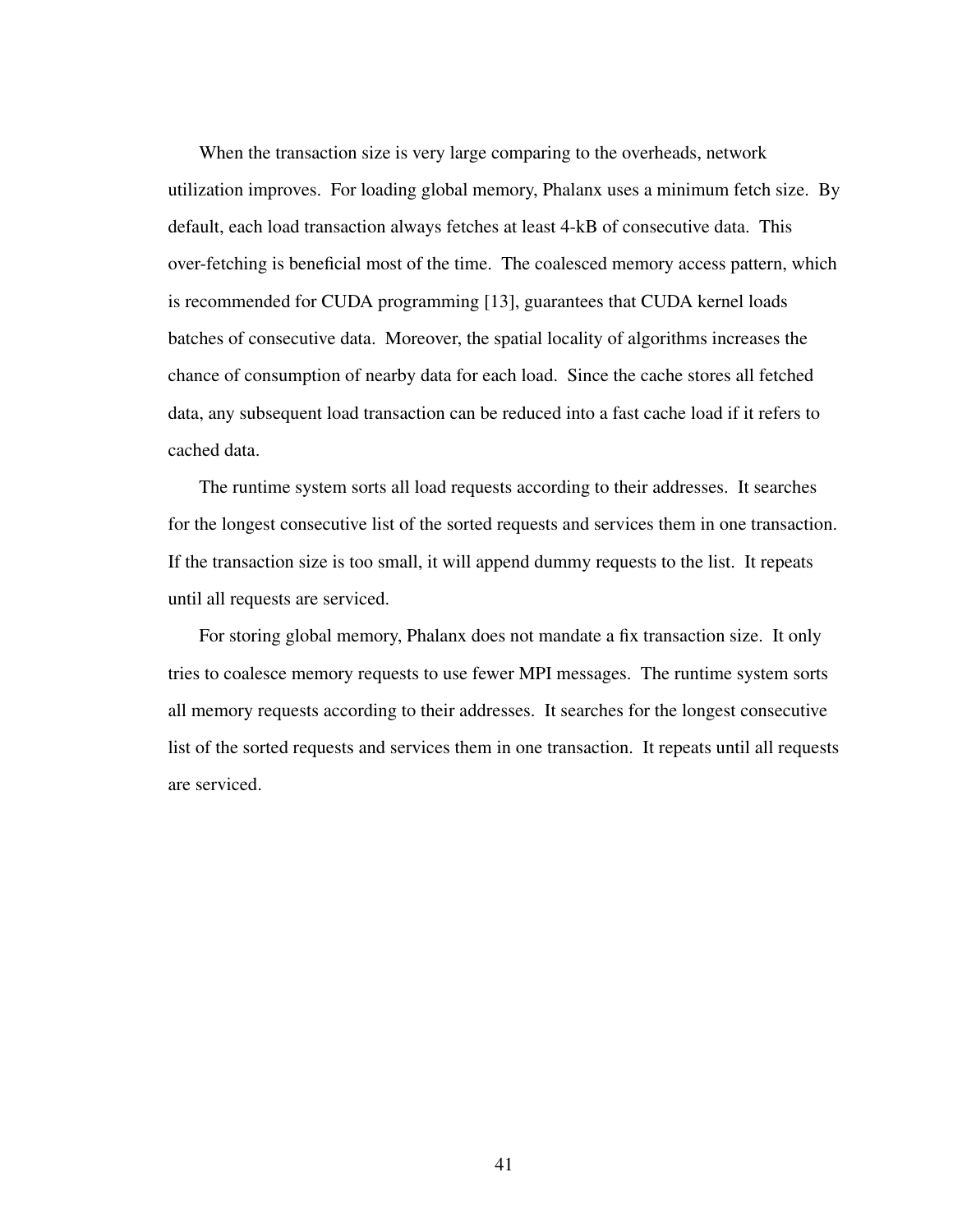When the transaction size is very large comparing to the overheads, network utilization improves. For loading global memory, Phalanx uses a minimum fetch size. By default, each load transaction always fetches at least 4-kB of consecutive data. This over-fetching is beneficial most of the time. The coalesced memory access pattern, which is recommended for CUDA programming [\[13\]](#page-63-3), guarantees that CUDA kernel loads batches of consecutive data. Moreover, the spatial locality of algorithms increases the chance of consumption of nearby data for each load. Since the cache stores all fetched data, any subsequent load transaction can be reduced into a fast cache load if it refers to cached data.

The runtime system sorts all load requests according to their addresses. It searches for the longest consecutive list of the sorted requests and services them in one transaction. If the transaction size is too small, it will append dummy requests to the list. It repeats until all requests are serviced.

For storing global memory, Phalanx does not mandate a fix transaction size. It only tries to coalesce memory requests to use fewer MPI messages. The runtime system sorts all memory requests according to their addresses. It searches for the longest consecutive list of the sorted requests and services them in one transaction. It repeats until all requests are serviced.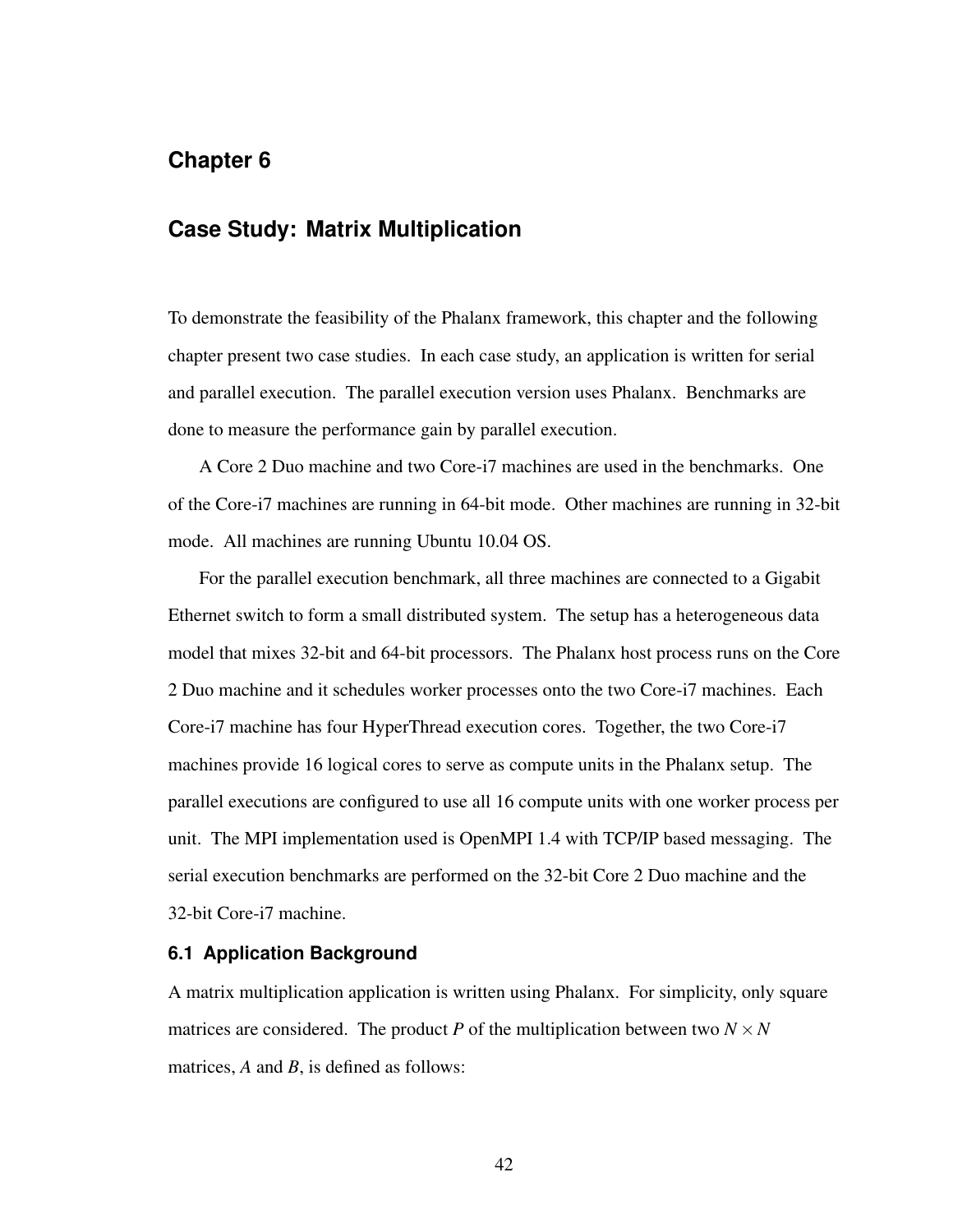## <span id="page-50-0"></span>**Chapter 6**

## **Case Study: Matrix Multiplication**

To demonstrate the feasibility of the Phalanx framework, this chapter and the following chapter present two case studies. In each case study, an application is written for serial and parallel execution. The parallel execution version uses Phalanx. Benchmarks are done to measure the performance gain by parallel execution.

A Core 2 Duo machine and two Core-i7 machines are used in the benchmarks. One of the Core-i7 machines are running in 64-bit mode. Other machines are running in 32-bit mode. All machines are running Ubuntu 10.04 OS.

For the parallel execution benchmark, all three machines are connected to a Gigabit Ethernet switch to form a small distributed system. The setup has a heterogeneous data model that mixes 32-bit and 64-bit processors. The Phalanx host process runs on the Core 2 Duo machine and it schedules worker processes onto the two Core-i7 machines. Each Core-i7 machine has four HyperThread execution cores. Together, the two Core-i7 machines provide 16 logical cores to serve as compute units in the Phalanx setup. The parallel executions are configured to use all 16 compute units with one worker process per unit. The MPI implementation used is OpenMPI 1.4 with TCP/IP based messaging. The serial execution benchmarks are performed on the 32-bit Core 2 Duo machine and the 32-bit Core-i7 machine.

#### **6.1 Application Background**

A matrix multiplication application is written using Phalanx. For simplicity, only square matrices are considered. The product *P* of the multiplication between two  $N \times N$ matrices, *A* and *B*, is defined as follows: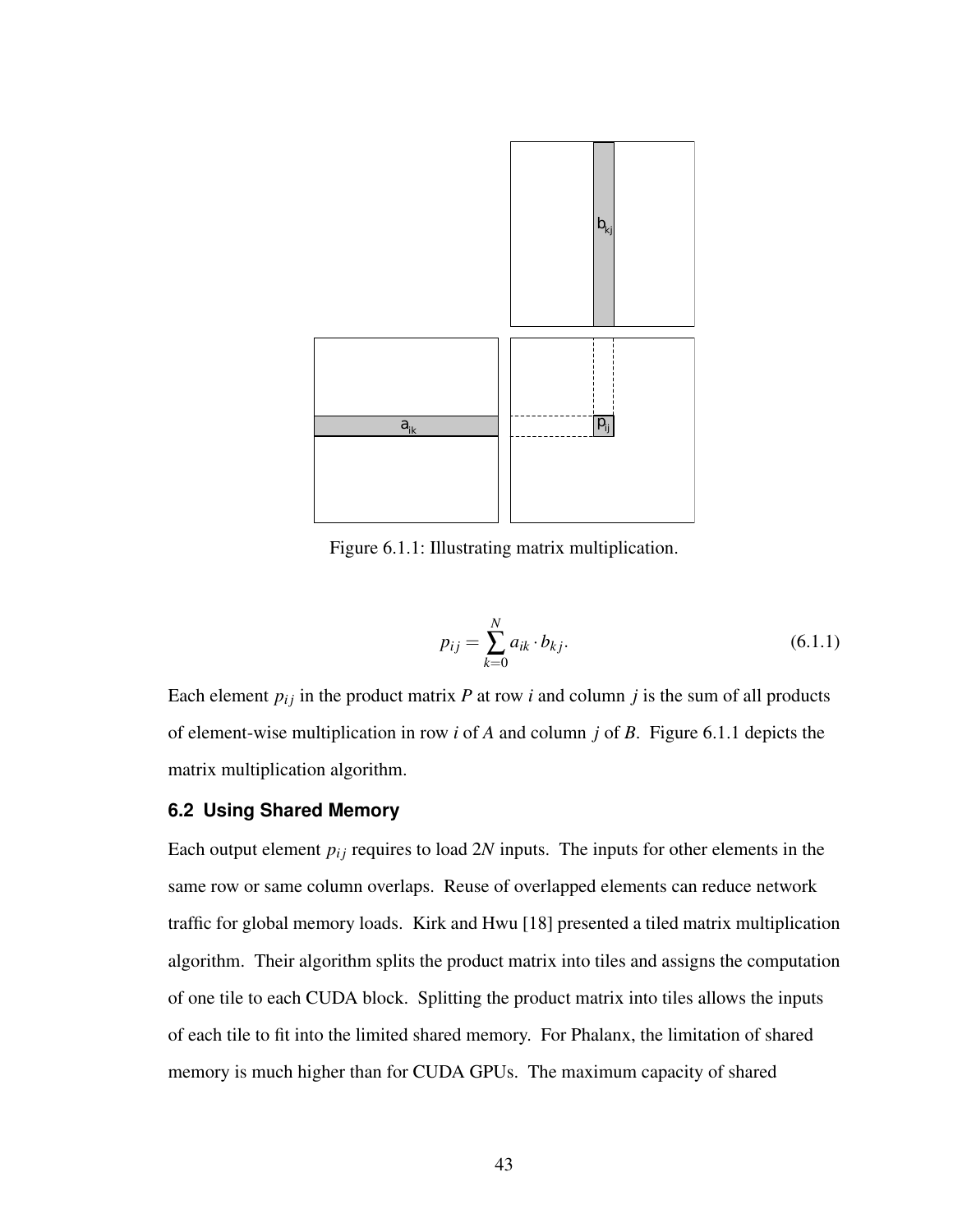<span id="page-51-0"></span>

Figure 6.1.1: Illustrating matrix multiplication.

$$
p_{ij} = \sum_{k=0}^{N} a_{ik} \cdot b_{kj}.
$$
 (6.1.1)

Each element  $p_{ij}$  in the product matrix  $P$  at row  $i$  and column  $j$  is the sum of all products of element-wise multiplication in row *i* of *A* and column *j* of *B*. Figure [6.1.1](#page-51-0) depicts the matrix multiplication algorithm.

#### **6.2 Using Shared Memory**

Each output element  $p_{ij}$  requires to load 2*N* inputs. The inputs for other elements in the same row or same column overlaps. Reuse of overlapped elements can reduce network traffic for global memory loads. Kirk and Hwu [\[18\]](#page-63-4) presented a tiled matrix multiplication algorithm. Their algorithm splits the product matrix into tiles and assigns the computation of one tile to each CUDA block. Splitting the product matrix into tiles allows the inputs of each tile to fit into the limited shared memory. For Phalanx, the limitation of shared memory is much higher than for CUDA GPUs. The maximum capacity of shared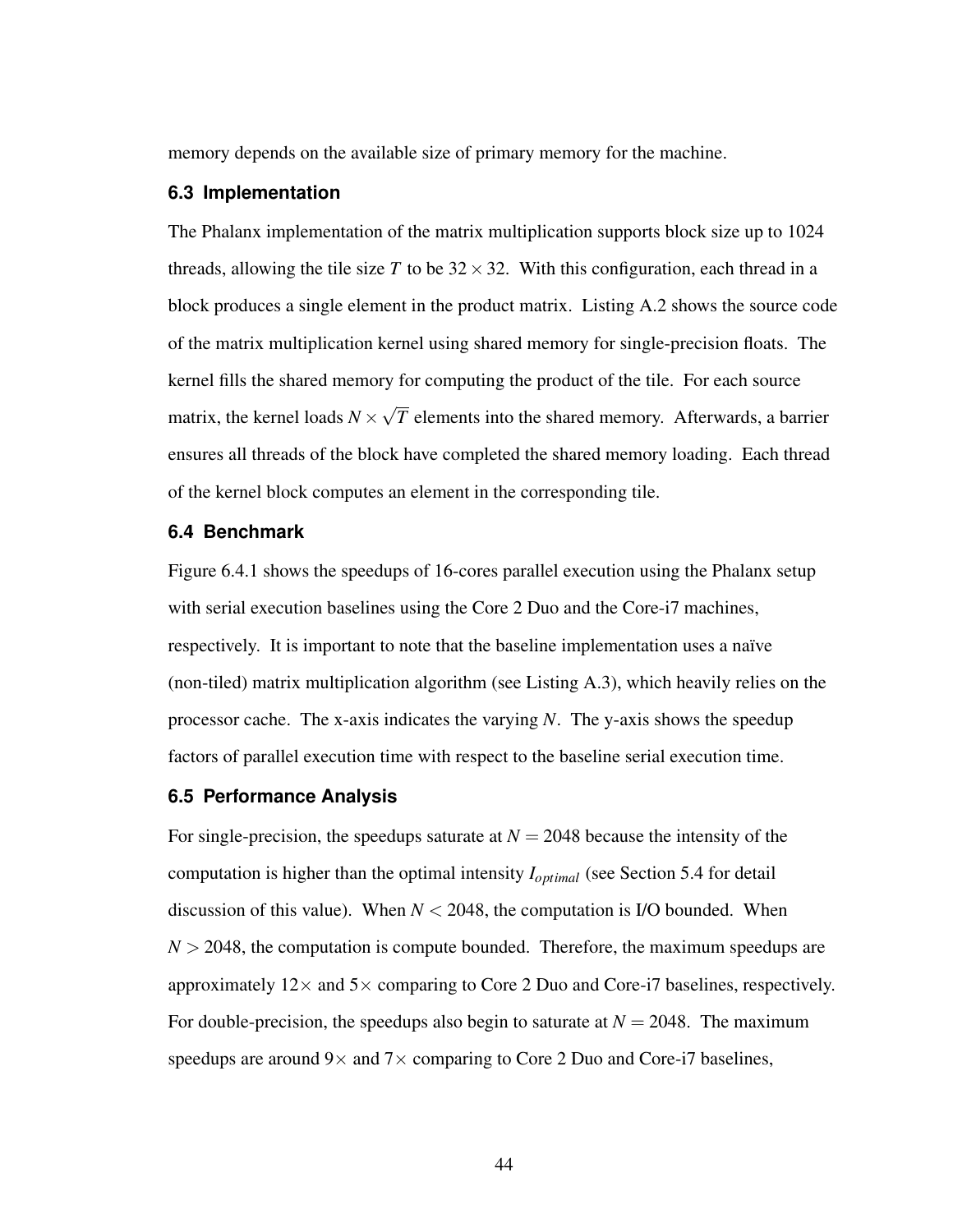memory depends on the available size of primary memory for the machine.

#### **6.3 Implementation**

The Phalanx implementation of the matrix multiplication supports block size up to 1024 threads, allowing the tile size T to be  $32 \times 32$ . With this configuration, each thread in a block produces a single element in the product matrix. Listing [A.2](#page-65-0) shows the source code of the matrix multiplication kernel using shared memory for single-precision floats. The kernel fills the shared memory for computing the product of the tile. For each source matrix, the kernel loads  $N \times$ √ *T* elements into the shared memory. Afterwards, a barrier ensures all threads of the block have completed the shared memory loading. Each thread of the kernel block computes an element in the corresponding tile.

#### **6.4 Benchmark**

Figure [6.4.1](#page-53-0) shows the speedups of 16-cores parallel execution using the Phalanx setup with serial execution baselines using the Core 2 Duo and the Core-i7 machines, respectively. It is important to note that the baseline implementation uses a naïve (non-tiled) matrix multiplication algorithm (see Listing [A.3\)](#page-66-0), which heavily relies on the processor cache. The x-axis indicates the varying *N*. The y-axis shows the speedup factors of parallel execution time with respect to the baseline serial execution time.

#### **6.5 Performance Analysis**

For single-precision, the speedups saturate at  $N = 2048$  because the intensity of the computation is higher than the optimal intensity *I<sub>optimal</sub>* (see Section [5.4](#page-46-0) for detail discussion of this value). When  $N < 2048$ , the computation is I/O bounded. When  $N > 2048$ , the computation is compute bounded. Therefore, the maximum speedups are approximately  $12 \times$  and  $5 \times$  comparing to Core 2 Duo and Core-i7 baselines, respectively. For double-precision, the speedups also begin to saturate at  $N = 2048$ . The maximum speedups are around  $9 \times$  and  $7 \times$  comparing to Core 2 Duo and Core-i7 baselines,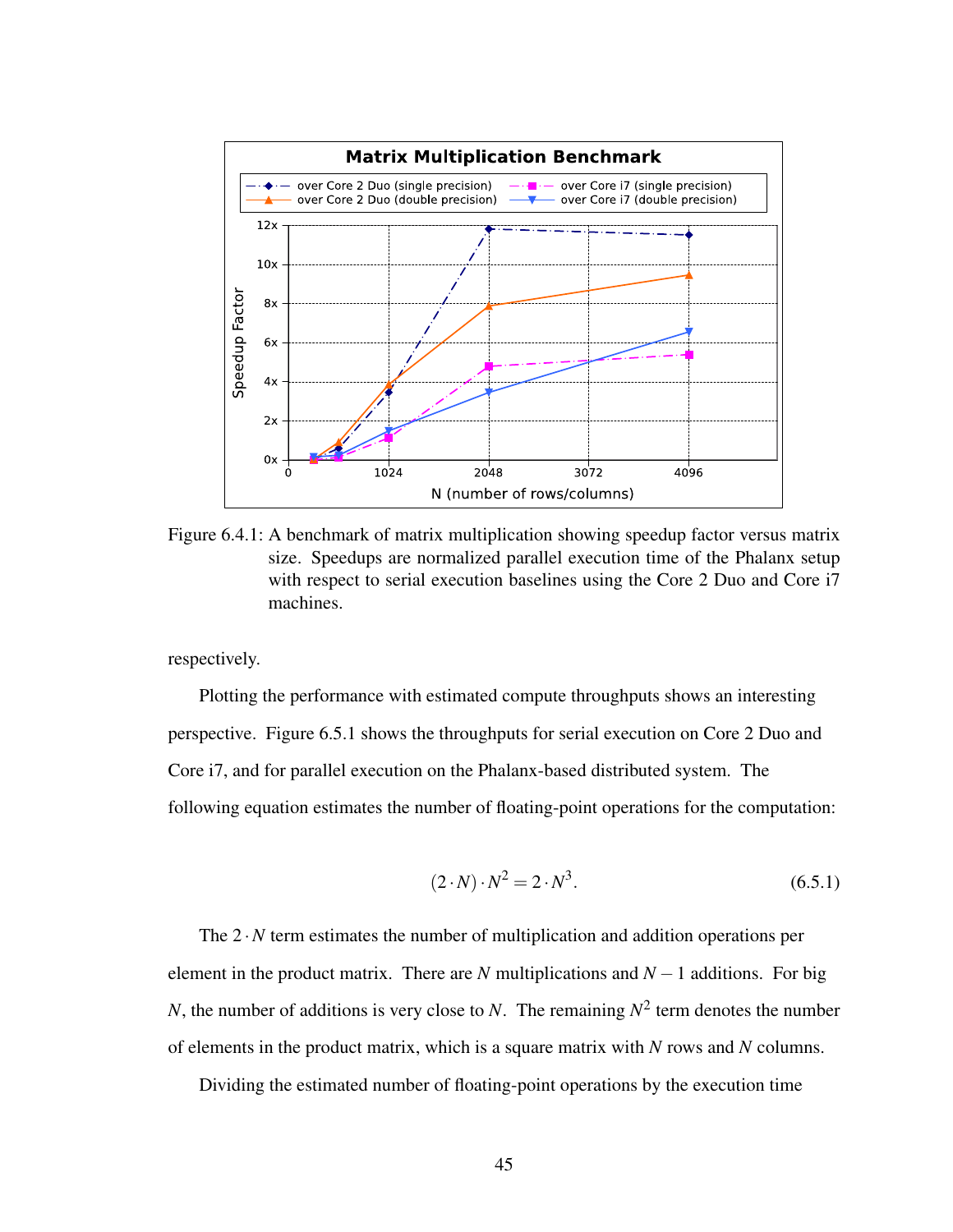<span id="page-53-0"></span>

Figure 6.4.1: A benchmark of matrix multiplication showing speedup factor versus matrix size. Speedups are normalized parallel execution time of the Phalanx setup with respect to serial execution baselines using the Core 2 Duo and Core i7 machines.

respectively.

Plotting the performance with estimated compute throughputs shows an interesting perspective. Figure [6.5.1](#page-54-0) shows the throughputs for serial execution on Core 2 Duo and Core i7, and for parallel execution on the Phalanx-based distributed system. The following equation estimates the number of floating-point operations for the computation:

$$
(2 \cdot N) \cdot N^2 = 2 \cdot N^3. \tag{6.5.1}
$$

The  $2 \cdot N$  term estimates the number of multiplication and addition operations per element in the product matrix. There are *N* multiplications and  $N-1$  additions. For big *N*, the number of additions is very close to *N*. The remaining *N* 2 term denotes the number of elements in the product matrix, which is a square matrix with *N* rows and *N* columns.

Dividing the estimated number of floating-point operations by the execution time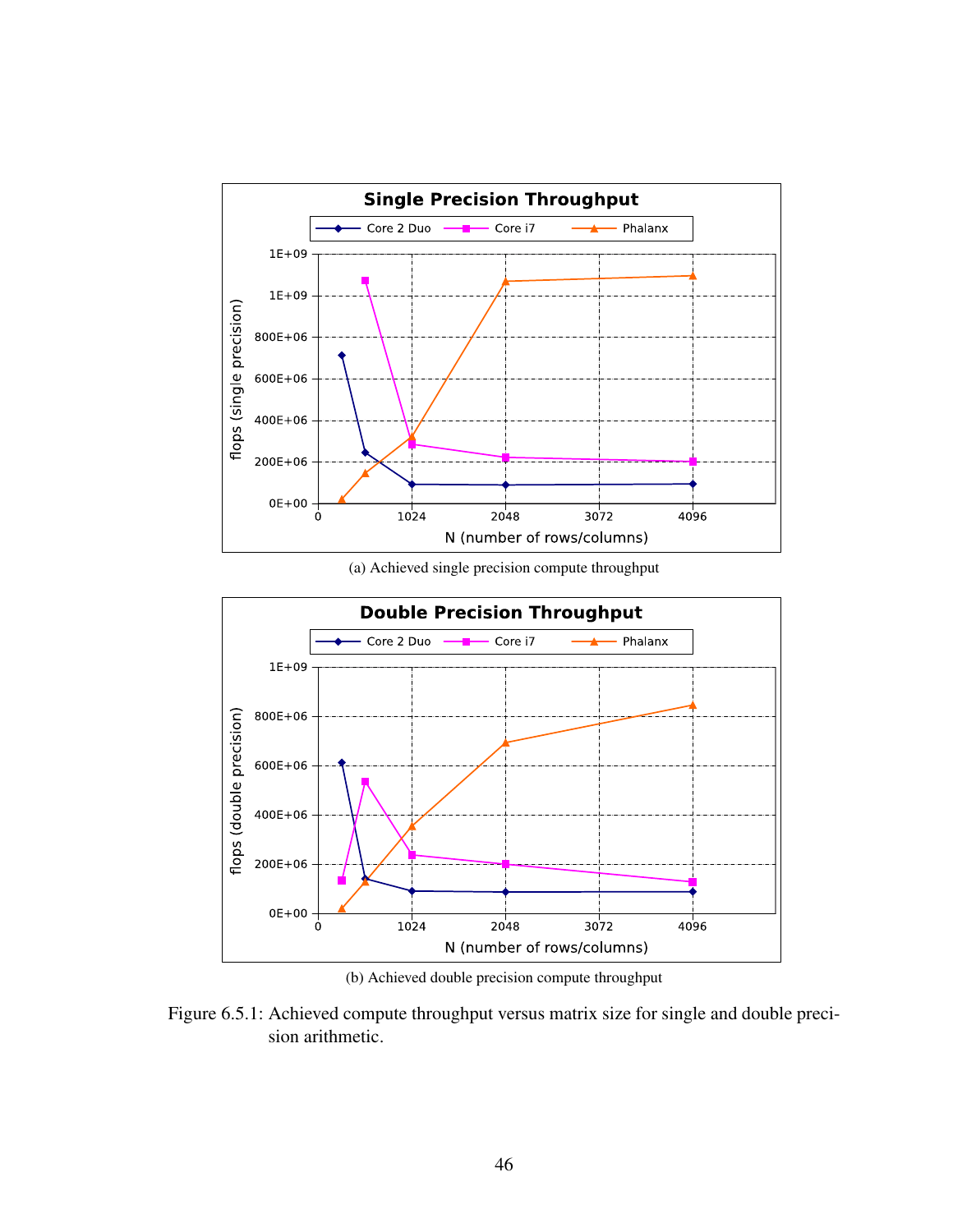<span id="page-54-0"></span>

(a) Achieved single precision compute throughput



(b) Achieved double precision compute throughput

Figure 6.5.1: Achieved compute throughput versus matrix size for single and double precision arithmetic.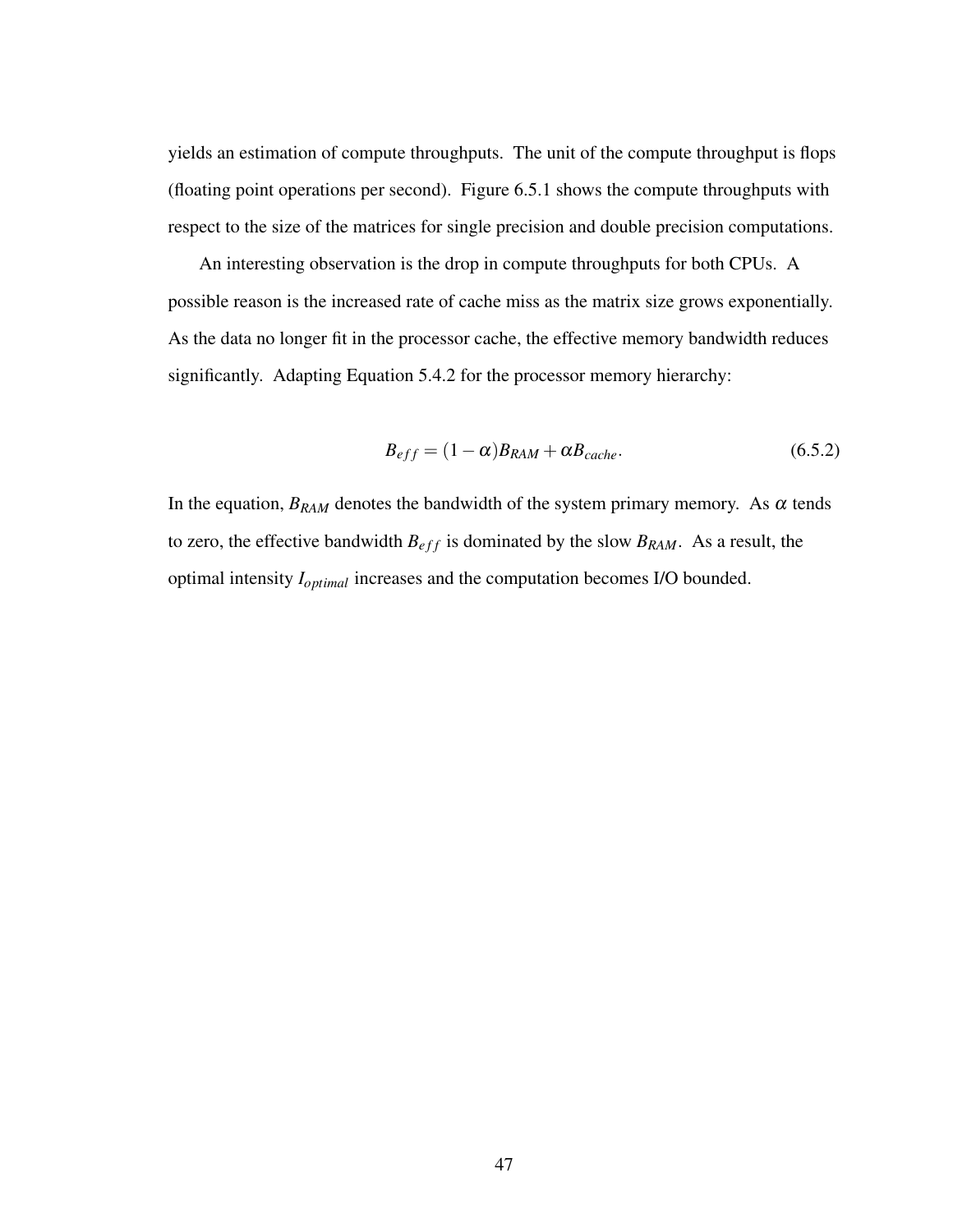yields an estimation of compute throughputs. The unit of the compute throughput is flops (floating point operations per second). Figure [6.5.1](#page-54-0) shows the compute throughputs with respect to the size of the matrices for single precision and double precision computations.

An interesting observation is the drop in compute throughputs for both CPUs. A possible reason is the increased rate of cache miss as the matrix size grows exponentially. As the data no longer fit in the processor cache, the effective memory bandwidth reduces significantly. Adapting Equation [5.4.2](#page-48-1) for the processor memory hierarchy:

$$
B_{eff} = (1 - \alpha)B_{RAM} + \alpha B_{cache}.
$$
\n(6.5.2)

In the equation,  $B_{RAM}$  denotes the bandwidth of the system primary memory. As  $\alpha$  tends to zero, the effective bandwidth  $B_{eff}$  is dominated by the slow  $B_{RAM}$ . As a result, the optimal intensity *Ioptimal* increases and the computation becomes I/O bounded.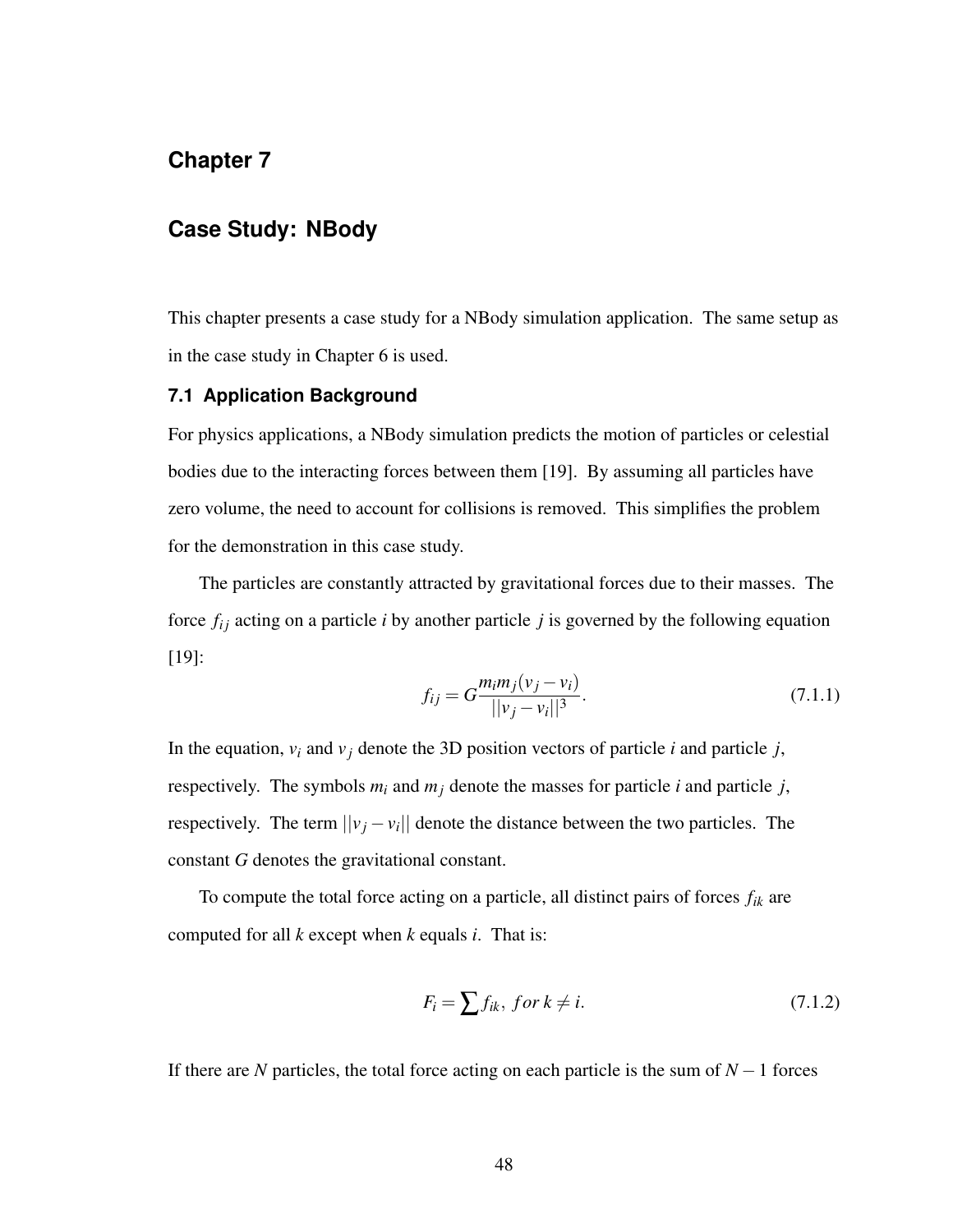# **Chapter 7**

## **Case Study: NBody**

This chapter presents a case study for a NBody simulation application. The same setup as in the case study in Chapter [6](#page-50-0) is used.

#### **7.1 Application Background**

For physics applications, a NBody simulation predicts the motion of particles or celestial bodies due to the interacting forces between them [\[19\]](#page-63-5). By assuming all particles have zero volume, the need to account for collisions is removed. This simplifies the problem for the demonstration in this case study.

The particles are constantly attracted by gravitational forces due to their masses. The force  $f_{ij}$  acting on a particle *i* by another particle *j* is governed by the following equation [\[19\]](#page-63-5):

<span id="page-56-0"></span>
$$
f_{ij} = G \frac{m_i m_j (v_j - v_i)}{||v_j - v_i||^3}.
$$
\n(7.1.1)

In the equation,  $v_i$  and  $v_j$  denote the 3D position vectors of particle *i* and particle *j*, respectively. The symbols  $m_i$  and  $m_j$  denote the masses for particle *i* and particle *j*, respectively. The term  $||v_j - v_i||$  denote the distance between the two particles. The constant *G* denotes the gravitational constant.

To compute the total force acting on a particle, all distinct pairs of forces *fik* are computed for all *k* except when *k* equals *i*. That is:

$$
F_i = \sum f_{ik}, \text{ for } k \neq i. \tag{7.1.2}
$$

If there are *N* particles, the total force acting on each particle is the sum of *N* −1 forces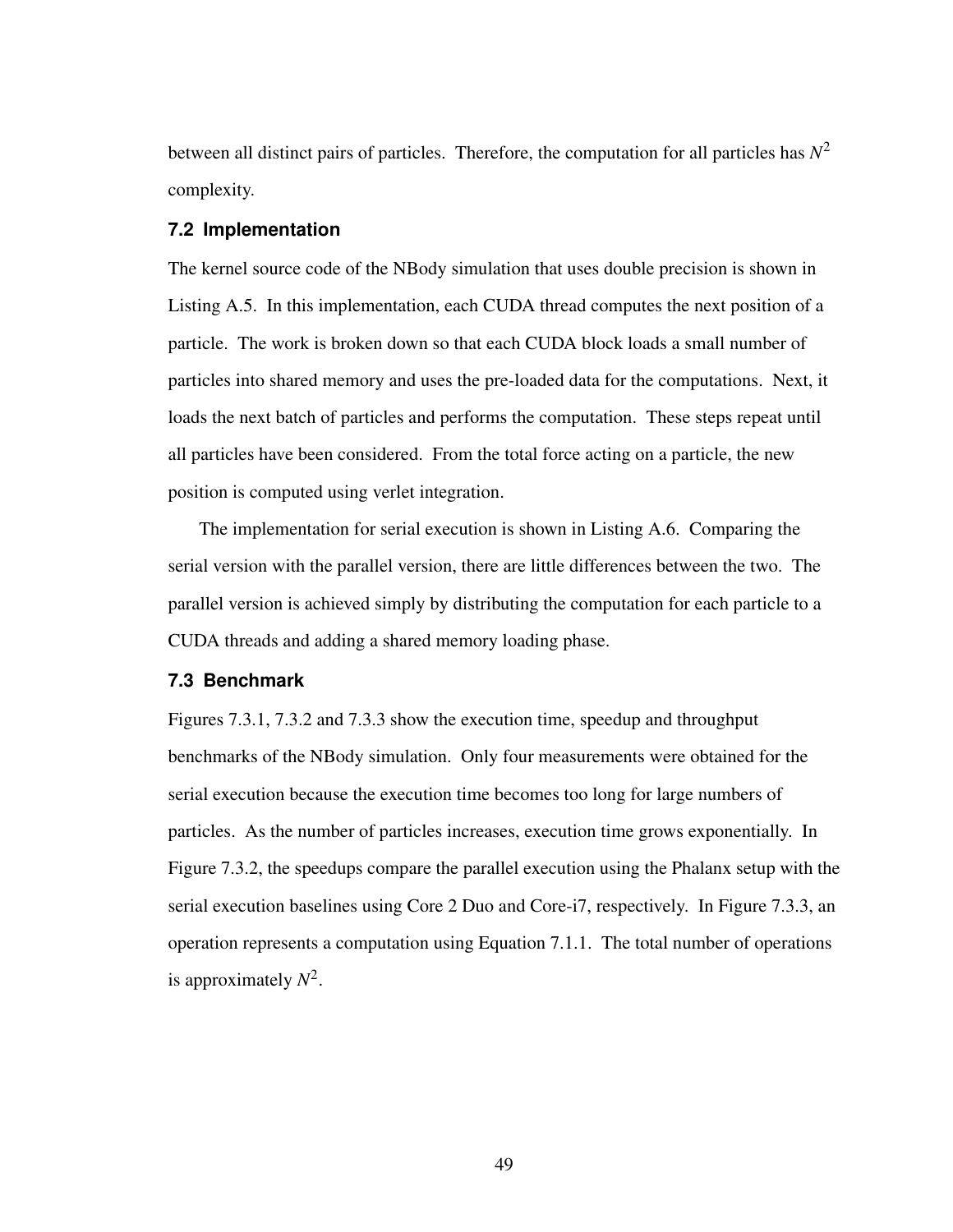between all distinct pairs of particles. Therefore, the computation for all particles has *N* 2 complexity.

#### **7.2 Implementation**

The kernel source code of the NBody simulation that uses double precision is shown in Listing [A.5.](#page-70-0) In this implementation, each CUDA thread computes the next position of a particle. The work is broken down so that each CUDA block loads a small number of particles into shared memory and uses the pre-loaded data for the computations. Next, it loads the next batch of particles and performs the computation. These steps repeat until all particles have been considered. From the total force acting on a particle, the new position is computed using verlet integration.

The implementation for serial execution is shown in Listing [A.6.](#page-71-0) Comparing the serial version with the parallel version, there are little differences between the two. The parallel version is achieved simply by distributing the computation for each particle to a CUDA threads and adding a shared memory loading phase.

#### **7.3 Benchmark**

Figures [7.3.1,](#page-58-0) [7.3.2](#page-58-1) and [7.3.3](#page-59-0) show the execution time, speedup and throughput benchmarks of the NBody simulation. Only four measurements were obtained for the serial execution because the execution time becomes too long for large numbers of particles. As the number of particles increases, execution time grows exponentially. In Figure [7.3.2,](#page-58-1) the speedups compare the parallel execution using the Phalanx setup with the serial execution baselines using Core 2 Duo and Core-i7, respectively. In Figure [7.3.3,](#page-59-0) an operation represents a computation using Equation [7.1.1.](#page-56-0) The total number of operations is approximately  $N^2$ .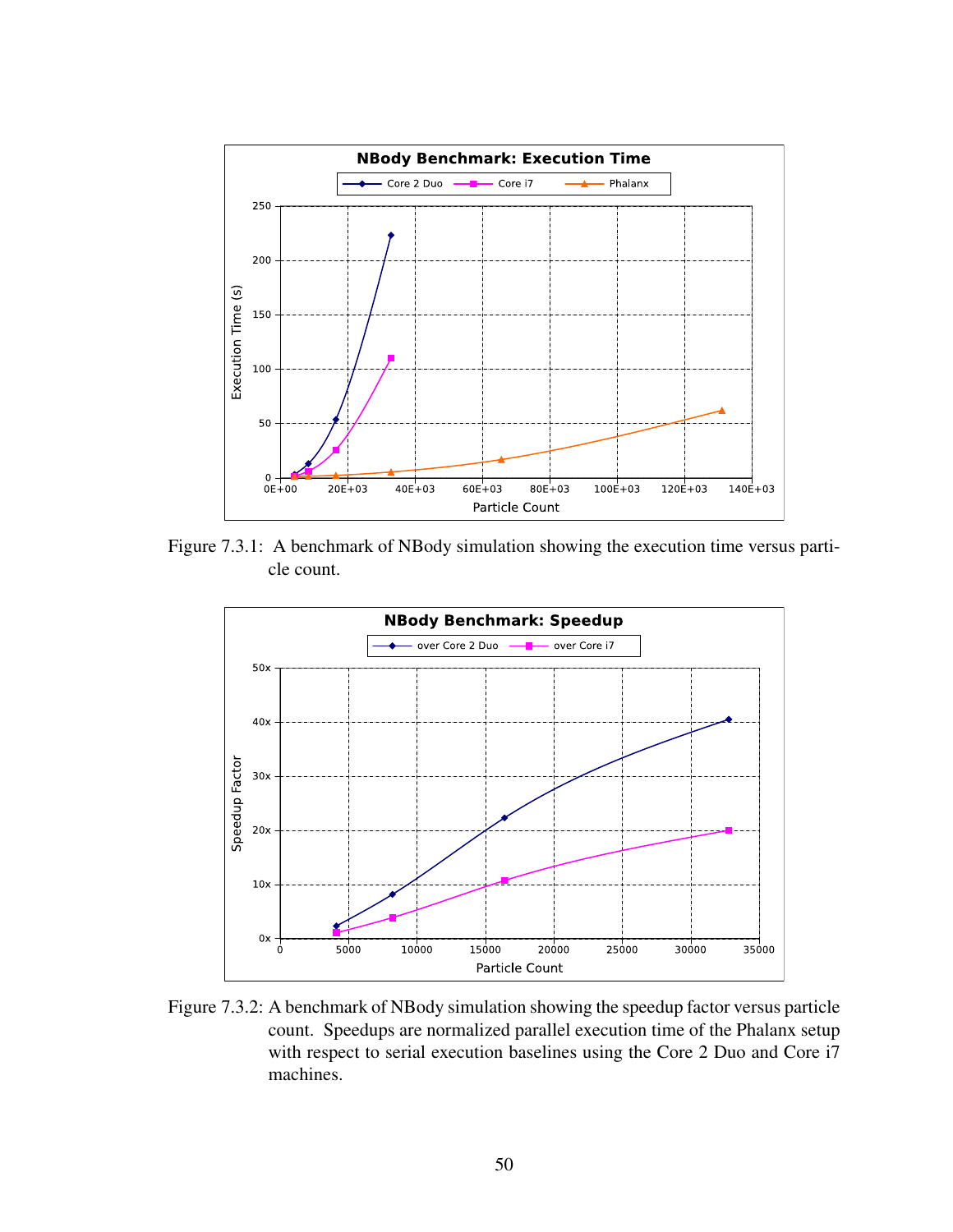<span id="page-58-0"></span>

Figure 7.3.1: A benchmark of NBody simulation showing the execution time versus particle count.

<span id="page-58-1"></span>

Figure 7.3.2: A benchmark of NBody simulation showing the speedup factor versus particle count. Speedups are normalized parallel execution time of the Phalanx setup with respect to serial execution baselines using the Core 2 Duo and Core i7 machines.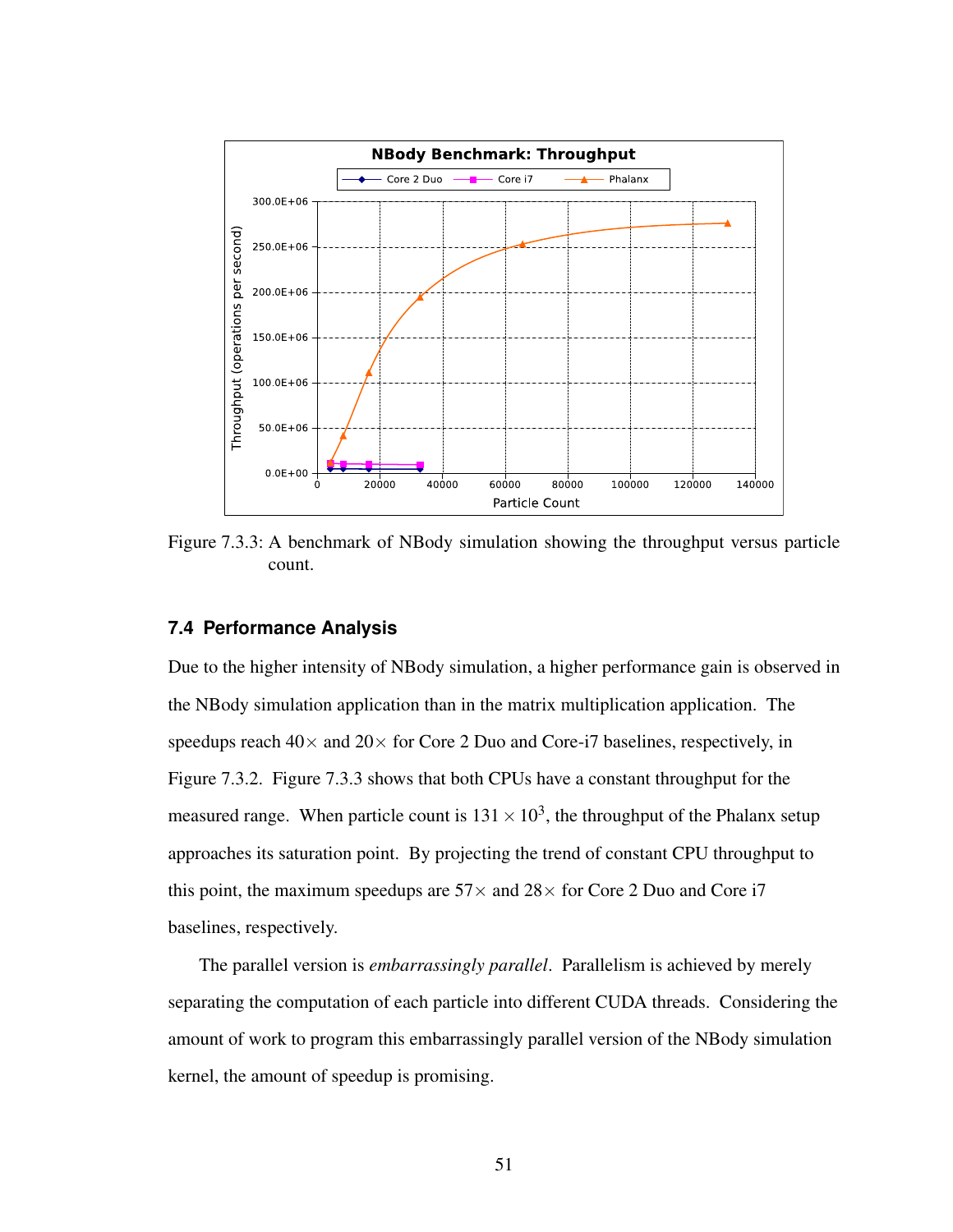<span id="page-59-0"></span>

Figure 7.3.3: A benchmark of NBody simulation showing the throughput versus particle count.

#### **7.4 Performance Analysis**

Due to the higher intensity of NBody simulation, a higher performance gain is observed in the NBody simulation application than in the matrix multiplication application. The speedups reach  $40\times$  and  $20\times$  for Core 2 Duo and Core-i7 baselines, respectively, in Figure [7.3.2.](#page-58-1) Figure [7.3.3](#page-59-0) shows that both CPUs have a constant throughput for the measured range. When particle count is  $131 \times 10^3$ , the throughput of the Phalanx setup approaches its saturation point. By projecting the trend of constant CPU throughput to this point, the maximum speedups are  $57\times$  and  $28\times$  for Core 2 Duo and Core i7 baselines, respectively.

The parallel version is *embarrassingly parallel*. Parallelism is achieved by merely separating the computation of each particle into different CUDA threads. Considering the amount of work to program this embarrassingly parallel version of the NBody simulation kernel, the amount of speedup is promising.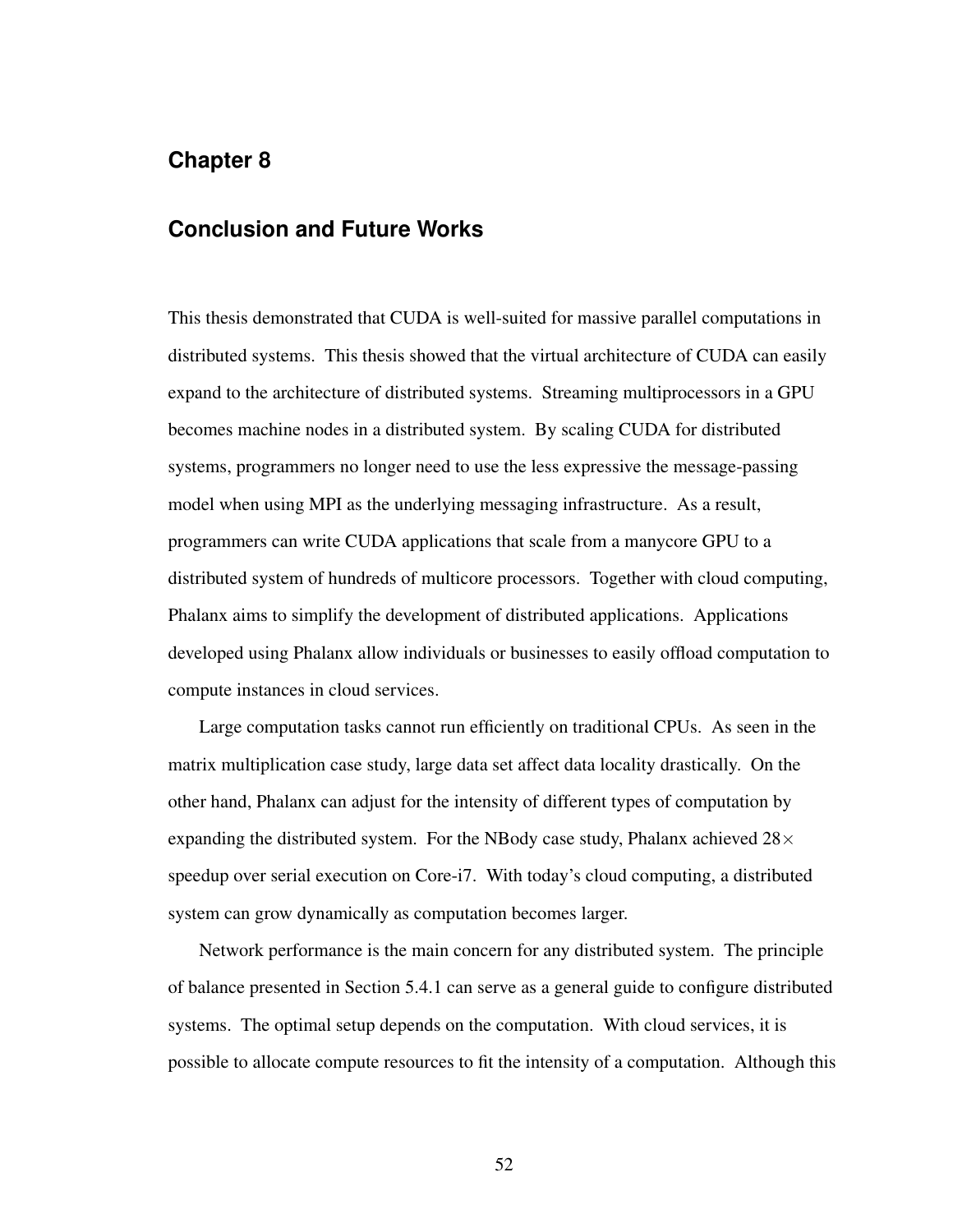## **Chapter 8**

### **Conclusion and Future Works**

This thesis demonstrated that CUDA is well-suited for massive parallel computations in distributed systems. This thesis showed that the virtual architecture of CUDA can easily expand to the architecture of distributed systems. Streaming multiprocessors in a GPU becomes machine nodes in a distributed system. By scaling CUDA for distributed systems, programmers no longer need to use the less expressive the message-passing model when using MPI as the underlying messaging infrastructure. As a result, programmers can write CUDA applications that scale from a manycore GPU to a distributed system of hundreds of multicore processors. Together with cloud computing, Phalanx aims to simplify the development of distributed applications. Applications developed using Phalanx allow individuals or businesses to easily offload computation to compute instances in cloud services.

Large computation tasks cannot run efficiently on traditional CPUs. As seen in the matrix multiplication case study, large data set affect data locality drastically. On the other hand, Phalanx can adjust for the intensity of different types of computation by expanding the distributed system. For the NBody case study, Phalanx achieved  $28\times$ speedup over serial execution on Core-i7. With today's cloud computing, a distributed system can grow dynamically as computation becomes larger.

Network performance is the main concern for any distributed system. The principle of balance presented in Section [5.4.1](#page-47-0) can serve as a general guide to configure distributed systems. The optimal setup depends on the computation. With cloud services, it is possible to allocate compute resources to fit the intensity of a computation. Although this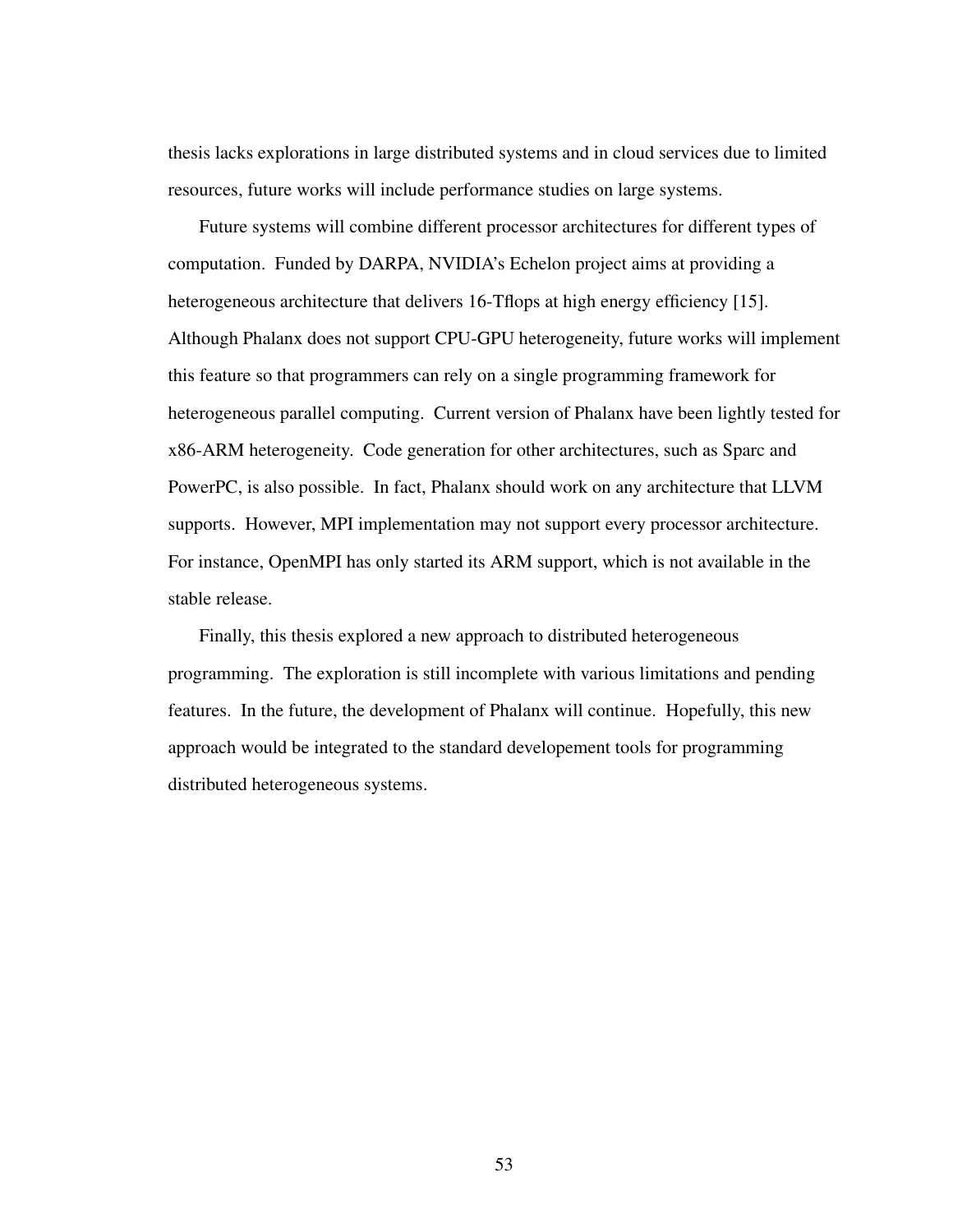thesis lacks explorations in large distributed systems and in cloud services due to limited resources, future works will include performance studies on large systems.

Future systems will combine different processor architectures for different types of computation. Funded by DARPA, NVIDIA's Echelon project aims at providing a heterogeneous architecture that delivers 16-Tflops at high energy efficiency [\[15\]](#page-63-0). Although Phalanx does not support CPU-GPU heterogeneity, future works will implement this feature so that programmers can rely on a single programming framework for heterogeneous parallel computing. Current version of Phalanx have been lightly tested for x86-ARM heterogeneity. Code generation for other architectures, such as Sparc and PowerPC, is also possible. In fact, Phalanx should work on any architecture that LLVM supports. However, MPI implementation may not support every processor architecture. For instance, OpenMPI has only started its ARM support, which is not available in the stable release.

Finally, this thesis explored a new approach to distributed heterogeneous programming. The exploration is still incomplete with various limitations and pending features. In the future, the development of Phalanx will continue. Hopefully, this new approach would be integrated to the standard developement tools for programming distributed heterogeneous systems.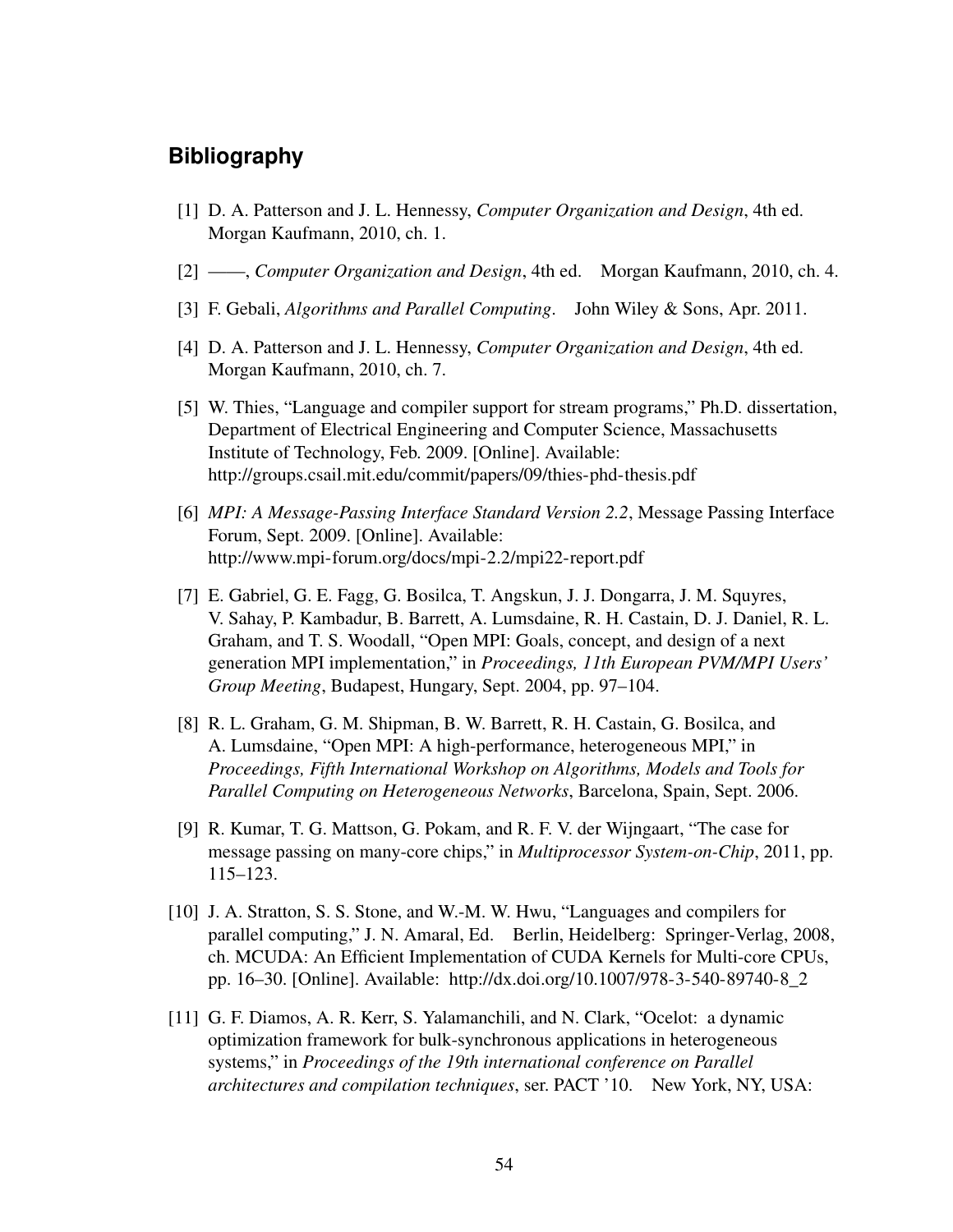## **Bibliography**

- [1] D. A. Patterson and J. L. Hennessy, *Computer Organization and Design*, 4th ed. Morgan Kaufmann, 2010, ch. 1.
- [2] ——, *Computer Organization and Design*, 4th ed. Morgan Kaufmann, 2010, ch. 4.
- [3] F. Gebali, *Algorithms and Parallel Computing*. John Wiley & Sons, Apr. 2011.
- [4] D. A. Patterson and J. L. Hennessy, *Computer Organization and Design*, 4th ed. Morgan Kaufmann, 2010, ch. 7.
- [5] W. Thies, "Language and compiler support for stream programs," Ph.D. dissertation, Department of Electrical Engineering and Computer Science, Massachusetts Institute of Technology, Feb. 2009. [Online]. Available: <http://groups.csail.mit.edu/commit/papers/09/thies-phd-thesis.pdf>
- <span id="page-62-0"></span>[6] *MPI: A Message-Passing Interface Standard Version 2.2*, Message Passing Interface Forum, Sept. 2009. [Online]. Available: <http://www.mpi-forum.org/docs/mpi-2.2/mpi22-report.pdf>
- [7] E. Gabriel, G. E. Fagg, G. Bosilca, T. Angskun, J. J. Dongarra, J. M. Squyres, V. Sahay, P. Kambadur, B. Barrett, A. Lumsdaine, R. H. Castain, D. J. Daniel, R. L. Graham, and T. S. Woodall, "Open MPI: Goals, concept, and design of a next generation MPI implementation," in *Proceedings, 11th European PVM/MPI Users' Group Meeting*, Budapest, Hungary, Sept. 2004, pp. 97–104.
- [8] R. L. Graham, G. M. Shipman, B. W. Barrett, R. H. Castain, G. Bosilca, and A. Lumsdaine, "Open MPI: A high-performance, heterogeneous MPI," in *Proceedings, Fifth International Workshop on Algorithms, Models and Tools for Parallel Computing on Heterogeneous Networks*, Barcelona, Spain, Sept. 2006.
- [9] R. Kumar, T. G. Mattson, G. Pokam, and R. F. V. der Wijngaart, "The case for message passing on many-core chips," in *Multiprocessor System-on-Chip*, 2011, pp. 115–123.
- [10] J. A. Stratton, S. S. Stone, and W.-M. W. Hwu, "Languages and compilers for parallel computing," J. N. Amaral, Ed. Berlin, Heidelberg: Springer-Verlag, 2008, ch. MCUDA: An Efficient Implementation of CUDA Kernels for Multi-core CPUs, pp. 16–30. [Online]. Available: [http://dx.doi.org/10.1007/978-3-540-89740-8\\_2](http://dx.doi.org/10.1007/978-3-540-89740-8_2)
- [11] G. F. Diamos, A. R. Kerr, S. Yalamanchili, and N. Clark, "Ocelot: a dynamic optimization framework for bulk-synchronous applications in heterogeneous systems," in *Proceedings of the 19th international conference on Parallel architectures and compilation techniques*, ser. PACT '10. New York, NY, USA: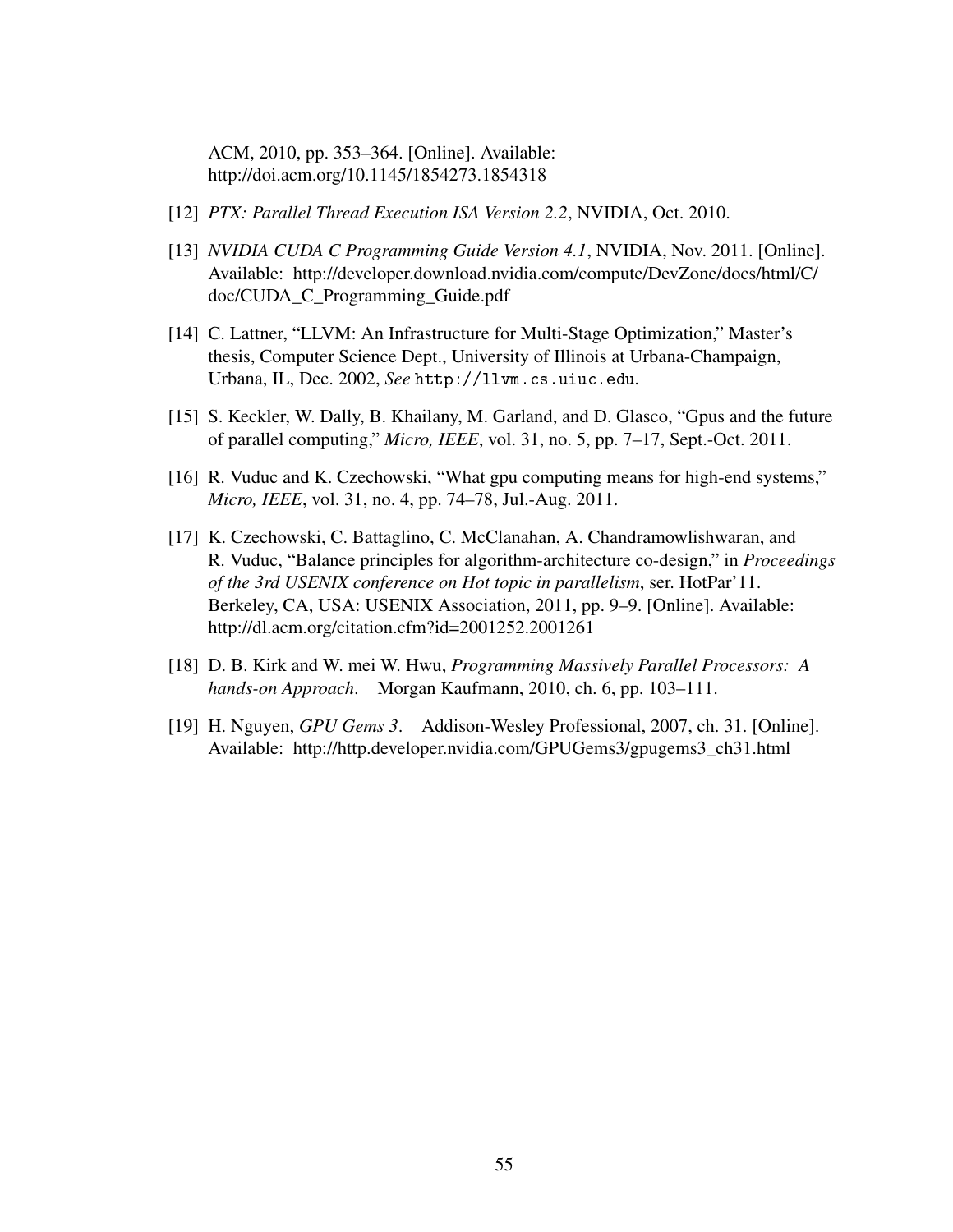ACM, 2010, pp. 353–364. [Online]. Available: <http://doi.acm.org/10.1145/1854273.1854318>

- [12] *PTX: Parallel Thread Execution ISA Version 2.2*, NVIDIA, Oct. 2010.
- <span id="page-63-3"></span>[13] *NVIDIA CUDA C Programming Guide Version 4.1*, NVIDIA, Nov. 2011. [Online]. Available: [http://developer.download.nvidia.com/compute/DevZone/docs/html/C/](http://developer.download.nvidia.com/compute/DevZone/docs/html/C/doc/CUDA_C_Programming_Guide.pdf) [doc/CUDA\\_C\\_Programming\\_Guide.pdf](http://developer.download.nvidia.com/compute/DevZone/docs/html/C/doc/CUDA_C_Programming_Guide.pdf)
- [14] C. Lattner, "LLVM: An Infrastructure for Multi-Stage Optimization," Master's thesis, Computer Science Dept., University of Illinois at Urbana-Champaign, Urbana, IL, Dec. 2002, *See* http://llvm.cs.uiuc.edu*.*
- <span id="page-63-0"></span>[15] S. Keckler, W. Dally, B. Khailany, M. Garland, and D. Glasco, "Gpus and the future of parallel computing," *Micro, IEEE*, vol. 31, no. 5, pp. 7–17, Sept.-Oct. 2011.
- <span id="page-63-1"></span>[16] R. Vuduc and K. Czechowski, "What gpu computing means for high-end systems," *Micro, IEEE*, vol. 31, no. 4, pp. 74–78, Jul.-Aug. 2011.
- <span id="page-63-2"></span>[17] K. Czechowski, C. Battaglino, C. McClanahan, A. Chandramowlishwaran, and R. Vuduc, "Balance principles for algorithm-architecture co-design," in *Proceedings of the 3rd USENIX conference on Hot topic in parallelism*, ser. HotPar'11. Berkeley, CA, USA: USENIX Association, 2011, pp. 9–9. [Online]. Available: <http://dl.acm.org/citation.cfm?id=2001252.2001261>
- <span id="page-63-4"></span>[18] D. B. Kirk and W. mei W. Hwu, *Programming Massively Parallel Processors: A hands-on Approach*. Morgan Kaufmann, 2010, ch. 6, pp. 103–111.
- <span id="page-63-5"></span>[19] H. Nguyen, *GPU Gems 3*. Addison-Wesley Professional, 2007, ch. 31. [Online]. Available: [http://http.developer.nvidia.com/GPUGems3/gpugems3\\_ch31.html](http://http.developer.nvidia.com/GPUGems3/gpugems3_ch31.html)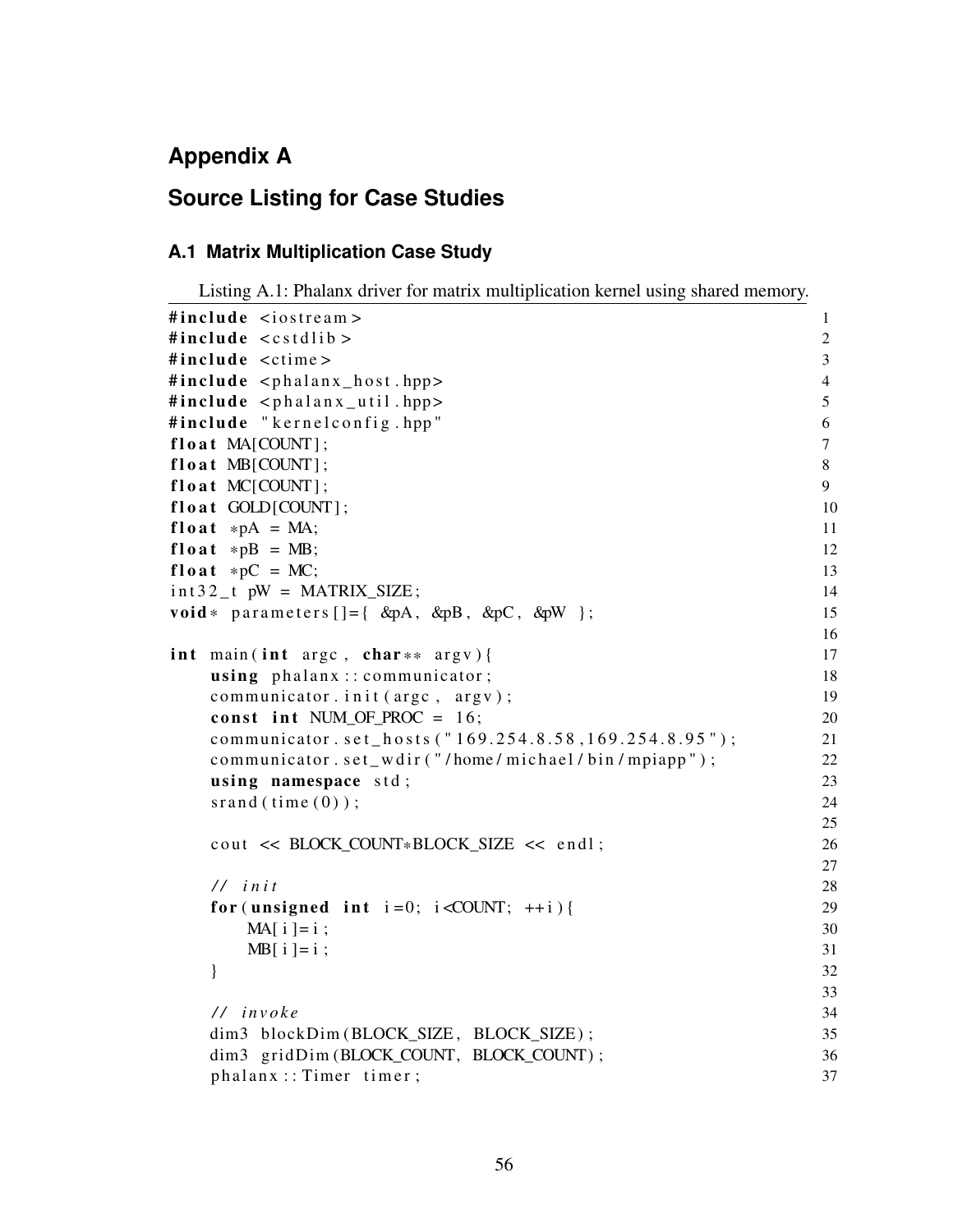# **Appendix A**

# **Source Listing for Case Studies**

### **A.1 Matrix Multiplication Case Study**

```
Listing A.1: Phalanx driver for matrix multiplication kernel using shared memory.
```

```
\#include~<i>i</i>ostream > 1
\#include \; <\; <sub>costd</sub> include \; <\; <sub>costd</sub> i b > 2
\#include \,z \rightarrow 3\#include \;lt;phalam \; host.hpp> 4
\#include \; <p>phalanx.util.hpp> 5
\#include \bullet " \bullet " \bullet " \bullet " \bullet " \bullet " \bullet " \bullet " \bullet " \bullet " \bullet " \bullet " \bullet " \bullet " \bullet " \bullet " \bullet " \bullet " \bullet " \bullet " \bullet " \bullet " \bullet " \bullet "f l o a t MA[COUNT]; 7f l o a t MB[COUNT]; 8
f l o a t MC[COUNT]; 9
fl o a t GOLD[COUNT]; 10f \text{load} *p\text{A} = \text{MA};<br>f \text{load} *p\text{B} = \text{MB}; 12
float *DB = MB;
f \text{load} * p\text{C} = \text{MC};<br>
\text{int } 32 \text{ t } p\text{W} = \text{MATRIX } \text{SIZE};<br>
14
int 32_t pW = MATRIX_SIZE;
\text{void} * \text{ parameters } [] = \{ \text{ \&pA, \&pB, \&pC, \&pW} \}; 15
                                              16
int main (int argc, char ** argv) { 17using \ phalanx :: communicator ; 18
   communicator. in it (\arg c, \arg v); 19
   const int NUM OF PROC = 16; 20
   communicator.set_hosts ("169.254.8.58,169.254.8.95"); 21
   communicator . set_w w dir ("/home/michael/bin/mpiapp"); 22
   using namespace std; 23\text{span}(t \text{ time } (0)); 24
                                              25
   cout << BLOCK_COUNT*BLOCK_SIZE << endl; 26
                                              27
   / / i n i t 28
   for (unsigned int i = 0; i <COUNT; ++i) { 29
     MA[i] = i ; 30
     MB[i] = i ; 31
   } 32
                                              33
   / / i n v o k e 34
   dim3 blockDim (BLOCK_SIZE, BLOCK_SIZE); 35
   dim3 gridDim (BLOCK_COUNT, BLOCK_COUNT) ; 36
   phalanz::Timer; 37
```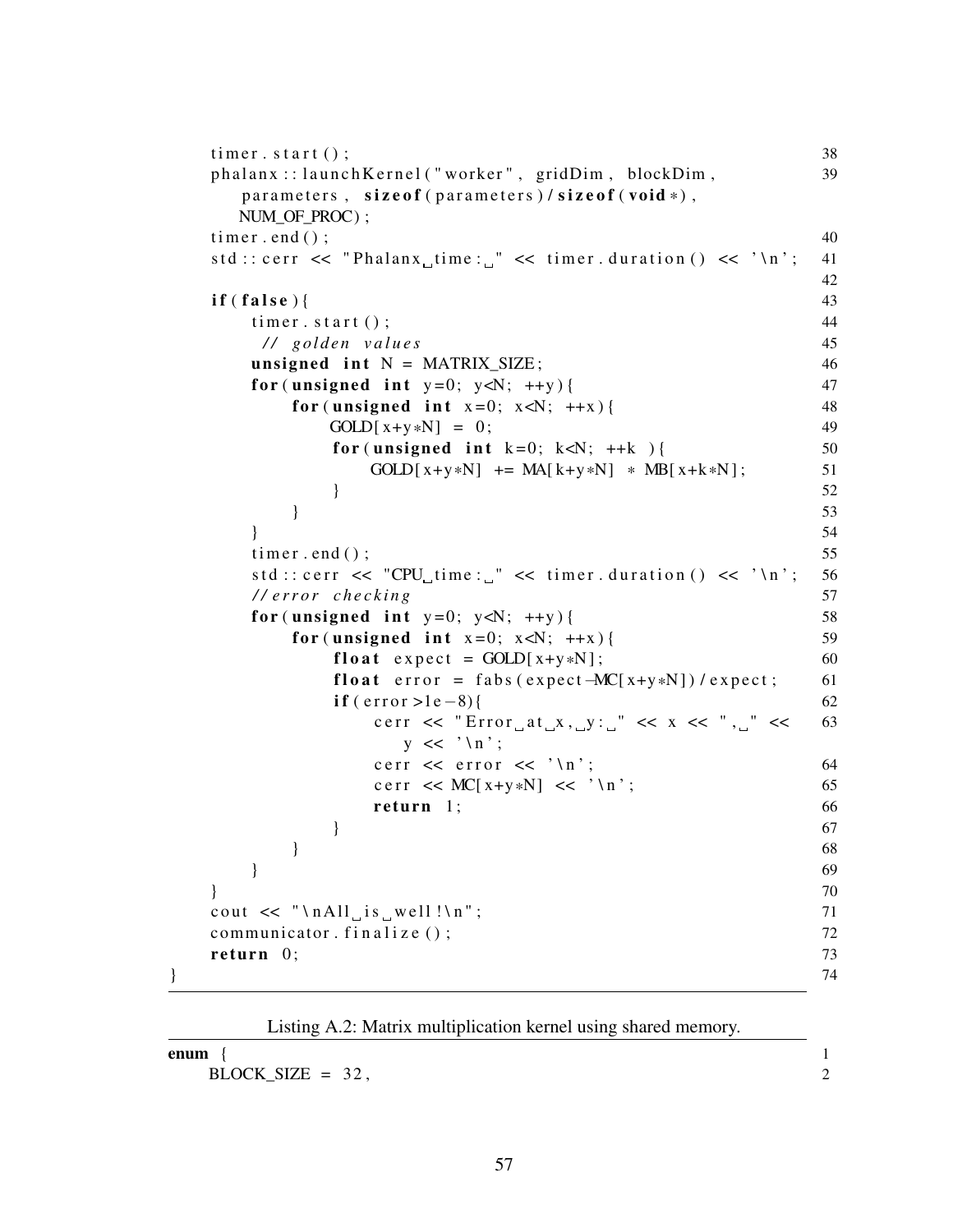```
timer. start (); 38
  phalanx:: launch Kernel ("worker", gridDim, blockDim, 39
    parameters, size of (parameters) / size of (void *),NUM OF PROC) ;
  \tan \theta ( ); 40
  std :: corr << "Phalanx_time: " << time: duration() << '\n'; 4142
  \textbf{if} (\textbf{false}) { 43
    \text{timer } . \text{ start } () ; 44
     / / g ol d e n v a l u e s 45
    unsigned int N = \text{MATRIX\_SIZE}; 46
    for (unsigned int y=0; y\le N; ++y) { 47
      for (unsigned int x=0; x<\mathbb{N}; ++x) { 48
        GOLD[x+y*N] = 0; 49
         for (unsigned int k=0; k<N; ++k) { 50
           GOLD[x+y*N] += MA[k+y*N] * MB[x+k*N]; 51
         } 52
      } 53
    } 54
    timer.end (); 55
    std :: corr << "CPU time: " << timer duration() << '\n'; 56//error checking 57
    for (unsigned int y=0; y< N; ++y) { 58
      for (unsigned int x=0; x < N; ++x) { 59
         float expect = GOLD[x+y*N]; 60
         float error = fabs (expect-MC[x+y*N]) / expect; 61
         if ( error >1e−8){ 62
           cerr \ll "Error at \rightharpoonup x, \rightharpoonup y: \lightharpoonup \ll x \ll ", \lightharpoonup \ll 63
             y \leq \sqrt{\n} \ln;
           c e r << e r r o << \ln;
           c e r r << MC[ x+y*N] << ' \ n ' ; 65
           return 1; 66
         \} 67
      } 68
    } 69
  \} 70
  cout \ll "\nabla \Lambdall<sub>u</sub> is well !\ln"; 71
  communicator . f in a lize (); \frac{72}{2}return 0; 73} 74
```
<span id="page-65-0"></span>

| Listing A.2: Matrix multiplication kernel using shared memory. |  |
|----------------------------------------------------------------|--|
| enum                                                           |  |
| $BLOCK_SIZE = 32$ ,                                            |  |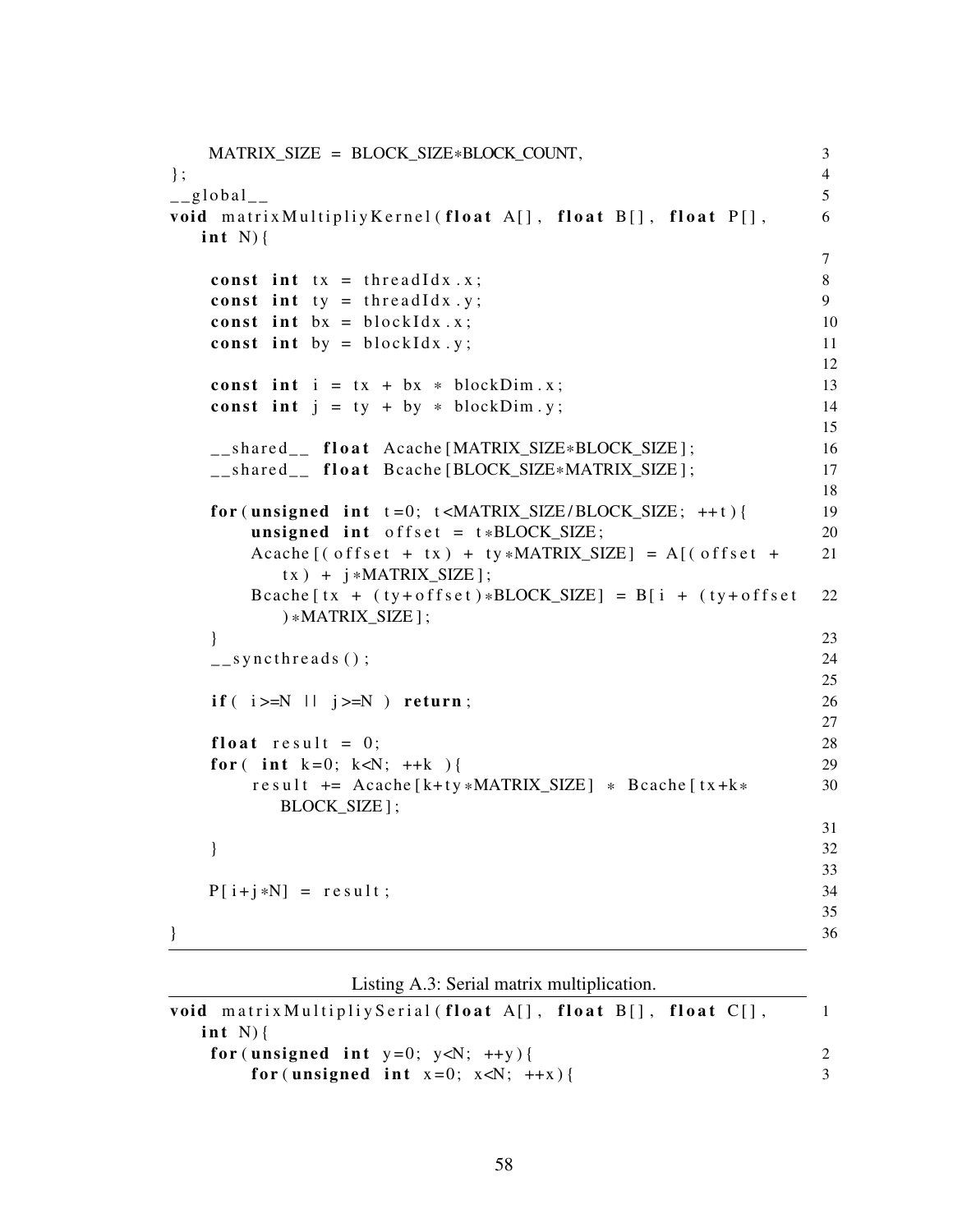```
MATRIX_SIZE = BLOCK_SIZE*BLOCK_COUNT, 3<br>4
\}; 4
\qquad \qquad -g \,lobal\qquad \qquad 5
void matrix Multipliy Kernel (float A[], float B[], float P[], 6
  int N) {
                                           7
  const int tx = \text{threadIdx.x}; 8
  const int ty = thread \text{Idx} \cdot y; 9
  const int bx = blockIdx.x; 10
  const int by = block Idx. y; 11
                                           12
  const int i = tx + bx * blockDim.x; 13
  const int j = ty + by * blockDim y; 14
                                           15
  __shared__ float Acache [MATRIX_SIZE*BLOCK_SIZE ]; 16<br>shared float Bcache [BLOCK_SIZE*MATRIX_SIZE ] : 17
  __shared__ float Bcache [BLOCK_SIZE*MATRIX_SIZE];
                                           18
  for (unsigned int t=0; t<sub>AMTRIX_SIZE/BLOCK_SIZE; ++t) { 19
     unsigned int offset = t * \text{BLOCK SIZE}; 20
     Acache [ (offset + tx) + ty * \text{MATRIX_SIZE} ] = A [ (offset + 21tx) + i * \text{MATRIX SIZE} ;
     Bcache [tx + (ty+offset)*BLOCK_SIZE] = B[i + (ty+offset 22 *MATRIX_SIZE  \} ;
  } 23
  \text{L} = \text{syncthreads} ( ); 24
                                           25
  if ( i > = N ) return; 26
                                           27
  float result = 0; 28
  for (int k=0; k<N; ++k ) { 29
     r e sult += Acache [k+ty * MATRIX_SIZE] * Bcache [t x + k * 30
       BLOCK SIZE ] ;
                                           31
  } 32
                                           33
  P[i+j*N] = result; 34
                                           35
} 36
```
<span id="page-66-0"></span>

| void matrix Multipliy Serial (float $A[\cdot]$ , float $B[\cdot]$ , float $C[\cdot]$ , |  |
|----------------------------------------------------------------------------------------|--|
| int $N$ $\{$                                                                           |  |
| for (unsigned int $y=0$ ; $y\ll N$ ; $++y$ ) {                                         |  |
| for (unsigned int $x=0$ ; $x<\mathbb{N}$ ; $++x$ ) {                                   |  |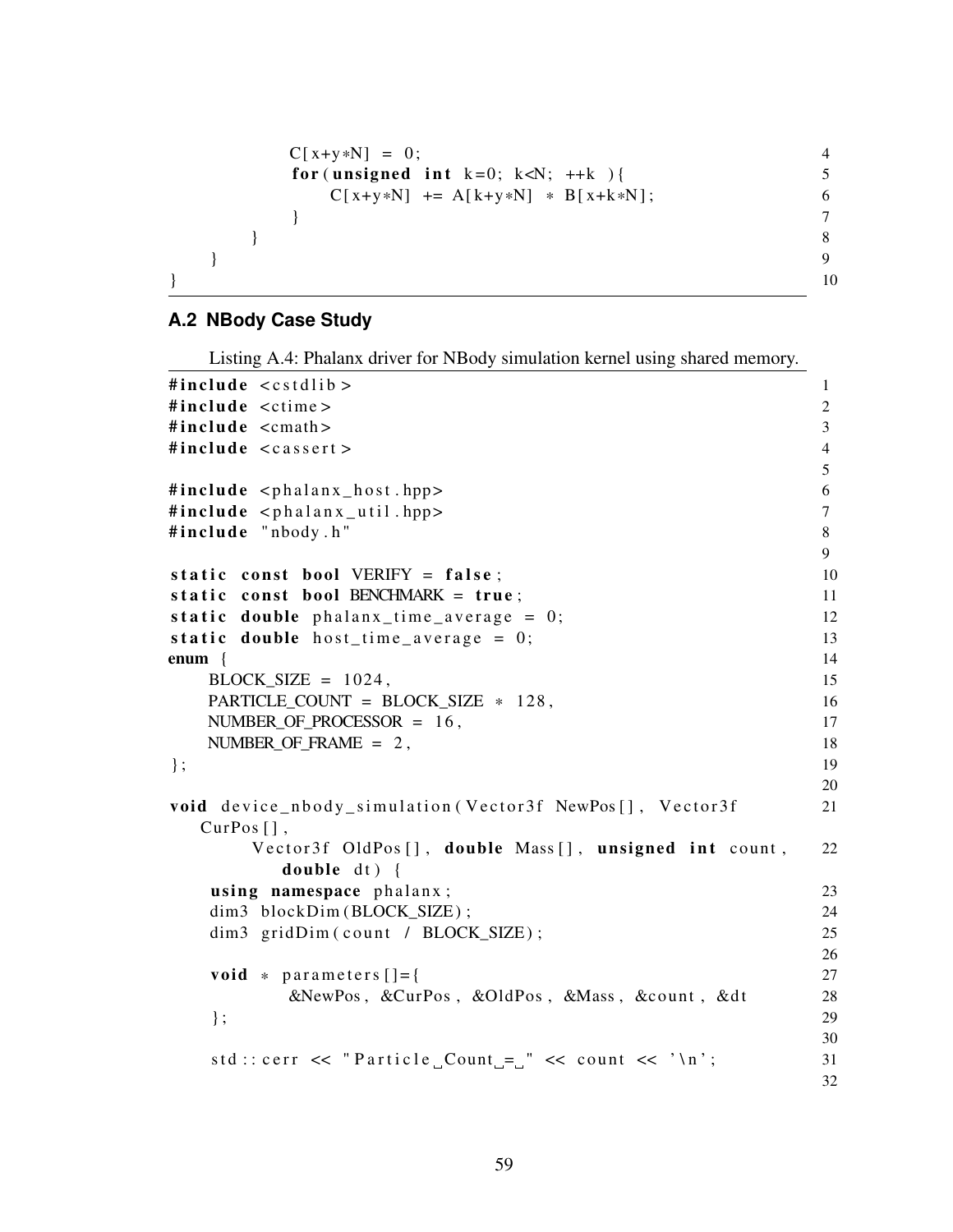```
C[x+y*N] = 0;<br>
for (unsigned int k=0; k<N; ++k ){ 4<br>
5
    for (unsigned int k=0; k<N; ++k) {
      C[x+y*N] += A[k+y*N] * B[x+k*N]; 6
    } 7
   } 8
 \} 9
\} 10
```
## **A.2 NBody Case Study**

Listing A.4: Phalanx driver for NBody simulation kernel using shared memory.

| #include <cstdlib></cstdlib>                              | 1              |
|-----------------------------------------------------------|----------------|
| #include <ctime></ctime>                                  | 2              |
| #include <cmath></cmath>                                  | $\mathfrak{Z}$ |
| #include <cassert></cassert>                              | $\overline{4}$ |
|                                                           | 5              |
| #include <phalanx_host.hpp></phalanx_host.hpp>            | 6              |
| #include <phalanx_util.hpp></phalanx_util.hpp>            | $\overline{7}$ |
| #include "nbody.h"                                        | 8              |
|                                                           | 9              |
| static const bool VERIFY = false;                         | 10             |
| static const bool BENCHMARK = true;                       | 11             |
| static double $phalanz_time_average = 0;$                 | 12             |
| static double host_time_average = $0$ ;                   | 13             |
| enum {                                                    | 14             |
| $BLOCK_SIZE = 1024$ ,                                     | 15             |
| PARTICLE_COUNT = BLOCK_SIZE $*$ 128,                      | 16             |
| NUMBER_OF_PROCESSOR = $16$ ,                              | 17             |
| NUMBER OF FRAME = $2$ ,                                   | 18             |
| $\}$ ;                                                    | 19             |
|                                                           | 20             |
| void device_nbody_simulation (Vector3f NewPos[], Vector3f | 21             |
| $CurPos[]$ ,                                              |                |
| Vector3f OldPos[], double Mass[], unsigned int count,     | 22             |
| double $dt$ ) {                                           |                |
| using namespace phalanx;                                  | 23             |
| dim3 blockDim(BLOCK_SIZE);                                | 24             |
| dim3 gridDim(count / BLOCK_SIZE);                         | 25             |
|                                                           | 26             |
| void $*$ parameters $[] = \{$                             | 27             |
| &NewPos, &CurPos, &OldPos, &Mass, &count, &dt             | 28             |
| $\}$ ;                                                    | 29             |
|                                                           | 30             |
| std:: cerr << "Particle_Count_=_" << count << '\n';       | 31             |
|                                                           | 32             |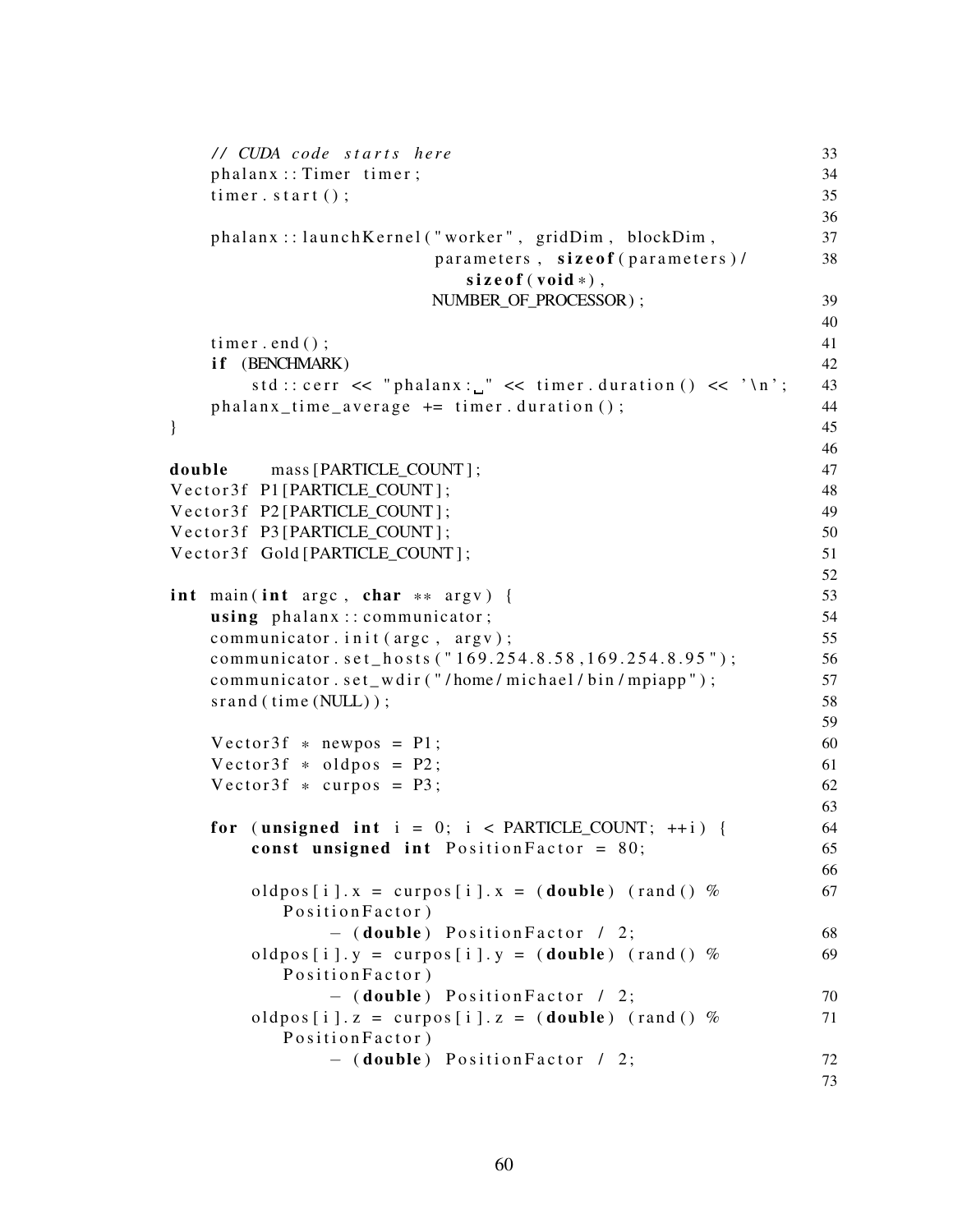```
/ / CUDA c o de s t a r t s h e r e 33
   phalan x : : Timer timer ; 34\text{timer. start}(); 35
                                                36
   phalanx:: launch Kernel ("worker", gridDim, blockDim, 37
                   parameters, size of (parameters) / 38
                     size of (void *),
                   NUMBER_OF_PROCESSOR ) ; 39
                                                40
   \tan \theta ( ); 41
   if (BENCHMARK) 42
      std :: corr << "phalanx: " << timer.duration() << '\n'; 43phalanz_time_average += timer.duration(); 44
\} 45
                                                46
double mass [ PARTICLE_COUNT ] ; 47
V e ct o r 3 f P1 [ PARTICLE COUNT ] ; 48
Vector3f P2 [PARTICLE COUNT] ; 49
V e ct or 3 f P3 [ PARTICLE COUNT ] ; 50
Vector 3f Gold [ PARTICLE_COUNT ] ; 51
                                                52
int main (int argc, char ** argv) { 53<br>using phalanx::communicator: 54using phalan x : : communicator;
   communciator . init (argc , argv ); 55
   communicator.set_hosts ("169.254.8.58,169.254.8.95"); 56
   communicator.set_wdir("/home/michael/bin/mpiapp"); 57
   \text{span}( \text{ (time } (\text{NULL}) ); 58
                                                59
   Vector3f * newpos = P1; 60
   V e ct or 3f * oldpos = P2;<br>V e ct or 3f * \text{curpos} = P3;<br>62
   V e ct or 3f * curpos = P3;
                                                63
   for (unsigned int i = 0; i < PARTICLE_COUNT; ++i) { 64
      const unsigned int Position Factor = 80; 65
                                                66
      oldpos [i]. x = \text{curpos}[i]. x = (\text{double}) (\text{rand}(x)) 67
        Position Factor)
           - (double) Position Factor / 2; 68
      oldpos [i]. y = curpos [i]. y = (double) (rand () % 69
        Position Factor)
           - (double) Position Factor / 2; 70oldpos [i]. z = \text{curpos}[i]. z = (\text{double}) (\text{rand}(x)) % 71
        Position Factor)
           - (double) Position Factor / 2; 7273
```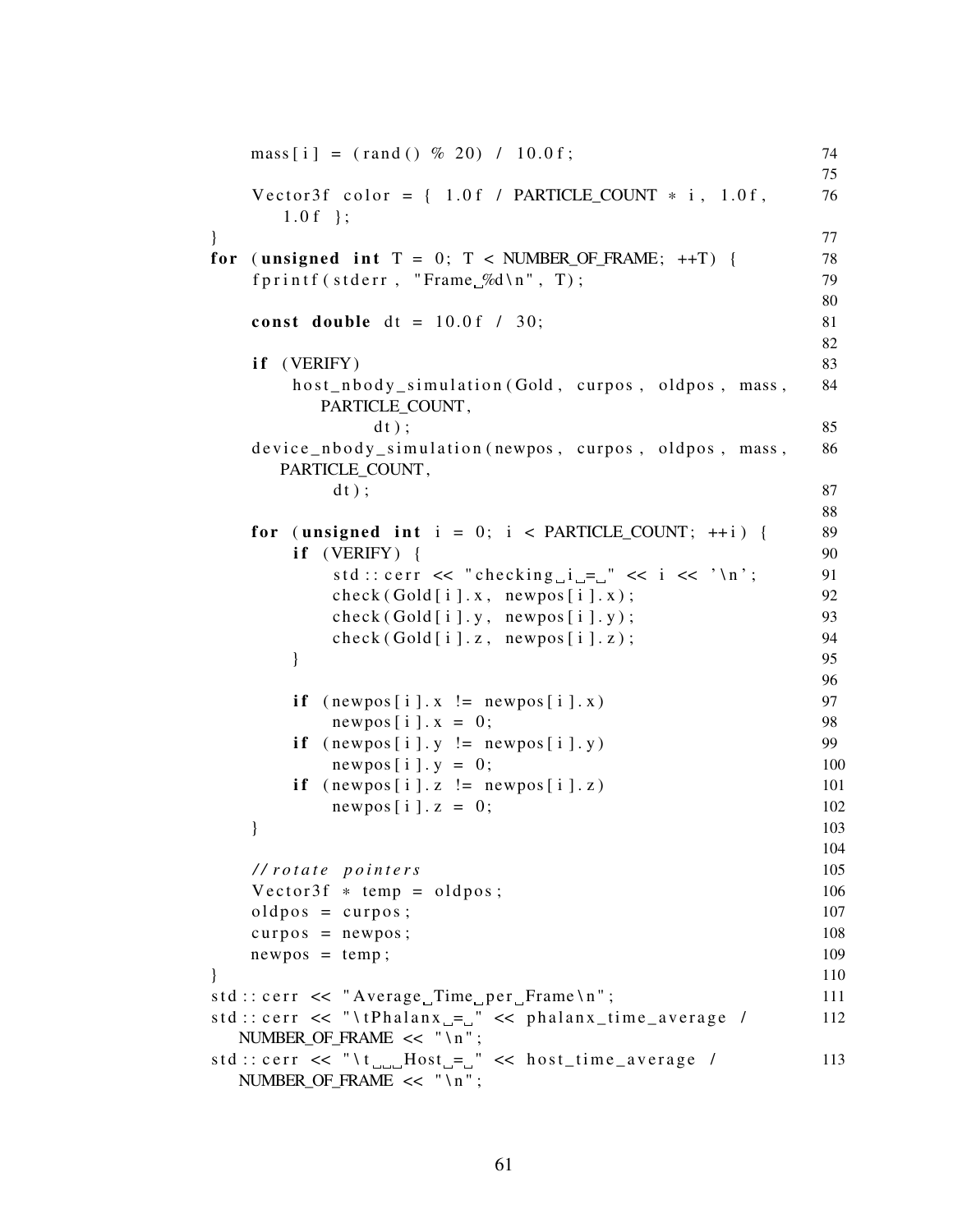```
mass[i] = (rand() \% 20) / 10.0f; 74
                                        75
  Vector 3f color = \{ 1.0 \text{ f } / PARTICLE_COUNT * i, 1.0 f, 76
    1.0 f };
} 77
for (unsigned int T = 0; T < NUMBER OF FRAME; ++T) { 78
  fprintf (stderr, "Frame \mathcal{A} \n", T); 79
                                        80
  const double dt = 10.0 \text{ f} / 30; 81
                                        82
  if (VERIFY) 83
     host_nbody_simulation (Gold, curpos, oldpos, mass, 84
       PARTICLE_COUNT ,
          d t ) ; 85
  device_nbody_simulation (newpos, curpos, oldpos, mass, 86
    PARTICLE_COUNT ,
        d t ) ; 87
                                        88
  for (unsigned int i = 0; i < PARTICLE COUNT; ++i) { 89
     \textbf{if} \quad (\text{VERIFY}) \quad \{ \qquad \qquad \}std:: cerr \ll "checking i =" \ll i \ll '\n'; 91
       check(Gold[i], x, newpos[i], x); 92
       check(Gold[i], y, newpos[i], y); 93
       check(Gold[i], z, newpos[i], z); 94
     \} 95
                                        96
     if (newpos[i].x := newpos[i].x) 97
       newpos[i].x = 0; 98
     if (newpos[i], y := newpos[i], y) 99
       newpos[i], y = 0; 100
     if (newpos[i], z] = newpos[i], z) 101
       newpos[i], z = 0; 102
  } 103
                                        104
  / / r o t a t e p o i n t e r s 105
  Vector3f * temp = oldpos; 106
  \mathrm{oldpos} = \mathrm{curpos}; 107
  curpos = newpos; 108
  newpos = temp; 109
} 110
std :: corr << "Average_Time_per_Frame \n'; 111
s t d : : c e r r << " \ t P h a l a n x = " << p h a l a n x _ t i m e _ a v e r a g e / 112
 NUMBER OF FRAME << "\n";
std :: corr << "\t_{\text{un}}Host_{\text{un}}" << host\_time\_average / 113
 NUMBER_OF_FRAME << "\n";
```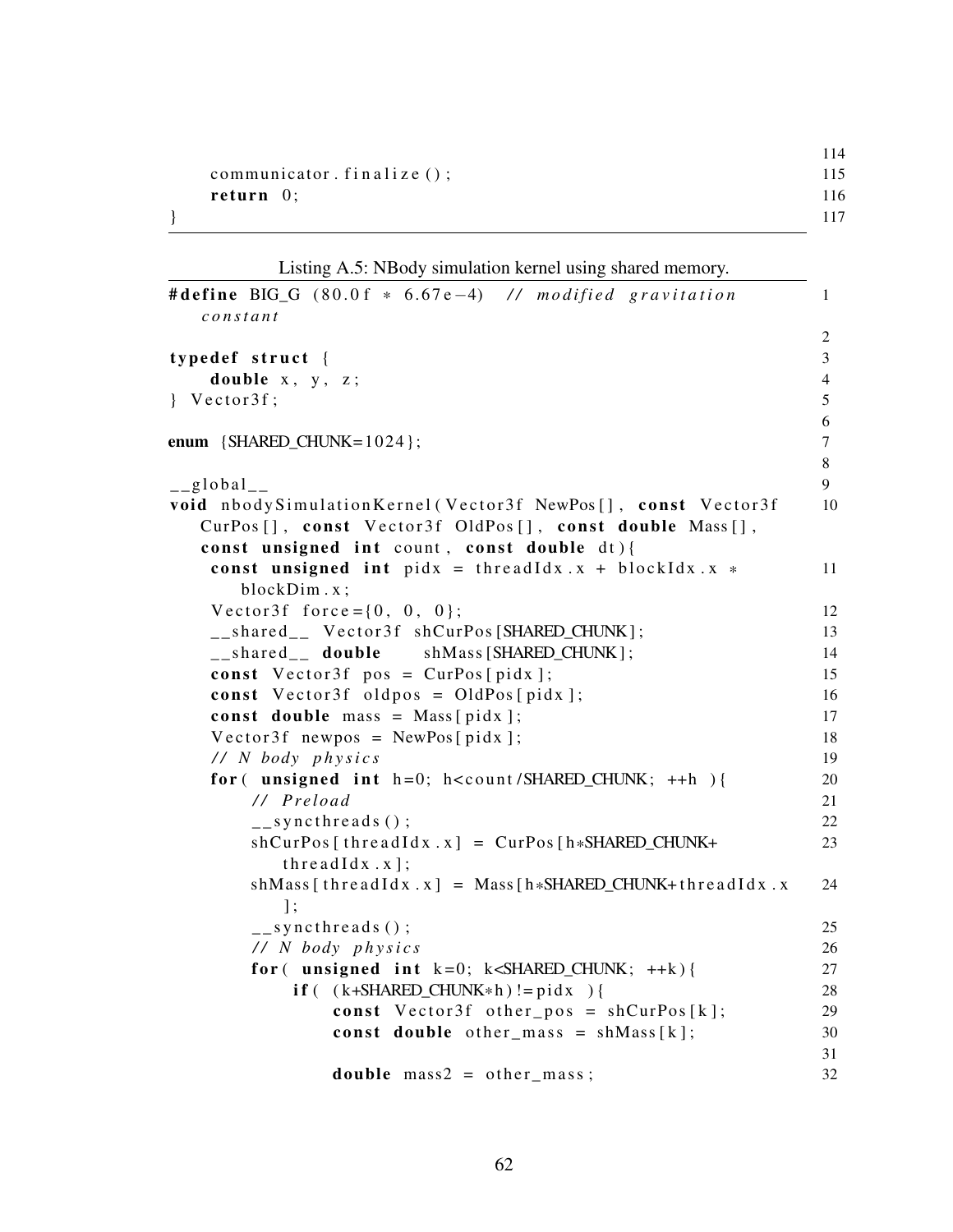|                             | 114 |
|-----------------------------|-----|
| communicator. $finalize();$ | 115 |
| return $0$ ;                | 116 |
|                             | 117 |

Listing A.5: NBody simulation kernel using shared memory.

```
# define BIG G ( 8 0 . 0 f * 6 . 6 7 e<sup>-4</sup>) // m o dified gravitation 1
  c o n s t a n t
                                                2
\tt type def struct {\t3}double x, y, z; 4
\{ \text{Vector3f}; \}6
enum {SHARED_CHUNK=1024}; 7
                                                8
\qquad \qquad \qquad \text{global} \qquad \qquad \text{9}void nbody Simulation Kernel (Vector 3f NewPos [], const Vector 3f 10
  CurPos [], const Vector3f OldPos [], const double Mass [],
  const unsigned int count, const double dt) {
   const unsigned int pidx = thread Idx. x + block Idx. x * 11
     blockDim . x ;
   V e ct or 3 f f o r c e = { 0, 0, 0}; 12
   _shared__ Vector3f shCurPos [SHARED_CHUNK]; 13
   _shared_ double shMass [SHARED_CHUNK]; 14
   const Vector3f pos = CurPos[pidx]; 15
   const Vector3f oldpos = OldPos[pidx]; 16
   const double mass = Mass[jidx]; 17
   Vector3f newpos = NewPos [pidx ]; 18
   / / N body p h y s i c s 19
   for (unsigned int h=0; h<count/SHARED_CHUNK; ++h) { 20
      / / P r el o a d 21
      \frac{1}{22} syncthreads ();
      shCurPos[threadIdx.x] = CurPos[h*SHARED_CHUNK+ 23threadIdx.x ;
      shMass[threadIdx.x] = Mass[h*SHARED_CHUNK+threadIdx.x 24\exists:
      \frac{1}{25} syncthreads ();
      / / N body p h y s i c s 26
      for ( unsigned int k=0; k<sub>5</sub>HARED_CHINK; ++k) { 27
         if ( (k+SHARED_CHUNK*h ) != pidx ) {<br>
const Vector3f other pos = shCurPos[k]: 29
            const V ector 3 f o ther pos = shCurPos[k];const double other_mass = shMass[k]; 30
                                                31
            double \, mass2 = other \, mass; 32
```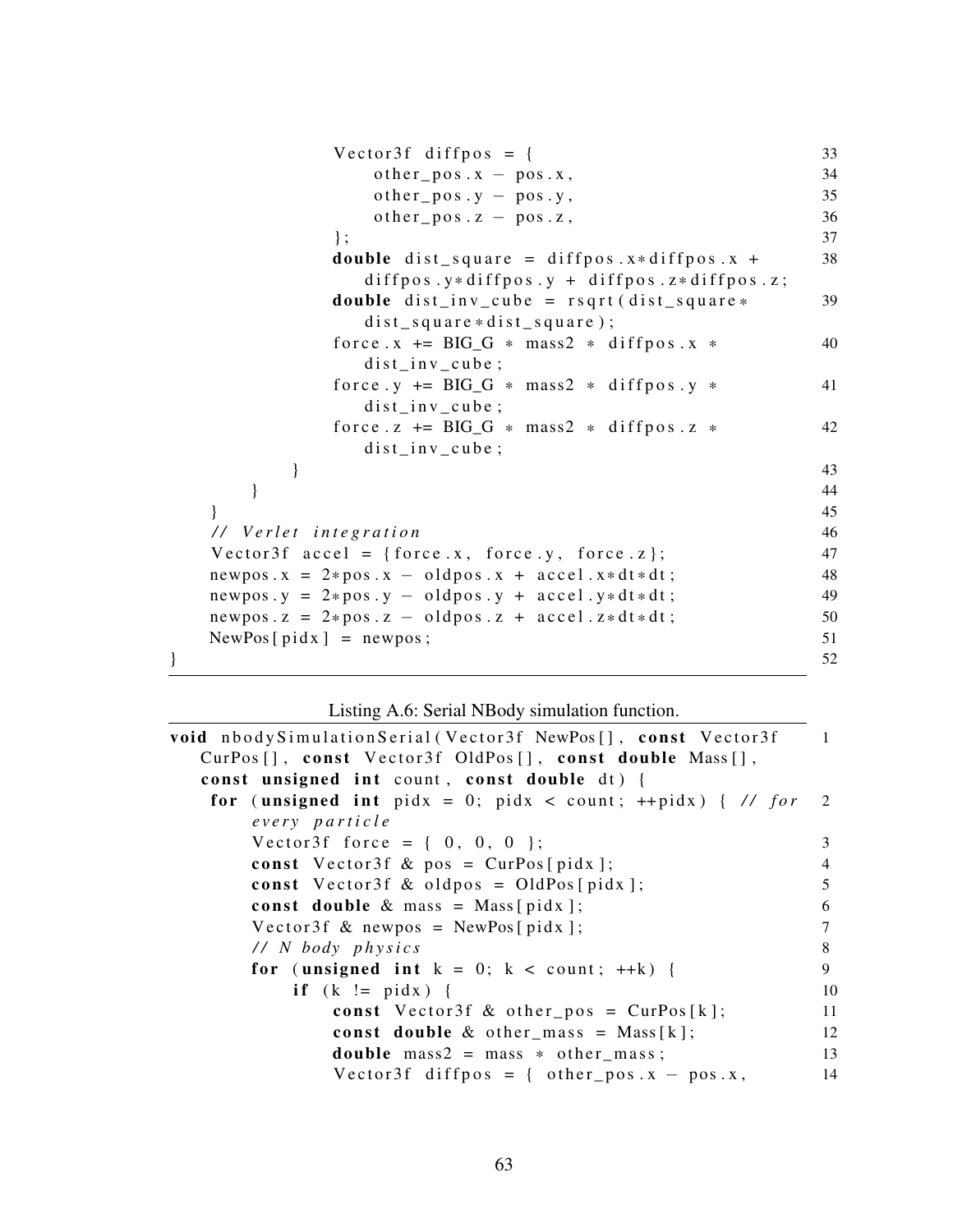```
Vector3f \; diffpos = \{ 33
               other_pos.x - pos.x, 34
               other_pos.y - pos.y, 35
               other_pos.z - pos.z, 36
            \}; 37
            double dist square = diffpos. x * diffpos x + 38diffpos.y* diffpos.y + diffpos.z* diffpos.z;
            double dist\_inv\_cube = rsqrt(dist\_square * 39
              dist square *dist square);
            force x \leftarrow BIG_G + mass2 \cdot diffpos \cdot x \cdot 40dist\_inv\_cube;force .y \leftarrow BIO_G + mass2 * diffpos.y * 41dist\_inv\_cube;force. z += BIG_G * mass2 * diffpos. z * 42
              dist_in v_cube;\} 43
      } 44
   } 45
  / / V e r l e t i n t e g r a t i o n 46
  V e ct or 3f a c c e l = { f o r c e . x , f o r c e . y , f o r c e . z }; 47
  newpos x = 2*pos x - oldpos x + accel.x*dt* (1898)
  newpos y = 2*pos y - oldpos y + accel y*dt*dt;<br>newpos z = 2*pos z - oldpos z + accel x*dt*dt;<br>50
  newpos . z = 2 * pos . z - oldpos . z + accel . z * dt * dt;<br>NewPos [nid x ] = newpos : 51
  NewPos[pidx] = newpos;} 52
```
Listing A.6: Serial NBody simulation function.

```
void nbody Simulation Serial (Vector 3f NewPos [], const Vector 3f 1
  CurPos [], const Vector3f OldPos [], const double Mass [],
  const unsigned int count, const double dt) {
   for (unsigned int pidx = 0; pidx < count; ++pidx) { \frac{\pi}{6} for 2
      every particle
      V e ct or 3f f or c e = { 0, 0, 0 }; 3
      const Vector3f & pos = CurPos[pidx]; 4
      const Vector3f \& oldpos = OldPos[pidx]; 5
      const double \& mass = Mass [pidx ]; 6
      Vector3f \& newpos = NewPos[pidx]; 7
      / / N body p h y s i c s 8
      for (unsigned int k = 0; k < count; ++k) { 9
          if (k \neq pidx) { 10
             const Vector3f & other_pos = CurPos[k]; 11
             const double \& other_mass = Mass [k]; 12
             double mass2 = \text{mass} * \text{other} \text{mass}; 13
             Vector3f diffpos = { other_pos x - pos x, 14
```